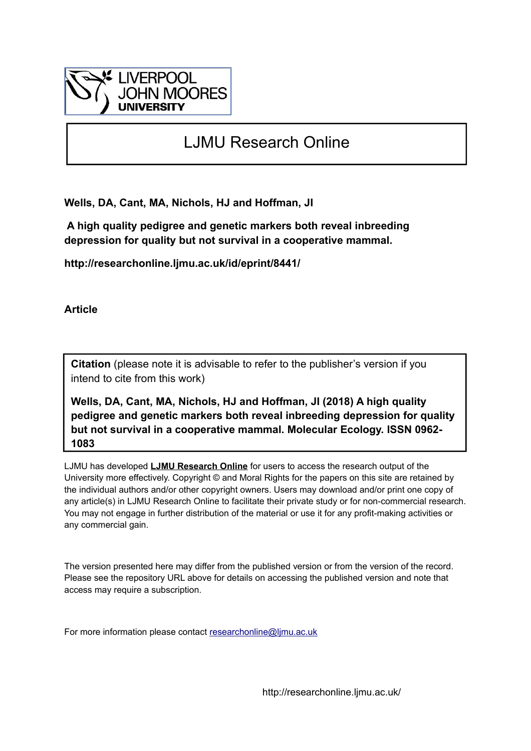

# LJMU Research Online

**Wells, DA, Cant, MA, Nichols, HJ and Hoffman, JI**

 **A high quality pedigree and genetic markers both reveal inbreeding depression for quality but not survival in a cooperative mammal.**

**http://researchonline.ljmu.ac.uk/id/eprint/8441/**

**Article**

**Citation** (please note it is advisable to refer to the publisher's version if you intend to cite from this work)

**Wells, DA, Cant, MA, Nichols, HJ and Hoffman, JI (2018) A high quality pedigree and genetic markers both reveal inbreeding depression for quality but not survival in a cooperative mammal. Molecular Ecology. ISSN 0962- 1083** 

LJMU has developed **[LJMU Research Online](http://researchonline.ljmu.ac.uk/)** for users to access the research output of the University more effectively. Copyright © and Moral Rights for the papers on this site are retained by the individual authors and/or other copyright owners. Users may download and/or print one copy of any article(s) in LJMU Research Online to facilitate their private study or for non-commercial research. You may not engage in further distribution of the material or use it for any profit-making activities or any commercial gain.

The version presented here may differ from the published version or from the version of the record. Please see the repository URL above for details on accessing the published version and note that access may require a subscription.

For more information please contact [researchonline@ljmu.ac.uk](mailto:researchonline@ljmu.ac.uk)

http://researchonline.ljmu.ac.uk/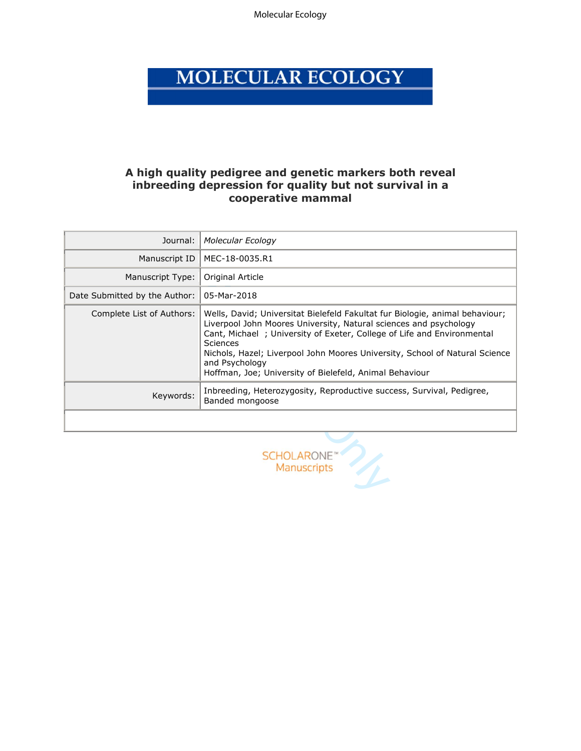Molecular Ecology

# MOLECULAR ECOLOGY

# **A high quality pedigree and genetic markers both reveal inbreeding depression for quality but not survival in a cooperative mammal**

| Journal:                      | <b>Molecular Ecology</b>                                                                                                                                                                                                                                                                                                                                                                                   |
|-------------------------------|------------------------------------------------------------------------------------------------------------------------------------------------------------------------------------------------------------------------------------------------------------------------------------------------------------------------------------------------------------------------------------------------------------|
| Manuscript ID                 | MEC-18-0035.R1                                                                                                                                                                                                                                                                                                                                                                                             |
| Manuscript Type:              | Original Article                                                                                                                                                                                                                                                                                                                                                                                           |
| Date Submitted by the Author: | 05-Mar-2018                                                                                                                                                                                                                                                                                                                                                                                                |
| Complete List of Authors:     | Wells, David; Universitat Bielefeld Fakultat fur Biologie, animal behaviour;<br>Liverpool John Moores University, Natural sciences and psychology<br>Cant, Michael; University of Exeter, College of Life and Environmental<br><b>Sciences</b><br>Nichols, Hazel; Liverpool John Moores University, School of Natural Science<br>and Psychology<br>Hoffman, Joe; University of Bielefeld, Animal Behaviour |
| Keywords:                     | Inbreeding, Heterozygosity, Reproductive success, Survival, Pedigree,<br>Banded mongoose                                                                                                                                                                                                                                                                                                                   |
|                               |                                                                                                                                                                                                                                                                                                                                                                                                            |
|                               | <b>SCHOLARONE</b><br><b>Manuscripts</b>                                                                                                                                                                                                                                                                                                                                                                    |

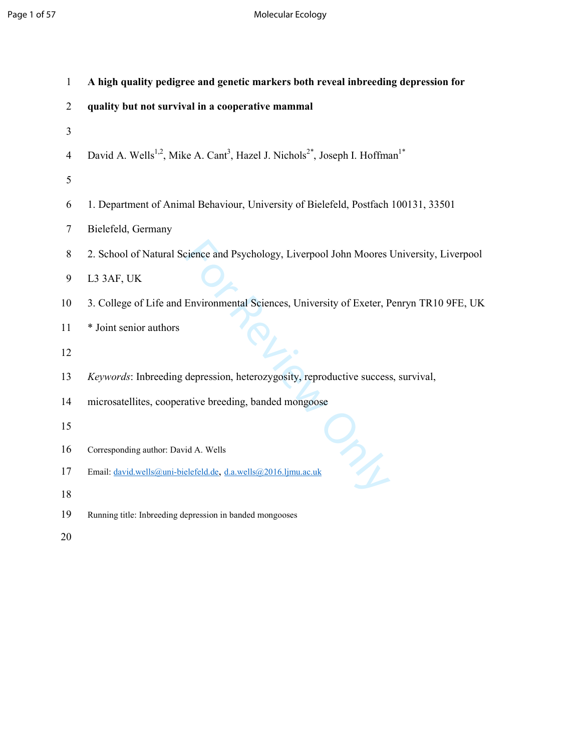# Page 1 of 57 Molecular Ecology

| 1              | A high quality pedigree and genetic markers both reveal inbreeding depression for                                            |
|----------------|------------------------------------------------------------------------------------------------------------------------------|
| $\overline{2}$ | quality but not survival in a cooperative mammal                                                                             |
| 3              |                                                                                                                              |
| $\overline{4}$ | David A. Wells <sup>1,2</sup> , Mike A. Cant <sup>3</sup> , Hazel J. Nichols <sup>2*</sup> , Joseph I. Hoffman <sup>1*</sup> |
| 5              |                                                                                                                              |
| 6              | 1. Department of Animal Behaviour, University of Bielefeld, Postfach 100131, 33501                                           |
| $\overline{7}$ | Bielefeld, Germany                                                                                                           |
| $8\,$          | 2. School of Natural Science and Psychology, Liverpool John Moores University, Liverpool                                     |
| $\mathbf{9}$   | L3 3AF, UK                                                                                                                   |
| 10             | 3. College of Life and Environmental Sciences, University of Exeter, Penryn TR10 9FE, UK                                     |
| 11<br>12       | * Joint senior authors                                                                                                       |
| 13             | Keywords: Inbreeding depression, heterozygosity, reproductive success, survival,                                             |
| 14             | microsatellites, cooperative breeding, banded mongoose                                                                       |
| 15             |                                                                                                                              |
| 16             | Corresponding author: David A. Wells                                                                                         |
| 17             | $\mathcal{P}_\ell$<br>Email: david.wells@uni-bielefeld.de, d.a.wells@2016.ljmu.ac.uk                                         |
| 18             |                                                                                                                              |
| 19             | Running title: Inbreeding depression in banded mongooses                                                                     |
| 20             |                                                                                                                              |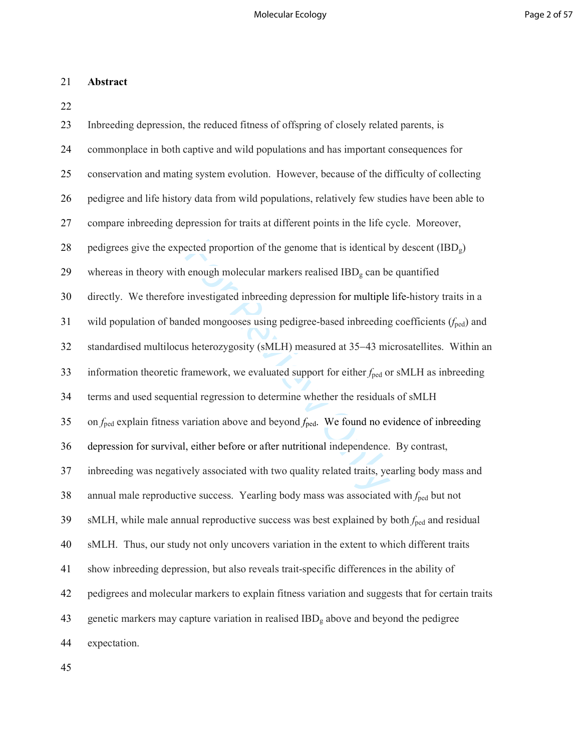# 21 **Abstract**

22

| 23 | Inbreeding depression, the reduced fitness of offspring of closely related parents, is                               |
|----|----------------------------------------------------------------------------------------------------------------------|
| 24 | commonplace in both captive and wild populations and has important consequences for                                  |
| 25 | conservation and mating system evolution. However, because of the difficulty of collecting                           |
| 26 | pedigree and life history data from wild populations, relatively few studies have been able to                       |
| 27 | compare inbreeding depression for traits at different points in the life cycle. Moreover,                            |
| 28 | pedigrees give the expected proportion of the genome that is identical by descent (IBD <sub>g</sub> )                |
| 29 | whereas in theory with enough molecular markers realised $IBDg$ can be quantified                                    |
| 30 | directly. We therefore investigated inbreeding depression for multiple life-history traits in a                      |
| 31 | wild population of banded mongooses using pedigree-based inbreeding coefficients $(f_{\text{ped}})$ and              |
| 32 | standardised multilocus heterozygosity (sMLH) measured at 35-43 microsatellites. Within an                           |
| 33 | information theoretic framework, we evaluated support for either $f_{\text{ped}}$ or sMLH as inbreeding              |
| 34 | terms and used sequential regression to determine whether the residuals of sMLH                                      |
| 35 | on $f_{\text{ped}}$ explain fitness variation above and beyond $f_{\text{ped}}$ . We found no evidence of inbreeding |
| 36 | depression for survival, either before or after nutritional independence. By contrast,                               |
| 37 | inbreeding was negatively associated with two quality related traits, yearling body mass and                         |
| 38 | annual male reproductive success. Yearling body mass was associated with $f_{\text{ped}}$ but not                    |
| 39 | sMLH, while male annual reproductive success was best explained by both $f_{\text{ped}}$ and residual                |
| 40 | sMLH. Thus, our study not only uncovers variation in the extent to which different traits                            |
| 41 | show inbreeding depression, but also reveals trait-specific differences in the ability of                            |
| 42 | pedigrees and molecular markers to explain fitness variation and suggests that for certain traits                    |
| 43 | genetic markers may capture variation in realised IBD <sub>g</sub> above and beyond the pedigree                     |
| 44 | expectation.                                                                                                         |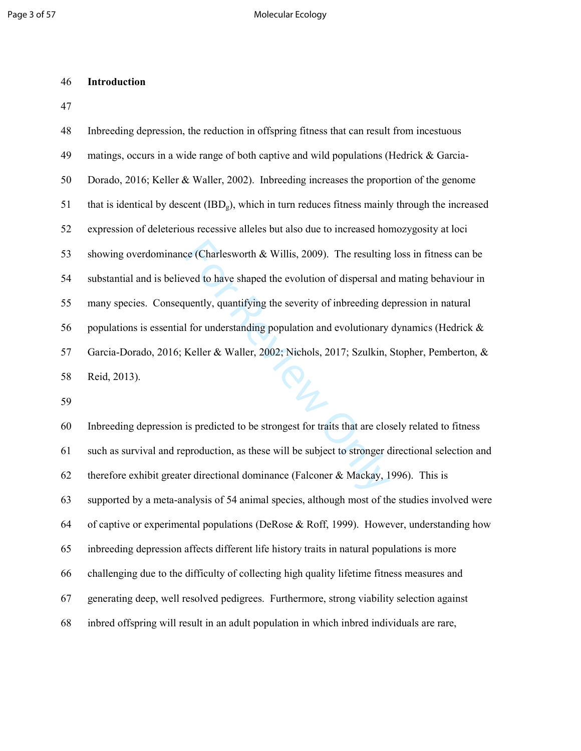#### 46 **Introduction**

47

| 48  | Inbreeding depression, the reduction in offspring fitness that can result from incestuous          |
|-----|----------------------------------------------------------------------------------------------------|
| 49  | matings, occurs in a wide range of both captive and wild populations (Hedrick & Garcia-            |
| 50  | Dorado, 2016; Keller & Waller, 2002). Inbreeding increases the proportion of the genome            |
| 51  | that is identical by descent $(IBDg)$ , which in turn reduces fitness mainly through the increased |
| 52  | expression of deleterious recessive alleles but also due to increased homozygosity at loci         |
| 53  | showing overdominance (Charlesworth $\&$ Willis, 2009). The resulting loss in fitness can be       |
| 54  | substantial and is believed to have shaped the evolution of dispersal and mating behaviour in      |
| 55  | many species. Consequently, quantifying the severity of inbreeding depression in natural           |
| 56  | populations is essential for understanding population and evolutionary dynamics (Hedrick &         |
| 57  | Garcia-Dorado, 2016; Keller & Waller, 2002; Nichols, 2017; Szulkin, Stopher, Pemberton, &          |
| 58  | Reid, 2013).<br>PL                                                                                 |
| 59  |                                                                                                    |
| 60  | Inbreeding depression is predicted to be strongest for traits that are closely related to fitness  |
| 61  | such as survival and reproduction, as these will be subject to stronger directional selection and  |
| 62  | therefore exhibit greater directional dominance (Falconer & Mackay, 1996). This is                 |
| 63. | supported by a meta-analysis of 54 animal species, although most of the studies involved were      |

60 Inbreeding depression is predicted to be strongest for traits that are closely related to fitness 61 such as survival and reproduction, as these will be subject to stronger directional selection and 62 therefore exhibit greater directional dominance (Falconer & Mackay, 1996). This is 63 supported by a meta-analysis of 54 animal species, although most of the studies involved were 64 of captive or experimental populations (DeRose & Roff, 1999). However, understanding how 65 inbreeding depression affects different life history traits in natural populations is more 66 challenging due to the difficulty of collecting high quality lifetime fitness measures and 67 generating deep, well resolved pedigrees. Furthermore, strong viability selection against 68 inbred offspring will result in an adult population in which inbred individuals are rare,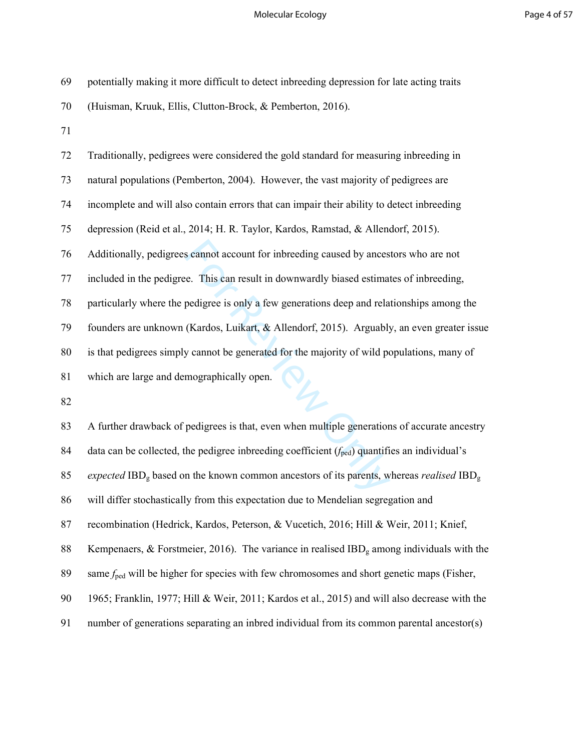# Molecular Ecology **Page 4 of 57**

| 69 | potentially making it more difficult to detect inbreeding depression for late acting traits                            |
|----|------------------------------------------------------------------------------------------------------------------------|
| 70 | (Huisman, Kruuk, Ellis, Clutton-Brock, & Pemberton, 2016).                                                             |
| 71 |                                                                                                                        |
| 72 | Traditionally, pedigrees were considered the gold standard for measuring inbreeding in                                 |
| 73 | natural populations (Pemberton, 2004). However, the vast majority of pedigrees are                                     |
| 74 | incomplete and will also contain errors that can impair their ability to detect inbreeding                             |
| 75 | depression (Reid et al., 2014; H. R. Taylor, Kardos, Ramstad, & Allendorf, 2015).                                      |
| 76 | Additionally, pedigrees cannot account for inbreeding caused by ancestors who are not                                  |
| 77 | included in the pedigree. This can result in downwardly biased estimates of inbreeding,                                |
| 78 | particularly where the pedigree is only a few generations deep and relationships among the                             |
| 79 | founders are unknown (Kardos, Luikart, & Allendorf, 2015). Arguably, an even greater issue                             |
| 80 | is that pedigrees simply cannot be generated for the majority of wild populations, many of                             |
| 81 | which are large and demographically open.                                                                              |
| 82 |                                                                                                                        |
| 83 | A further drawback of pedigrees is that, even when multiple generations of accurate ancestry                           |
| 84 | data can be collected, the pedigree inbreeding coefficient $(f_{\text{ped}})$ quantifies an individual's               |
| 85 | expected IBD <sub>g</sub> based on the known common ancestors of its parents, whereas <i>realised</i> IBD <sub>g</sub> |
| 86 | will differ stochastically from this expectation due to Mendelian segregation and                                      |
| 87 | recombination (Hedrick, Kardos, Peterson, & Vucetich, 2016; Hill & Weir, 2011; Knief,                                  |
| 88 | Kempenaers, & Forstmeier, 2016). The variance in realised $IBDg$ among individuals with the                            |
| 89 | same $f_{\text{ped}}$ will be higher for species with few chromosomes and short genetic maps (Fisher,                  |
| 90 | 1965; Franklin, 1977; Hill & Weir, 2011; Kardos et al., 2015) and will also decrease with the                          |
| 91 | number of generations separating an inbred individual from its common parental ancestor(s)                             |
|    |                                                                                                                        |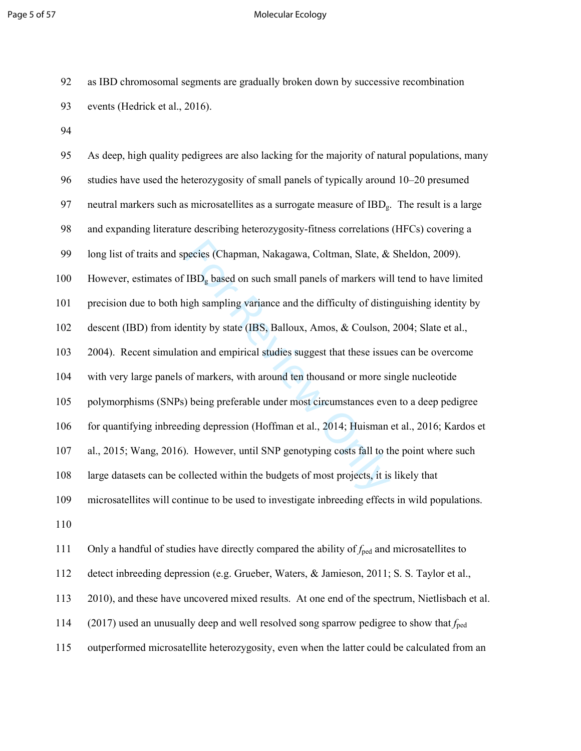#### Page 5 of 57 Molecular Ecology

92 as IBD chromosomal segments are gradually broken down by successive recombination 93 events (Hedrick et al., 2016).

94

becies (Chapman, Nakagawa, Coltman, Slate, &<br>
IBD<sub>g</sub> based on such small panels of markers wil<br>
uigh sampling variance and the difficulty of distintity by state (IBS, Balloux, Amos, & Coulson,<br>
ion and empirical studies s 95 As deep, high quality pedigrees are also lacking for the majority of natural populations, many 96 studies have used the heterozygosity of small panels of typically around 10–20 presumed 97 neutral markers such as microsatellites as a surrogate measure of  $IBD<sub>g</sub>$ . The result is a large 98 and expanding literature describing heterozygosity-fitness correlations (HFCs) covering a 99 long list of traits and species (Chapman, Nakagawa, Coltman, Slate, & Sheldon, 2009). 100 However, estimates of  $IBD<sub>g</sub>$  based on such small panels of markers will tend to have limited 101 precision due to both high sampling variance and the difficulty of distinguishing identity by 102 descent (IBD) from identity by state (IBS, Balloux, Amos, & Coulson, 2004; Slate et al., 103 2004). Recent simulation and empirical studies suggest that these issues can be overcome 104 with very large panels of markers, with around ten thousand or more single nucleotide 105 polymorphisms (SNPs) being preferable under most circumstances even to a deep pedigree 106 for quantifying inbreeding depression (Hoffman et al., 2014; Huisman et al., 2016; Kardos et 107 al., 2015; Wang, 2016). However, until SNP genotyping costs fall to the point where such 108 large datasets can be collected within the budgets of most projects, it is likely that 109 microsatellites will continue to be used to investigate inbreeding effects in wild populations. 110 111 Only a handful of studies have directly compared the ability of  $f_{\text{ped}}$  and microsatellites to

112 detect inbreeding depression (e.g. Grueber, Waters, & Jamieson, 2011; S. S. Taylor et al.,

113 2010), and these have uncovered mixed results. At one end of the spectrum, Nietlisbach et al.

114 (2017) used an unusually deep and well resolved song sparrow pedigree to show that *f*ped

115 outperformed microsatellite heterozygosity, even when the latter could be calculated from an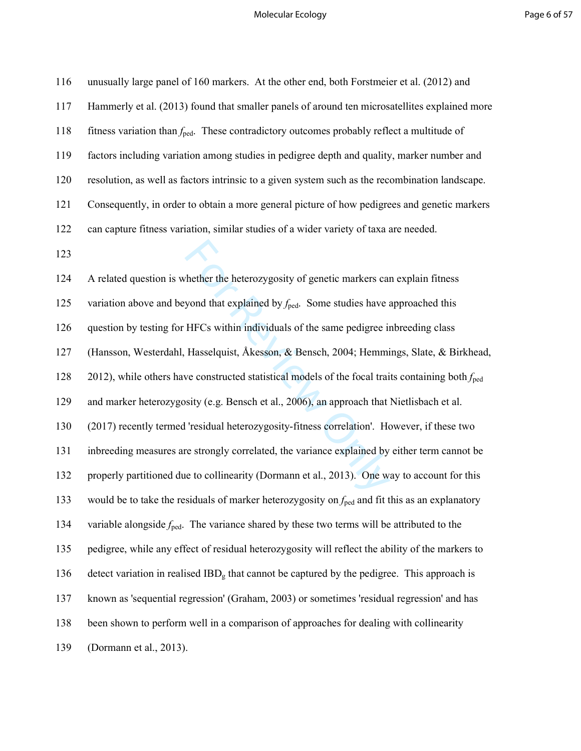#### Molecular Ecology **Page 6 of 57**

whether the heterozygosity of genetic markers can<br>yond that explained by  $f_{\text{ped}}$ . Some studies have a<br>HFCs within individuals of the same pedigree in<br>Hasselquist, Åkesson, & Bensch, 2004; Hemmi<br>we constructed statistica 116 unusually large panel of 160 markers. At the other end, both Forstmeier et al. (2012) and 117 Hammerly et al. (2013) found that smaller panels of around ten microsatellites explained more 118 fitness variation than  $f_{\text{ped}}$ . These contradictory outcomes probably reflect a multitude of 119 factors including variation among studies in pedigree depth and quality, marker number and 120 resolution, as well as factors intrinsic to a given system such as the recombination landscape. 121 Consequently, in order to obtain a more general picture of how pedigrees and genetic markers 122 can capture fitness variation, similar studies of a wider variety of taxa are needed. 123 124 A related question is whether the heterozygosity of genetic markers can explain fitness 125 variation above and beyond that explained by  $f_{\text{ped}}$ . Some studies have approached this 126 question by testing for HFCs within individuals of the same pedigree inbreeding class 127 (Hansson, Westerdahl, Hasselquist, Åkesson, & Bensch, 2004; Hemmings, Slate, & Birkhead, 128 2012), while others have constructed statistical models of the focal traits containing both *f*ped 129 and marker heterozygosity (e.g. Bensch et al., 2006), an approach that Nietlisbach et al. 130 (2017) recently termed 'residual heterozygosity-fitness correlation'. However, if these two 131 inbreeding measures are strongly correlated, the variance explained by either term cannot be 132 properly partitioned due to collinearity (Dormann et al., 2013). One way to account for this 133 would be to take the residuals of marker heterozygosity on  $f_{\text{ped}}$  and fit this as an explanatory 134 variable alongside  $f_{\text{ped}}$ . The variance shared by these two terms will be attributed to the 135 pedigree, while any effect of residual heterozygosity will reflect the ability of the markers to 136 detect variation in realised  $IBD<sub>g</sub>$  that cannot be captured by the pedigree. This approach is 137 known as 'sequential regression' (Graham, 2003) or sometimes 'residual regression' and has 138 been shown to perform well in a comparison of approaches for dealing with collinearity 139 (Dormann et al., 2013).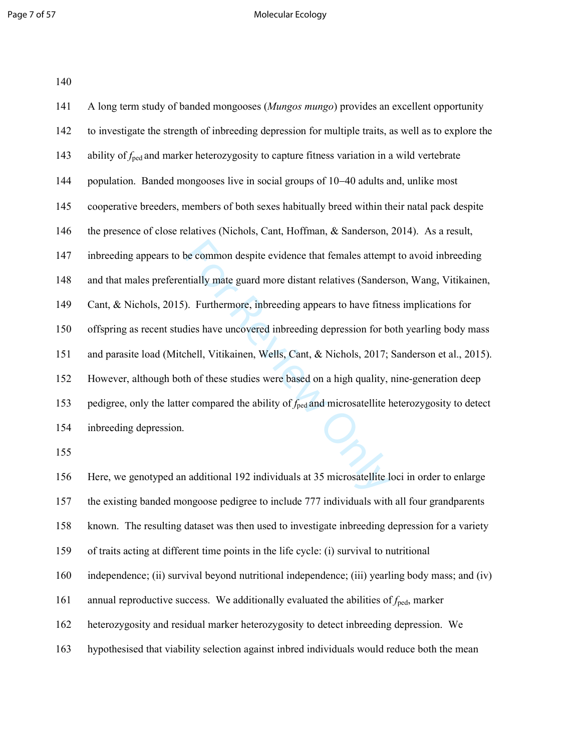#### Page 7 of 57 Molecular Ecology

| 140 |
|-----|
|-----|

| 141 | A long term study of banded mongooses (Mungos mungo) provides an excellent opportunity                         |
|-----|----------------------------------------------------------------------------------------------------------------|
| 142 | to investigate the strength of inbreeding depression for multiple traits, as well as to explore the            |
| 143 | ability of $f_{\text{ped}}$ and marker heterozygosity to capture fitness variation in a wild vertebrate        |
| 144 | population. Banded mongooses live in social groups of 10–40 adults and, unlike most                            |
| 145 | cooperative breeders, members of both sexes habitually breed within their natal pack despite                   |
| 146 | the presence of close relatives (Nichols, Cant, Hoffman, & Sanderson, 2014). As a result,                      |
| 147 | inbreeding appears to be common despite evidence that females attempt to avoid inbreeding                      |
| 148 | and that males preferentially mate guard more distant relatives (Sanderson, Wang, Vitikainen,                  |
| 149 | Cant, & Nichols, 2015). Furthermore, inbreeding appears to have fitness implications for                       |
| 150 | offspring as recent studies have uncovered inbreeding depression for both yearling body mass                   |
| 151 | and parasite load (Mitchell, Vitikainen, Wells, Cant, & Nichols, 2017; Sanderson et al., 2015).                |
| 152 | However, although both of these studies were based on a high quality, nine-generation deep                     |
| 153 | pedigree, only the latter compared the ability of $f_{\text{ped}}$ and microsatellite heterozygosity to detect |
| 154 | inbreeding depression.                                                                                         |
| 155 |                                                                                                                |
| 156 | Here, we genotyped an additional 192 individuals at 35 microsatellite loci in order to enlarge                 |
| 157 | the ovicting bended mengeoge nedigree to include 777 individuals with all four greed permis                    |

157 the existing banded mongoose pedigree to include 777 individuals with all four grandparents

158 known. The resulting dataset was then used to investigate inbreeding depression for a variety

159 of traits acting at different time points in the life cycle: (i) survival to nutritional

160 independence; (ii) survival beyond nutritional independence; (iii) yearling body mass; and (iv)

161 annual reproductive success. We additionally evaluated the abilities of  $f_{\text{ped}}$ , marker

162 heterozygosity and residual marker heterozygosity to detect inbreeding depression. We

163 hypothesised that viability selection against inbred individuals would reduce both the mean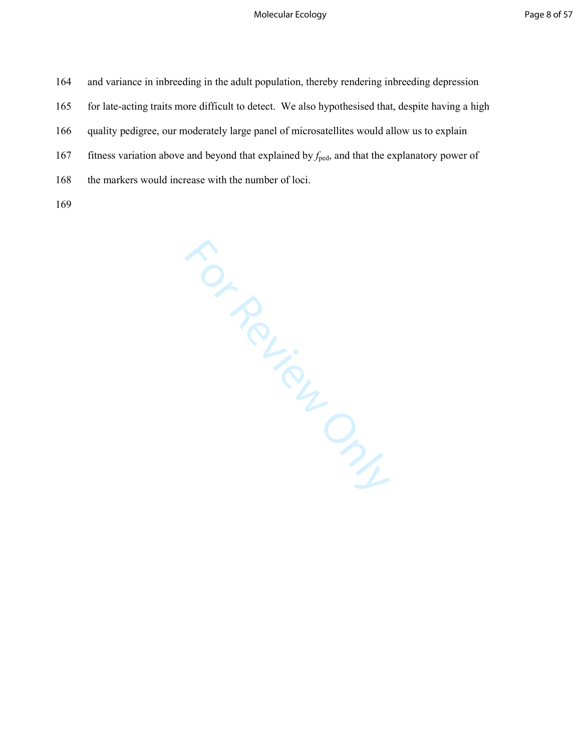164 and variance in inbreeding in the adult population, thereby rendering inbreeding depression

165 for late-acting traits more difficult to detect. We also hypothesised that, despite having a high

166 quality pedigree, our moderately large panel of microsatellites would allow us to explain

167 fitness variation above and beyond that explained by *f*ped, and that the explanatory power of

168 the markers would increase with the number of loci.

For Review Only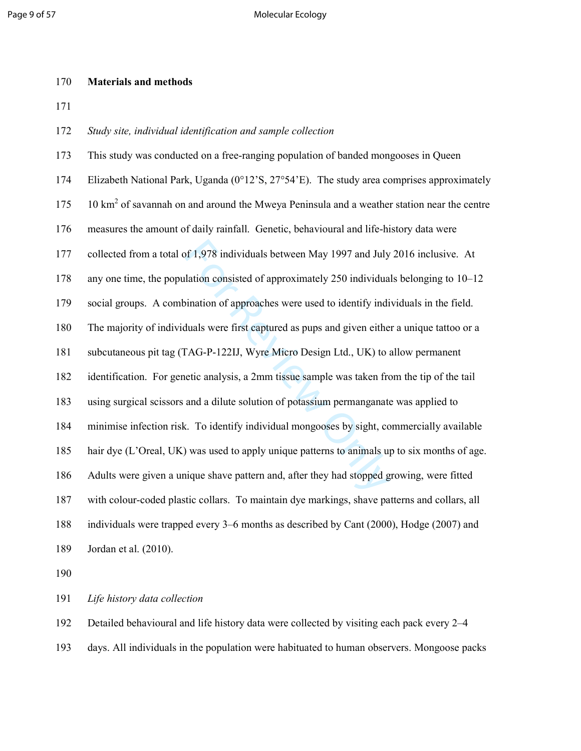#### 170 **Materials and methods**

171

### 172 *Study site, individual identification and sample collection*

or 1,978 individuals between May 1997 and July<br>lation consisted of approximately 250 individua<br>ination of approaches were used to identify indi-<br>duals were first captured as pups and given eithe<br>FAG-P-122IJ, Wyre Micro Des 173 This study was conducted on a free-ranging population of banded mongooses in Queen 174 Elizabeth National Park, Uganda (0°12'S, 27°54'E). The study area comprises approximately 175 10 km<sup>2</sup> of savannah on and around the Mweya Peninsula and a weather station near the centre 176 measures the amount of daily rainfall. Genetic, behavioural and life-history data were 177 collected from a total of 1,978 individuals between May 1997 and July 2016 inclusive. At 178 any one time, the population consisted of approximately 250 individuals belonging to 10–12 179 social groups. A combination of approaches were used to identify individuals in the field. 180 The majority of individuals were first captured as pups and given either a unique tattoo or a 181 subcutaneous pit tag (TAG-P-122IJ, Wyre Micro Design Ltd., UK) to allow permanent 182 identification. For genetic analysis, a 2mm tissue sample was taken from the tip of the tail 183 using surgical scissors and a dilute solution of potassium permanganate was applied to 184 minimise infection risk. To identify individual mongooses by sight, commercially available 185 hair dye (L'Oreal, UK) was used to apply unique patterns to animals up to six months of age. 186 Adults were given a unique shave pattern and, after they had stopped growing, were fitted 187 with colour-coded plastic collars. To maintain dye markings, shave patterns and collars, all 188 individuals were trapped every 3–6 months as described by Cant (2000), Hodge (2007) and 189 Jordan et al. (2010).

190

191 *Life history data collection* 

192 Detailed behavioural and life history data were collected by visiting each pack every 2–4

193 days. All individuals in the population were habituated to human observers. Mongoose packs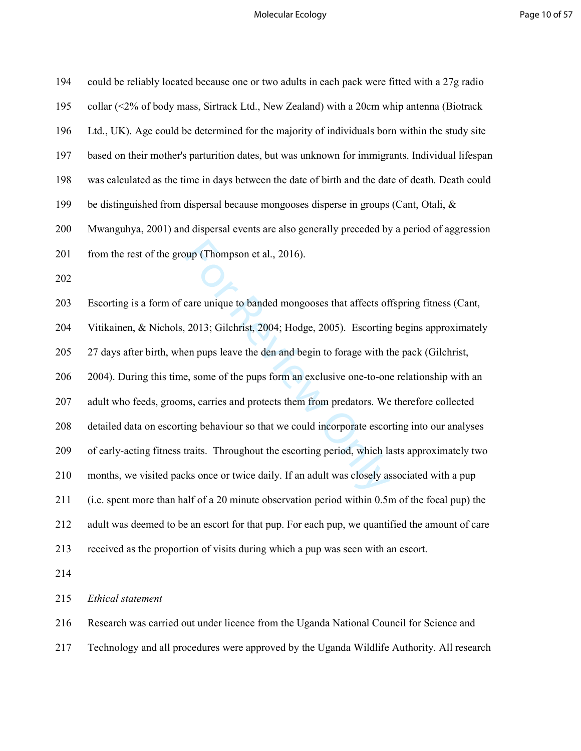# Molecular Ecology **Page 10 of 57**

| 194 | could be reliably located because one or two adults in each pack were fitted with a 27g radio   |
|-----|-------------------------------------------------------------------------------------------------|
| 195 | collar (<2% of body mass, Sirtrack Ltd., New Zealand) with a 20cm whip antenna (Biotrack        |
| 196 | Ltd., UK). Age could be determined for the majority of individuals born within the study site   |
| 197 | based on their mother's parturition dates, but was unknown for immigrants. Individual lifespan  |
| 198 | was calculated as the time in days between the date of birth and the date of death. Death could |
| 199 | be distinguished from dispersal because mongooses disperse in groups (Cant, Otali, $\&$         |
| 200 | Mwanguhya, 2001) and dispersal events are also generally preceded by a period of aggression     |
| 201 | from the rest of the group (Thompson et al., 2016).                                             |
| 202 |                                                                                                 |
| 203 | Escorting is a form of care unique to banded mongooses that affects offspring fitness (Cant,    |
| 204 | Vitikainen, & Nichols, 2013; Gilchrist, 2004; Hodge, 2005). Escorting begins approximately      |
| 205 | 27 days after birth, when pups leave the den and begin to forage with the pack (Gilchrist,      |
| 206 | 2004). During this time, some of the pups form an exclusive one-to-one relationship with an     |
| 207 | adult who feeds, grooms, carries and protects them from predators. We therefore collected       |
| 208 | detailed data on escorting behaviour so that we could incorporate escorting into our analyses   |
| 209 | of early-acting fitness traits. Throughout the escorting period, which lasts approximately two  |
| 210 | months, we visited packs once or twice daily. If an adult was closely associated with a pup     |
| 211 | (i.e. spent more than half of a 20 minute observation period within 0.5m of the focal pup) the  |
| 212 | adult was deemed to be an escort for that pup. For each pup, we quantified the amount of care   |
| 213 | received as the proportion of visits during which a pup was seen with an escort.                |
| 214 |                                                                                                 |
| 215 | Ethical statement                                                                               |

216 Research was carried out under licence from the Uganda National Council for Science and

217 Technology and all procedures were approved by the Uganda Wildlife Authority. All research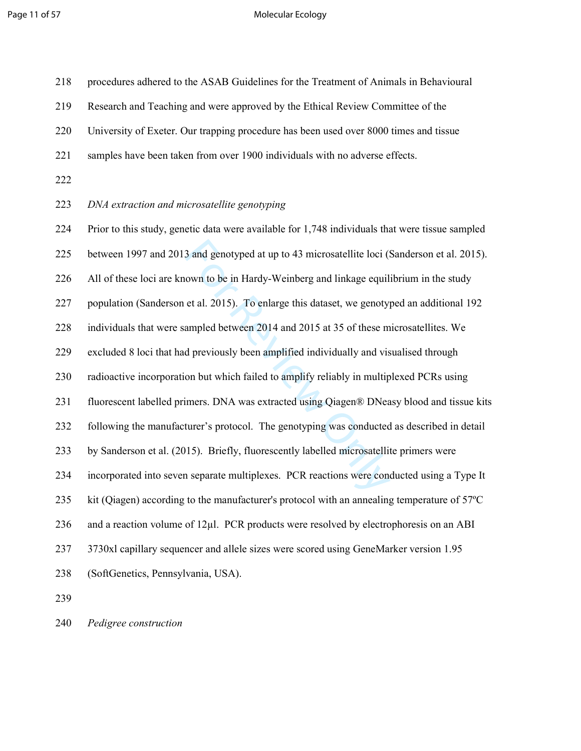# Page 11 of 57 and 10 million 10 million 10 million 10 million 10 million 10 million 10 million 10 million 10 mi

| 218 | procedures adhered to the ASAB Guidelines for the Treatment of Animals in Behavioural           |
|-----|-------------------------------------------------------------------------------------------------|
| 219 | Research and Teaching and were approved by the Ethical Review Committee of the                  |
| 220 | University of Exeter. Our trapping procedure has been used over 8000 times and tissue           |
| 221 | samples have been taken from over 1900 individuals with no adverse effects.                     |
| 222 |                                                                                                 |
| 223 | DNA extraction and microsatellite genotyping                                                    |
| 224 | Prior to this study, genetic data were available for 1,748 individuals that were tissue sampled |
| 225 | between 1997 and 2013 and genotyped at up to 43 microsatellite loci (Sanderson et al. 2015).    |
| 226 | All of these loci are known to be in Hardy-Weinberg and linkage equilibrium in the study        |
| 227 | population (Sanderson et al. 2015). To enlarge this dataset, we genotyped an additional 192     |
| 228 | individuals that were sampled between 2014 and 2015 at 35 of these microsatellites. We          |
| 229 | excluded 8 loci that had previously been amplified individually and visualised through          |
| 230 | radioactive incorporation but which failed to amplify reliably in multiplexed PCRs using        |
| 231 | fluorescent labelled primers. DNA was extracted using Qiagen® DNeasy blood and tissue kits      |
| 232 | following the manufacturer's protocol. The genotyping was conducted as described in detail      |
| 233 | by Sanderson et al. (2015). Briefly, fluorescently labelled microsatellite primers were         |
| 234 | incorporated into seven separate multiplexes. PCR reactions were conducted using a Type It      |
| 235 | kit (Qiagen) according to the manufacturer's protocol with an annealing temperature of 57°C     |
| 236 | and a reaction volume of 12µ1. PCR products were resolved by electrophoresis on an ABI          |
| 237 | 3730xl capillary sequencer and allele sizes were scored using GeneMarker version 1.95           |
| 238 | (SoftGenetics, Pennsylvania, USA).                                                              |
| 239 |                                                                                                 |

240 *Pedigree construction*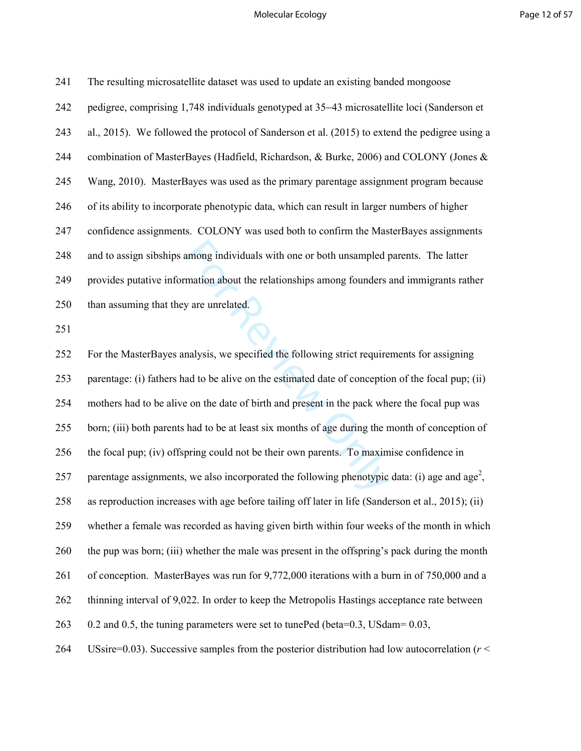#### Molecular Ecology **Page 12 of 57**

| 241 | The resulting microsatellite dataset was used to update an existing banded mongoose            |
|-----|------------------------------------------------------------------------------------------------|
| 242 | pedigree, comprising 1,748 individuals genotyped at 35–43 microsatellite loci (Sanderson et    |
| 243 | al., 2015). We followed the protocol of Sanderson et al. (2015) to extend the pedigree using a |
| 244 | combination of MasterBayes (Hadfield, Richardson, & Burke, 2006) and COLONY (Jones &           |
| 245 | Wang, 2010). MasterBayes was used as the primary parentage assignment program because          |
| 246 | of its ability to incorporate phenotypic data, which can result in larger numbers of higher    |
| 247 | confidence assignments. COLONY was used both to confirm the MasterBayes assignments            |
| 248 | and to assign sibships among individuals with one or both unsampled parents. The latter        |
| 249 | provides putative information about the relationships among founders and immigrants rather     |
| 250 | than assuming that they are unrelated.                                                         |
| 251 |                                                                                                |
|     |                                                                                                |

among individuals with one or both unsampled p<br>mation about the relationships among founders a<br>y are unrelated.<br>malysis, we specified the following strict require<br>ad to be alive on the estimated date of conceptio<br>e on the 252 For the MasterBayes analysis, we specified the following strict requirements for assigning 253 parentage: (i) fathers had to be alive on the estimated date of conception of the focal pup; (ii) 254 mothers had to be alive on the date of birth and present in the pack where the focal pup was 255 born; (iii) both parents had to be at least six months of age during the month of conception of 256 the focal pup; (iv) offspring could not be their own parents. To maximise confidence in 257 parentage assignments, we also incorporated the following phenotypic data: (i) age and age<sup>2</sup>, 258 as reproduction increases with age before tailing off later in life (Sanderson et al., 2015); (ii) 259 whether a female was recorded as having given birth within four weeks of the month in which 260 the pup was born; (iii) whether the male was present in the offspring's pack during the month 261 of conception. MasterBayes was run for 9,772,000 iterations with a burn in of 750,000 and a 262 thinning interval of 9,022. In order to keep the Metropolis Hastings acceptance rate between 263 0.2 and 0.5, the tuning parameters were set to tunePed (beta=0.3, USdam= 0.03,

264 USsire=0.03). Successive samples from the posterior distribution had low autocorrelation (*r* <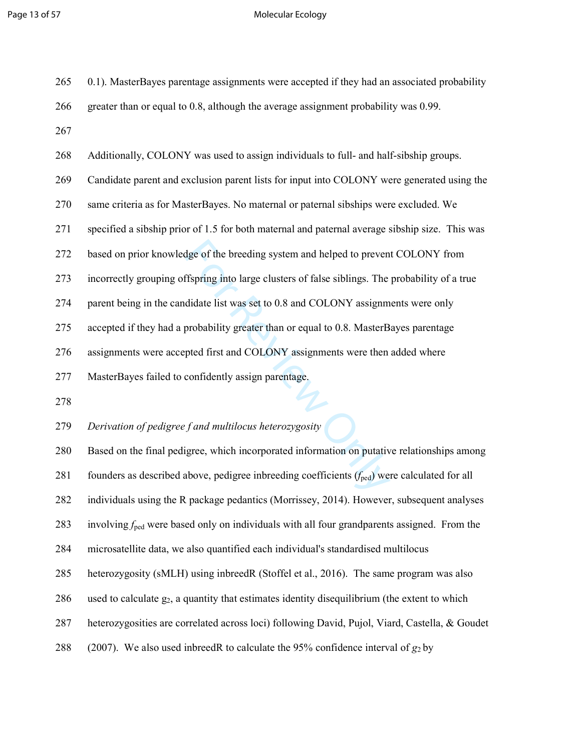# Page 13 of 57 Molecular Ecology

| 265 | 0.1). MasterBayes parentage assignments were accepted if they had an associated probability              |
|-----|----------------------------------------------------------------------------------------------------------|
| 266 | greater than or equal to 0.8, although the average assignment probability was 0.99.                      |
| 267 |                                                                                                          |
| 268 | Additionally, COLONY was used to assign individuals to full- and half-sibship groups.                    |
| 269 | Candidate parent and exclusion parent lists for input into COLONY were generated using the               |
| 270 | same criteria as for MasterBayes. No maternal or paternal sibships were excluded. We                     |
| 271 | specified a sibship prior of 1.5 for both maternal and paternal average sibship size. This was           |
| 272 | based on prior knowledge of the breeding system and helped to prevent COLONY from                        |
| 273 | incorrectly grouping offspring into large clusters of false siblings. The probability of a true          |
| 274 | parent being in the candidate list was set to 0.8 and COLONY assignments were only                       |
| 275 | accepted if they had a probability greater than or equal to 0.8. MasterBayes parentage                   |
| 276 | assignments were accepted first and COLONY assignments were then added where                             |
|     |                                                                                                          |
| 277 | MasterBayes failed to confidently assign parentage.                                                      |
| 278 |                                                                                                          |
| 279 | Derivation of pedigree f and multilocus heterozygosity                                                   |
| 280 | Based on the final pedigree, which incorporated information on putative relationships among              |
| 281 | founders as described above, pedigree inbreeding coefficients $(f_{\text{ped}})$ were calculated for all |
| 282 | individuals using the R package pedantics (Morrissey, 2014). However, subsequent analyses                |
| 283 | involving $f_{\text{ped}}$ were based only on individuals with all four grandparents assigned. From the  |
| 284 | microsatellite data, we also quantified each individual's standardised multilocus                        |
| 285 | heterozygosity (sMLH) using inbreedR (Stoffel et al., 2016). The same program was also                   |
| 286 | used to calculate $g_2$ , a quantity that estimates identity disequilibrium (the extent to which         |
| 287 | heterozygosities are correlated across loci) following David, Pujol, Viard, Castella, & Goudet           |
| 288 | (2007). We also used inbreedR to calculate the 95% confidence interval of $g_2$ by                       |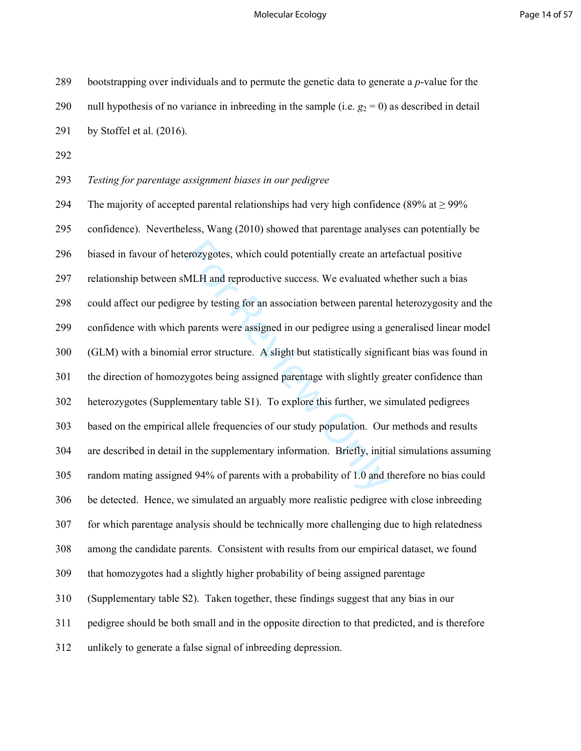289 bootstrapping over individuals and to permute the genetic data to generate a *p*-value for the

| 290 | null hypothesis of no variance in inbreeding in the sample (i.e. $g_2 = 0$ ) as described in detail |
|-----|-----------------------------------------------------------------------------------------------------|
| 291 | by Stoffel et al. (2016).                                                                           |
| 292 |                                                                                                     |
| 293 | Testing for parentage assignment biases in our pedigree                                             |
| 294 | The majority of accepted parental relationships had very high confidence (89% at $\geq$ 99%         |
| 295 | confidence). Nevertheless, Wang (2010) showed that parentage analyses can potentially be            |
| 296 | biased in favour of heterozygotes, which could potentially create an artefactual positive           |
| 297 | relationship between sMLH and reproductive success. We evaluated whether such a bias                |
| 298 | could affect our pedigree by testing for an association between parental heterozygosity and the     |
| 299 | confidence with which parents were assigned in our pedigree using a generalised linear model        |
| 300 | (GLM) with a binomial error structure. A slight but statistically significant bias was found in     |
| 301 | the direction of homozygotes being assigned parentage with slightly greater confidence than         |
| 302 | heterozygotes (Supplementary table S1). To explore this further, we simulated pedigrees             |
| 303 | based on the empirical allele frequencies of our study population. Our methods and results          |
| 304 | are described in detail in the supplementary information. Briefly, initial simulations assuming     |
| 305 | random mating assigned 94% of parents with a probability of 1.0 and therefore no bias could         |
| 306 | be detected. Hence, we simulated an arguably more realistic pedigree with close inbreeding          |
| 307 | for which parentage analysis should be technically more challenging due to high relatedness         |
| 308 | among the candidate parents. Consistent with results from our empirical dataset, we found           |
| 309 | that homozygotes had a slightly higher probability of being assigned parentage                      |
| 310 | (Supplementary table S2). Taken together, these findings suggest that any bias in our               |
| 311 | pedigree should be both small and in the opposite direction to that predicted, and is therefore     |
| 312 | unlikely to generate a false signal of inbreeding depression.                                       |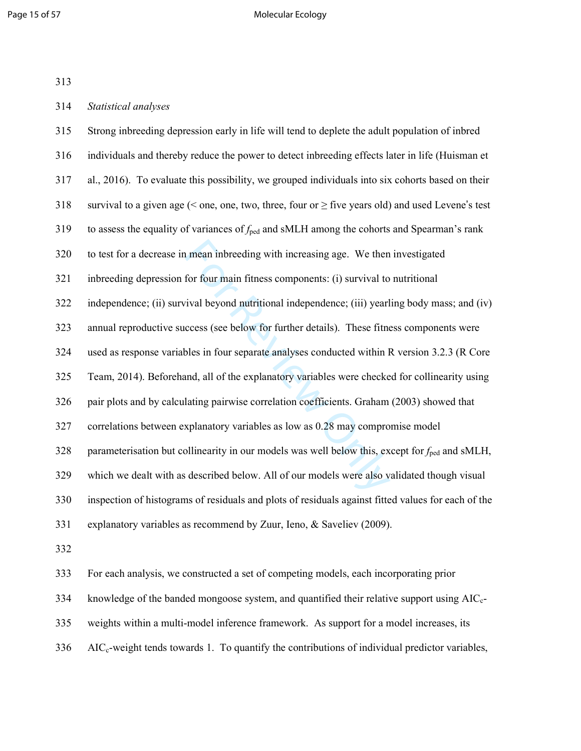#### Page 15 of 57 Molecular Ecology

| 313 |                                                                                                              |
|-----|--------------------------------------------------------------------------------------------------------------|
| 314 | Statistical analyses                                                                                         |
| 315 | Strong inbreeding depression early in life will tend to deplete the adult population of inbred               |
| 316 | individuals and thereby reduce the power to detect inbreeding effects later in life (Huisman et              |
| 317 | al., 2016). To evaluate this possibility, we grouped individuals into six cohorts based on their             |
| 318 | survival to a given age ( $\leq$ one, one, two, three, four or $\geq$ five years old) and used Levene's test |
| 319 | to assess the equality of variances of $f_{\text{ped}}$ and sMLH among the cohorts and Spearman's rank       |
| 320 | to test for a decrease in mean inbreeding with increasing age. We then investigated                          |
| 321 | inbreeding depression for four main fitness components: (i) survival to nutritional                          |
| 322 | independence; (ii) survival beyond nutritional independence; (iii) yearling body mass; and (iv)              |
| 323 | annual reproductive success (see below for further details). These fitness components were                   |
| 324 | used as response variables in four separate analyses conducted within R version 3.2.3 (R Core                |
| 325 | Team, 2014). Beforehand, all of the explanatory variables were checked for collinearity using                |
| 326 | pair plots and by calculating pairwise correlation coefficients. Graham (2003) showed that                   |
| 327 | correlations between explanatory variables as low as 0.28 may compromise model                               |
| 328 | parameterisation but collinearity in our models was well below this, except for $f_{\text{ped}}$ and sMLH,   |
| 329 | which we dealt with as described below. All of our models were also validated though visual                  |
| 330 | inspection of histograms of residuals and plots of residuals against fitted values for each of the           |
| 331 | explanatory variables as recommend by Zuur, Ieno, & Saveliev (2009).                                         |
| 332 |                                                                                                              |

333 For each analysis, we constructed a set of competing models, each incorporating prior

334 knowledge of the banded mongoose system, and quantified their relative support using  $AIC_c$ -

335 weights within a multi-model inference framework. As support for a model increases, its

 $336$  AIC<sub>c</sub>-weight tends towards 1. To quantify the contributions of individual predictor variables,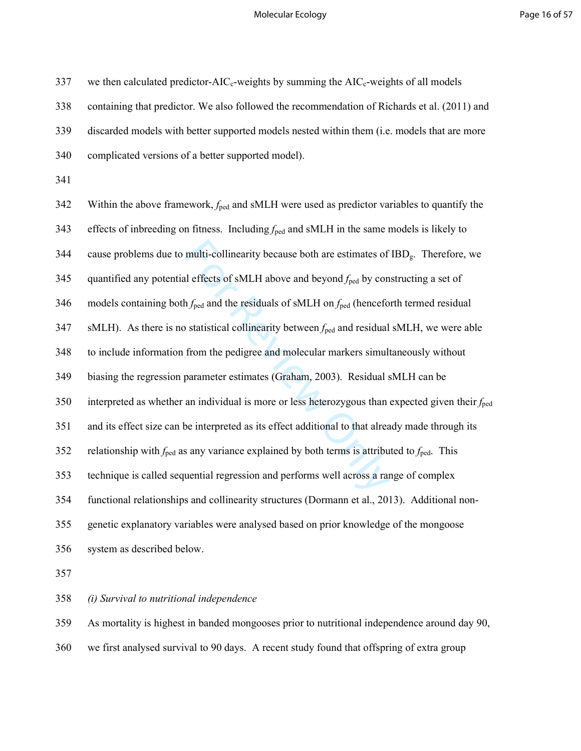# Molecular Ecology **Page 16 of 57**

| 337 | we then calculated predictor- $AIC_c$ -weights by summing the $AIC_c$ -weights of all models                        |
|-----|---------------------------------------------------------------------------------------------------------------------|
| 338 | containing that predictor. We also followed the recommendation of Richards et al. (2011) and                        |
| 339 | discarded models with better supported models nested within them (i.e. models that are more                         |
| 340 | complicated versions of a better supported model).                                                                  |
| 341 |                                                                                                                     |
| 342 | Within the above framework, $f_{\text{ped}}$ and sMLH were used as predictor variables to quantify the              |
| 343 | effects of inbreeding on fitness. Including $f_{\text{ped}}$ and sMLH in the same models is likely to               |
| 344 | cause problems due to multi-collinearity because both are estimates of IBD <sub>g</sub> . Therefore, we             |
| 345 | quantified any potential effects of sMLH above and beyond $f_{\text{ped}}$ by constructing a set of                 |
| 346 | models containing both $f_{\text{ped}}$ and the residuals of sMLH on $f_{\text{ped}}$ (henceforth termed residual   |
| 347 | sMLH). As there is no statistical collinearity between $f_{\text{ped}}$ and residual sMLH, we were able             |
| 348 | to include information from the pedigree and molecular markers simultaneously without                               |
| 349 | biasing the regression parameter estimates (Graham, 2003). Residual sMLH can be                                     |
| 350 | interpreted as whether an individual is more or less heterozygous than expected given their $f_{\text{ped}}$        |
| 351 | and its effect size can be interpreted as its effect additional to that already made through its                    |
| 352 | relationship with $f_{\text{ped}}$ as any variance explained by both terms is attributed to $f_{\text{ped}}$ . This |
| 353 | technique is called sequential regression and performs well across a range of complex                               |
| 354 | functional relationships and collinearity structures (Dormann et al., 2013). Additional non-                        |
| 355 | genetic explanatory variables were analysed based on prior knowledge of the mongoose                                |
| 356 | system as described below.                                                                                          |
| 357 |                                                                                                                     |

358 *(i) Survival to nutritional independence* 

359 As mortality is highest in banded mongooses prior to nutritional independence around day 90,

360 we first analysed survival to 90 days. A recent study found that offspring of extra group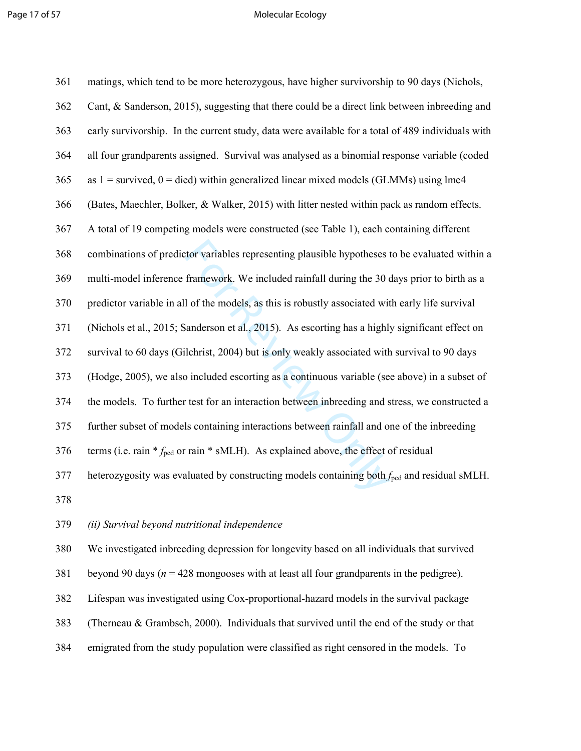#### Page 17 of 57 Molecular Ecology

| 361 | matings, which tend to be more heterozygous, have higher survivorship to 90 days (Nichols,              |
|-----|---------------------------------------------------------------------------------------------------------|
| 362 | Cant, & Sanderson, 2015), suggesting that there could be a direct link between inbreeding and           |
| 363 | early survivorship. In the current study, data were available for a total of 489 individuals with       |
| 364 | all four grandparents assigned. Survival was analysed as a binomial response variable (coded            |
| 365 | as $1 =$ survived, $0 =$ died) within generalized linear mixed models (GLMMs) using lme4                |
| 366 | (Bates, Maechler, Bolker, & Walker, 2015) with litter nested within pack as random effects.             |
| 367 | A total of 19 competing models were constructed (see Table 1), each containing different                |
| 368 | combinations of predictor variables representing plausible hypotheses to be evaluated within a          |
| 369 | multi-model inference framework. We included rainfall during the 30 days prior to birth as a            |
| 370 | predictor variable in all of the models, as this is robustly associated with early life survival        |
| 371 | (Nichols et al., 2015; Sanderson et al., 2015). As escorting has a highly significant effect on         |
| 372 | survival to 60 days (Gilchrist, 2004) but is only weakly associated with survival to 90 days            |
| 373 | (Hodge, 2005), we also included escorting as a continuous variable (see above) in a subset of           |
| 374 | the models. To further test for an interaction between inbreeding and stress, we constructed a          |
| 375 | further subset of models containing interactions between rainfall and one of the inbreeding             |
| 376 | terms (i.e. rain $*_{\text{fred}}$ or rain $*$ sMLH). As explained above, the effect of residual        |
| 377 | heterozygosity was evaluated by constructing models containing both $f_{\text{ped}}$ and residual sMLH. |
| 378 |                                                                                                         |

# 379 *(ii) Survival beyond nutritional independence*

380 We investigated inbreeding depression for longevity based on all individuals that survived

381 beyond 90 days ( $n = 428$  mongooses with at least all four grandparents in the pedigree).

382 Lifespan was investigated using Cox-proportional-hazard models in the survival package

383 (Therneau & Grambsch, 2000). Individuals that survived until the end of the study or that

384 emigrated from the study population were classified as right censored in the models. To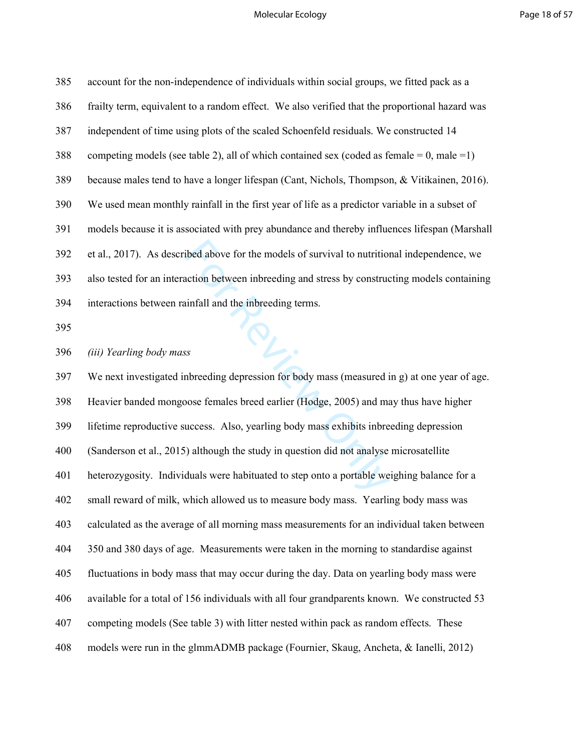#### Molecular Ecology **Page 18 of 57**

| 385 | account for the non-independence of individuals within social groups, we fitted pack as a      |
|-----|------------------------------------------------------------------------------------------------|
| 386 | frailty term, equivalent to a random effect. We also verified that the proportional hazard was |
| 387 | independent of time using plots of the scaled Schoenfeld residuals. We constructed 14          |
| 388 | competing models (see table 2), all of which contained sex (coded as female = 0, male = 1)     |
| 389 | because males tend to have a longer lifespan (Cant, Nichols, Thompson, & Vitikainen, 2016).    |
| 390 | We used mean monthly rainfall in the first year of life as a predictor variable in a subset of |
| 391 | models because it is associated with prey abundance and thereby influences lifespan (Marshall  |
| 392 | et al., 2017). As described above for the models of survival to nutritional independence, we   |
| 393 | also tested for an interaction between inbreeding and stress by constructing models containing |
| 394 | interactions between rainfall and the inbreeding terms.                                        |
| 395 |                                                                                                |

# 396 *(iii) Yearling body mass*

ibed above for the models of survival to nutrition<br>action between inbreeding and stress by construct<br>infall and the inbreeding terms.<br>ss<br>s<br>thereding depression for body mass (measured if<br>observances females breed earlier ( 397 We next investigated inbreeding depression for body mass (measured in g) at one year of age. 398 Heavier banded mongoose females breed earlier (Hodge, 2005) and may thus have higher 399 lifetime reproductive success. Also, yearling body mass exhibits inbreeding depression 400 (Sanderson et al., 2015) although the study in question did not analyse microsatellite 401 heterozygosity. Individuals were habituated to step onto a portable weighing balance for a 402 small reward of milk, which allowed us to measure body mass. Yearling body mass was 403 calculated as the average of all morning mass measurements for an individual taken between 404 350 and 380 days of age. Measurements were taken in the morning to standardise against 405 fluctuations in body mass that may occur during the day. Data on yearling body mass were 406 available for a total of 156 individuals with all four grandparents known. We constructed 53 407 competing models (See table 3) with litter nested within pack as random effects. These 408 models were run in the glmmADMB package (Fournier, Skaug, Ancheta, & Ianelli, 2012)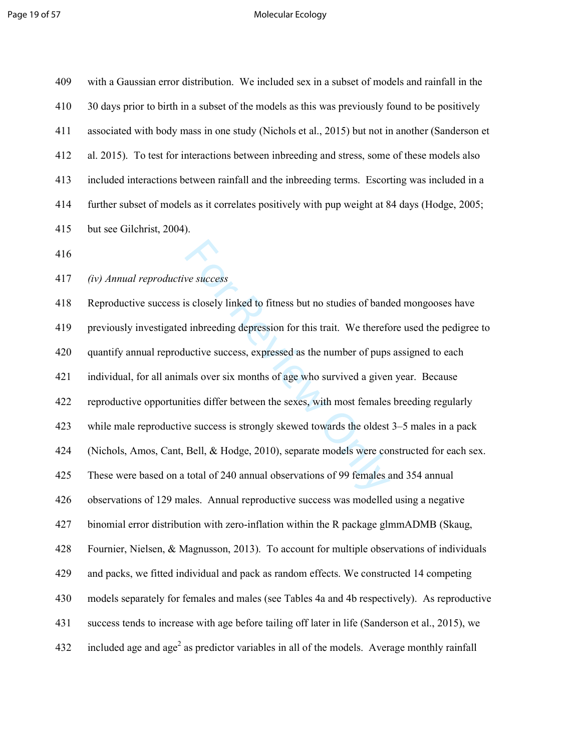#### Page 19 of 57 Molecular Ecology

| 409 | with a Gaussian error distribution. We included sex in a subset of models and rainfall in the  |
|-----|------------------------------------------------------------------------------------------------|
| 410 | 30 days prior to birth in a subset of the models as this was previously found to be positively |
| 411 | associated with body mass in one study (Nichols et al., 2015) but not in another (Sanderson et |
| 412 | al. 2015). To test for interactions between inbreeding and stress, some of these models also   |
| 413 | included interactions between rainfall and the inbreeding terms. Escorting was included in a   |
| 414 | further subset of models as it correlates positively with pup weight at 84 days (Hodge, 2005;  |
| 415 | but see Gilchrist, 2004).                                                                      |
| 416 |                                                                                                |
| 417 | (iv) Annual reproductive success                                                               |

we success<br>s closely linked to fitness but no studies of band<br>d inbreeding depression for this trait. We therefore<br>uctive success, expressed as the number of pups<br>als over six months of age who survived a giver<br>tities diff 418 Reproductive success is closely linked to fitness but no studies of banded mongooses have 419 previously investigated inbreeding depression for this trait. We therefore used the pedigree to 420 quantify annual reproductive success, expressed as the number of pups assigned to each 421 individual, for all animals over six months of age who survived a given year. Because 422 reproductive opportunities differ between the sexes, with most females breeding regularly 423 while male reproductive success is strongly skewed towards the oldest 3–5 males in a pack 424 (Nichols, Amos, Cant, Bell, & Hodge, 2010), separate models were constructed for each sex. 425 These were based on a total of 240 annual observations of 99 females and 354 annual 426 observations of 129 males. Annual reproductive success was modelled using a negative 427 binomial error distribution with zero-inflation within the R package glmmADMB (Skaug, 428 Fournier, Nielsen, & Magnusson, 2013). To account for multiple observations of individuals 429 and packs, we fitted individual and pack as random effects. We constructed 14 competing 430 models separately for females and males (see Tables 4a and 4b respectively). As reproductive 431 success tends to increase with age before tailing off later in life (Sanderson et al., 2015), we 432 included age and age<sup>2</sup> as predictor variables in all of the models. Average monthly rainfall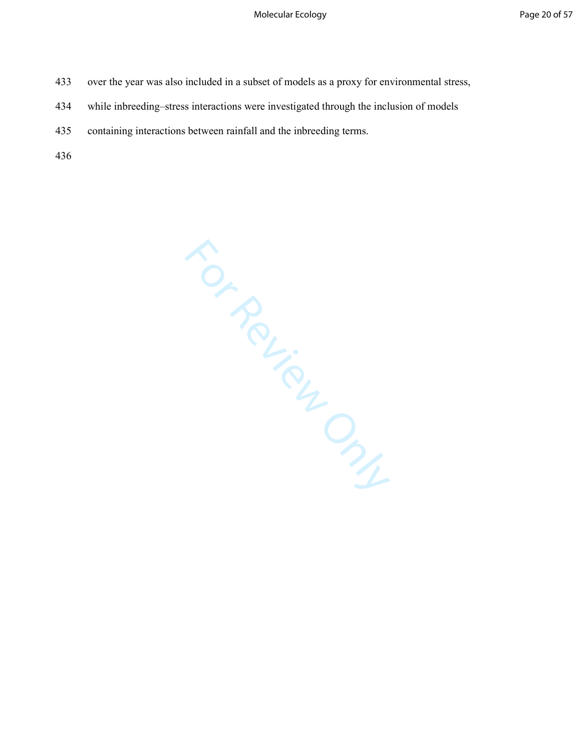- 433 over the year was also included in a subset of models as a proxy for environmental stress,
- 434 while inbreeding–stress interactions were investigated through the inclusion of models
- 435 containing interactions between rainfall and the inbreeding terms.

436

For Review Only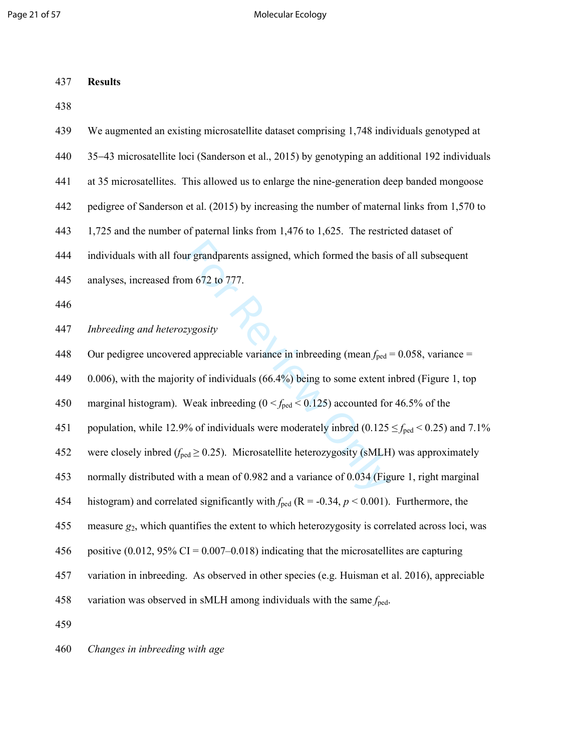Page 21 of 57 and 20 and 20 and 20 and 20 and 20 and 20 and 20 and 20 and 20 and 20 and 20 and 20 and 20 and 20 and 20 and 20 and 20 and 20 and 20 and 20 and 20 and 20 and 20 and 20 and 20 and 20 and 20 and 20 and 20 and 2

| 437 | <b>Results</b>                                                                                              |
|-----|-------------------------------------------------------------------------------------------------------------|
| 438 |                                                                                                             |
| 439 | We augmented an existing microsatellite dataset comprising 1,748 individuals genotyped at                   |
| 440 | 35-43 microsatellite loci (Sanderson et al., 2015) by genotyping an additional 192 individuals              |
| 441 | at 35 microsatellites. This allowed us to enlarge the nine-generation deep banded mongoose                  |
| 442 | pedigree of Sanderson et al. (2015) by increasing the number of maternal links from 1,570 to                |
| 443 | 1,725 and the number of paternal links from 1,476 to 1,625. The restricted dataset of                       |
| 444 | individuals with all four grandparents assigned, which formed the basis of all subsequent                   |
| 445 | analyses, increased from 672 to 777.                                                                        |
| 446 |                                                                                                             |
| 447 | Inbreeding and heterozygosity                                                                               |
| 448 | Our pedigree uncovered appreciable variance in inbreeding (mean $f_{\text{ped}} = 0.058$ , variance =       |
| 449 | $(0.006)$ , with the majority of individuals $(66.4\%)$ being to some extent inbred (Figure 1, top          |
| 450 | marginal histogram). Weak inbreeding ( $0 < f_{\text{ped}} < 0.125$ ) accounted for 46.5% of the            |
| 451 | population, while 12.9% of individuals were moderately inbred (0.125 $\leq f_{\text{ped}}$ < 0.25) and 7.1% |
| 452 | were closely inbred ( $f_{\text{ped}} \ge 0.25$ ). Microsatellite heterozygosity (sMLH) was approximately   |
| 453 | normally distributed with a mean of 0.982 and a variance of 0.034 (Figure 1, right marginal                 |
| 454 | histogram) and correlated significantly with $f_{\text{ped}}$ (R = -0.34, p < 0.001). Furthermore, the      |
| 455 | measure $g_2$ , which quantifies the extent to which heterozygosity is correlated across loci, was          |
| 456 | positive $(0.012, 95\% \text{ CI} = 0.007 - 0.018)$ indicating that the microsatellites are capturing       |
| 457 | variation in inbreeding. As observed in other species (e.g. Huisman et al. 2016), appreciable               |
| 458 | variation was observed in sMLH among individuals with the same $f_{\text{ped}}$ .                           |
| 459 |                                                                                                             |

460 *Changes in inbreeding with age*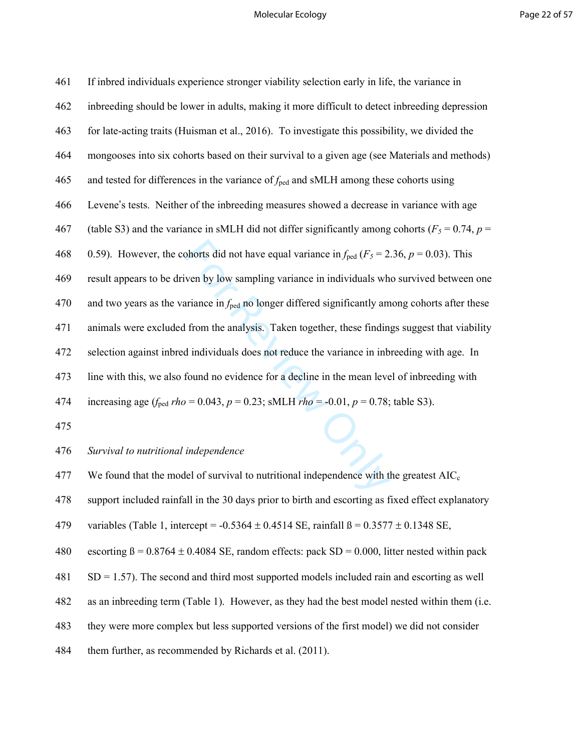#### Molecular Ecology **Page 22 of 57**

| 461 | If inbred individuals experience stronger viability selection early in life, the variance in                    |
|-----|-----------------------------------------------------------------------------------------------------------------|
| 462 | inbreeding should be lower in adults, making it more difficult to detect inbreeding depression                  |
| 463 | for late-acting traits (Huisman et al., 2016). To investigate this possibility, we divided the                  |
| 464 | mongooses into six cohorts based on their survival to a given age (see Materials and methods)                   |
| 465 | and tested for differences in the variance of $f_{\text{ped}}$ and sMLH among these cohorts using               |
| 466 | Levene's tests. Neither of the inbreeding measures showed a decrease in variance with age                       |
| 467 | (table S3) and the variance in sMLH did not differ significantly among cohorts ( $F_5 = 0.74$ , $p =$           |
| 468 | 0.59). However, the cohorts did not have equal variance in $f_{\text{ped}}$ ( $F_5 = 2.36$ , $p = 0.03$ ). This |
| 469 | result appears to be driven by low sampling variance in individuals who survived between one                    |
| 470 | and two years as the variance in $f_{\text{ped}}$ no longer differed significantly among cohorts after these    |
| 471 | animals were excluded from the analysis. Taken together, these findings suggest that viability                  |
| 472 | selection against inbred individuals does not reduce the variance in inbreeding with age. In                    |
| 473 | line with this, we also found no evidence for a decline in the mean level of inbreeding with                    |
| 474 | increasing age ( $f_{\text{ped}}$ rho = 0.043, p = 0.23; sMLH rho = -0.01, p = 0.78; table S3).                 |
| 475 |                                                                                                                 |
| 476 | Survival to nutritional independence                                                                            |
| 477 | We found that the model of survival to nutritional independence with the greatest $AIC_c$                       |
| A78 | support included rainfall in the 30 days prior to birth and escorting as fixed effect evolutions                |

478 support included rainfall in the 30 days prior to birth and escorting as fixed effect explanatory

479 variables (Table 1, intercept =  $-0.5364 \pm 0.4514$  SE, rainfall  $\beta = 0.3577 \pm 0.1348$  SE,

480 escorting  $\beta = 0.8764 \pm 0.4084$  SE, random effects: pack SD = 0.000, litter nested within pack

481 SD = 1.57). The second and third most supported models included rain and escorting as well

482 as an inbreeding term (Table 1). However, as they had the best model nested within them (i.e.

483 they were more complex but less supported versions of the first model) we did not consider

484 them further, as recommended by Richards et al. (2011).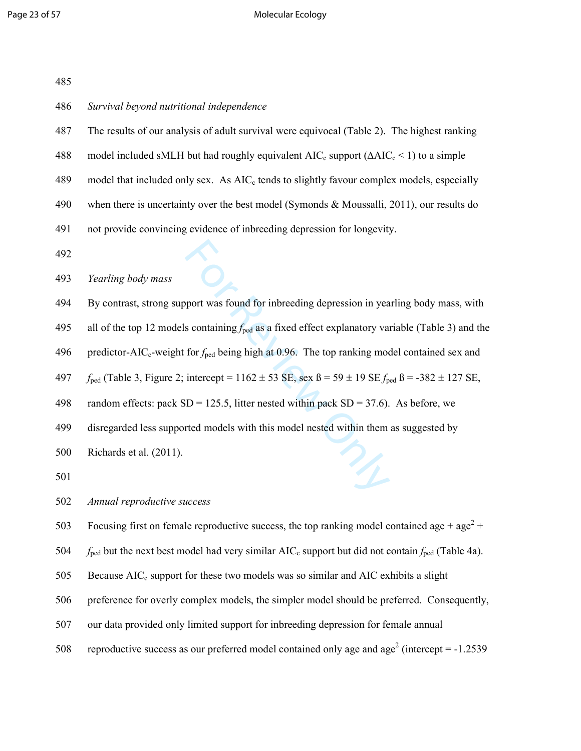#### Page 23 of 57 Molecular Ecology

| 485 |                                                                                                                                     |
|-----|-------------------------------------------------------------------------------------------------------------------------------------|
| 486 | Survival beyond nutritional independence                                                                                            |
| 487 | The results of our analysis of adult survival were equivocal (Table 2). The highest ranking                                         |
| 488 | model included sMLH but had roughly equivalent $AIC_c$ support ( $\Delta AIC_c$ < 1) to a simple                                    |
| 489 | model that included only sex. As AIC <sub>c</sub> tends to slightly favour complex models, especially                               |
| 490 | when there is uncertainty over the best model (Symonds $&$ Moussalli, 2011), our results do                                         |
| 491 | not provide convincing evidence of inbreeding depression for longevity.                                                             |
| 492 |                                                                                                                                     |
| 493 | Yearling body mass                                                                                                                  |
| 494 | By contrast, strong support was found for inbreeding depression in yearling body mass, with                                         |
| 495 | all of the top 12 models containing $f_{\text{ped}}$ as a fixed effect explanatory variable (Table 3) and the                       |
| 496 | predictor-AIC <sub>c</sub> -weight for $f_{\text{ped}}$ being high at 0.96. The top ranking model contained sex and                 |
| 497 | $f_{\text{ped}}$ (Table 3, Figure 2; intercept = 1162 ± 53 SE, sex $\beta$ = 59 ± 19 SE $f_{\text{ped}}$ $\beta$ = -382 ± 127 SE,   |
| 498 | random effects: pack SD = 125.5, litter nested within pack SD = 37.6). As before, we                                                |
| 499 | disregarded less supported models with this model nested within them as suggested by                                                |
| 500 | Richards et al. (2011).                                                                                                             |
| 501 | Z,                                                                                                                                  |
| 502 | Annual reproductive success                                                                                                         |
| 503 | Focusing first on female reproductive success, the top ranking model contained age + $age^2$ +                                      |
| 504 | $f_{\text{ped}}$ but the next best model had very similar AIC <sub>c</sub> support but did not contain $f_{\text{ped}}$ (Table 4a). |
| 505 | Because $AIC_c$ support for these two models was so similar and $AIC$ exhibits a slight                                             |

- 506 preference for overly complex models, the simpler model should be preferred. Consequently,
- 507 our data provided only limited support for inbreeding depression for female annual
- 508 reproductive success as our preferred model contained only age and age<sup>2</sup> (intercept =  $-1.2539$ )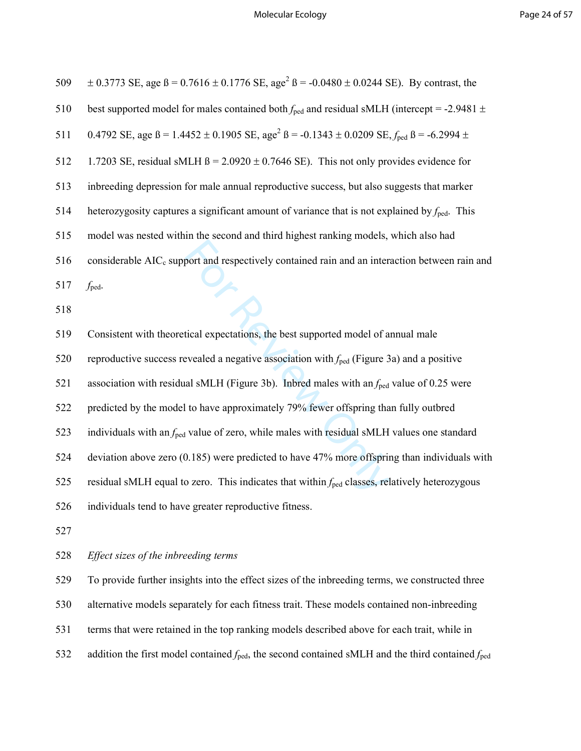| 509 | $\pm$ 0.3773 SE, age $\beta$ = 0.7616 $\pm$ 0.1776 SE, age <sup>2</sup> $\beta$ = -0.0480 $\pm$ 0.0244 SE). By contrast, the      |
|-----|-----------------------------------------------------------------------------------------------------------------------------------|
| 510 | best supported model for males contained both $f_{\text{ped}}$ and residual sMLH (intercept = -2.9481 $\pm$                       |
| 511 | 0.4792 SE, age $\beta$ = 1.4452 ± 0.1905 SE, age <sup>2</sup> $\beta$ = -0.1343 ± 0.0209 SE, $f_{\text{ped}}$ $\beta$ = -6.2994 ± |
| 512 | 1.7203 SE, residual sMLH $\beta$ = 2.0920 $\pm$ 0.7646 SE). This not only provides evidence for                                   |
| 513 | inbreeding depression for male annual reproductive success, but also suggests that marker                                         |
| 514 | heterozygosity captures a significant amount of variance that is not explained by $f_{\text{ped}}$ . This                         |
| 515 | model was nested within the second and third highest ranking models, which also had                                               |
| 516 | considerable AIC <sub>c</sub> support and respectively contained rain and an interaction between rain and                         |
| 517 | y<br>B<br>$f_{\text{ped}}$ .                                                                                                      |
| 518 |                                                                                                                                   |
| 519 | Consistent with theoretical expectations, the best supported model of annual male                                                 |
| 520 | reproductive success revealed a negative association with $f_{\text{ped}}$ (Figure 3a) and a positive                             |
| 521 | association with residual sMLH (Figure 3b). Inbred males with an $f_{\text{ped}}$ value of 0.25 were                              |
| 522 | predicted by the model to have approximately 79% fewer offspring than fully outbred                                               |
|     |                                                                                                                                   |
| 523 | individuals with an $f_{\text{ped}}$ value of zero, while males with residual sMLH values one standard                            |
| 524 | deviation above zero $(0.185)$ were predicted to have 47% more offspring than individuals with                                    |
| 525 | residual sMLH equal to zero. This indicates that within $f_{\text{ped}}$ classes, relatively heterozygous                         |
| 526 | individuals tend to have greater reproductive fitness.                                                                            |
| 527 |                                                                                                                                   |

529 To provide further insights into the effect sizes of the inbreeding terms, we constructed three 530 alternative models separately for each fitness trait. These models contained non-inbreeding

- 531 terms that were retained in the top ranking models described above for each trait, while in
- 532 addition the first model contained  $f_{\text{ped}}$ , the second contained sMLH and the third contained  $f_{\text{ped}}$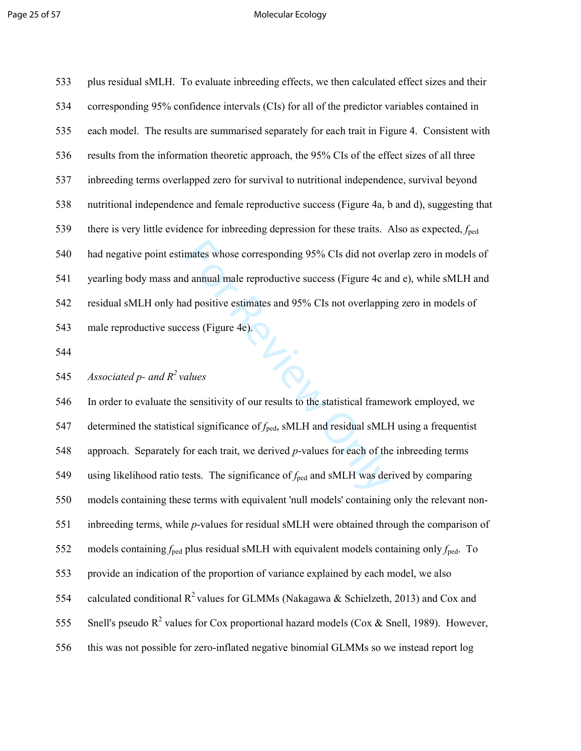#### Page 25 of 57 and 2008 and 2009 and 2009 and 2009 and 2009 and 2009 and 2009 and 2009 and 2009 and 2009 and 20

533 plus residual sMLH. To evaluate inbreeding effects, we then calculated effect sizes and their 534 corresponding 95% confidence intervals (CIs) for all of the predictor variables contained in 535 each model. The results are summarised separately for each trait in Figure 4. Consistent with 536 results from the information theoretic approach, the 95% CIs of the effect sizes of all three 537 inbreeding terms overlapped zero for survival to nutritional independence, survival beyond 538 nutritional independence and female reproductive success (Figure 4a, b and d), suggesting that 539 there is very little evidence for inbreeding depression for these traits. Also as expected, *f*ped 540 had negative point estimates whose corresponding 95% CIs did not overlap zero in models of 541 yearling body mass and annual male reproductive success (Figure 4c and e), while sMLH and 542 residual sMLH only had positive estimates and 95% CIs not overlapping zero in models of 543 male reproductive success (Figure 4e).

544

*Associated p- and R<sup>2</sup>*545 *values* 

mates whose corresponding 95% CIs did not over<br>d annual male reproductive success (Figure 4c and<br>positive estimates and 95% CIs not overlappin<br>ress (Figure 4e).<br><br> $\blacksquare$ <br> $\blacksquare$ <br> $\blacksquare$ <br> $\blacksquare$ <br> $\blacksquare$  and restartiance of  $f_{\$ 546 In order to evaluate the sensitivity of our results to the statistical framework employed, we 547 determined the statistical significance of *f*<sub>ped</sub>, sMLH and residual sMLH using a frequentist 548 approach. Separately for each trait, we derived *p*-values for each of the inbreeding terms 549 using likelihood ratio tests. The significance of *f*ped and sMLH was derived by comparing 550 models containing these terms with equivalent 'null models' containing only the relevant non-551 inbreeding terms, while *p*-values for residual sMLH were obtained through the comparison of 552 models containing  $f_{\text{ped}}$  plus residual sMLH with equivalent models containing only  $f_{\text{ped}}$ . To 553 provide an indication of the proportion of variance explained by each model, we also 554 calculated conditional  $R^2$  values for GLMMs (Nakagawa & Schielzeth, 2013) and Cox and 555 Snell's pseudo  $R^2$  values for Cox proportional hazard models (Cox & Snell, 1989). However, 556 this was not possible for zero-inflated negative binomial GLMMs so we instead report log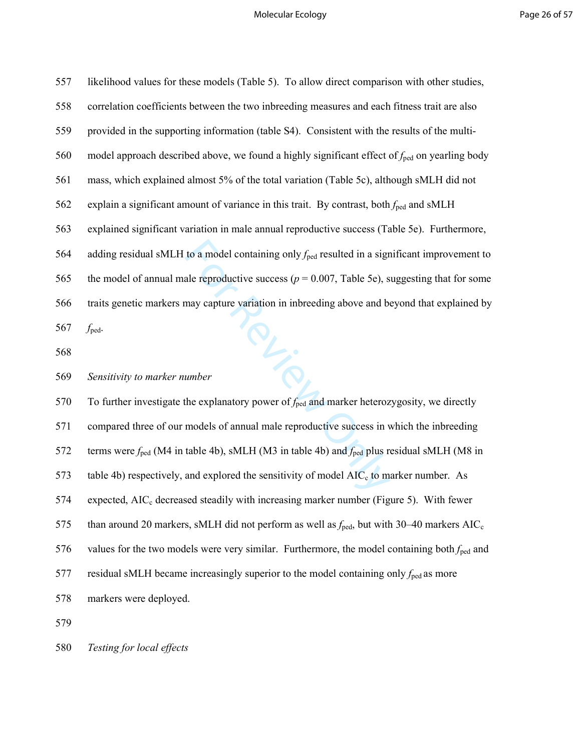| 557 | likelihood values for these models (Table 5). To allow direct comparison with other studies,                       |
|-----|--------------------------------------------------------------------------------------------------------------------|
| 558 | correlation coefficients between the two inbreeding measures and each fitness trait are also                       |
| 559 | provided in the supporting information (table S4). Consistent with the results of the multi-                       |
| 560 | model approach described above, we found a highly significant effect of $f_{\text{ped}}$ on yearling body          |
| 561 | mass, which explained almost 5% of the total variation (Table 5c), although sMLH did not                           |
| 562 | explain a significant amount of variance in this trait. By contrast, both $f_{\text{ped}}$ and sMLH                |
| 563 | explained significant variation in male annual reproductive success (Table 5e). Furthermore,                       |
| 564 | adding residual sMLH to a model containing only $f_{\text{ped}}$ resulted in a significant improvement to          |
| 565 | the model of annual male reproductive success ( $p = 0.007$ , Table 5e), suggesting that for some                  |
| 566 | traits genetic markers may capture variation in inbreeding above and beyond that explained by                      |
| 567 | $f_{\text{ped}}$ .                                                                                                 |
| 568 |                                                                                                                    |
|     |                                                                                                                    |
| 569 | Sensitivity to marker number                                                                                       |
| 570 | PL-S<br>To further investigate the explanatory power of $f_{\text{ped}}$ and marker heterozygosity, we directly    |
| 571 | compared three of our models of annual male reproductive success in which the inbreeding                           |
| 572 | terms were $f_{\text{ped}}$ (M4 in table 4b), sMLH (M3 in table 4b) and $f_{\text{ped}}$ plus residual sMLH (M8 in |
| 573 | table 4b) respectively, and explored the sensitivity of model $AIC_c$ to marker number. As                         |
| 574 | expected, AIC <sub>c</sub> decreased steadily with increasing marker number (Figure 5). With fewer                 |
| 575 | than around 20 markers, sMLH did not perform as well as $f_{\text{ped}}$ , but with 30–40 markers AIC <sub>c</sub> |
| 576 | values for the two models were very similar. Furthermore, the model containing both $f_{\text{ped}}$ and           |
| 577 | residual sMLH became increasingly superior to the model containing only $f_{\text{ped}}$ as more                   |
| 578 | markers were deployed.                                                                                             |

579

580 *Testing for local effects*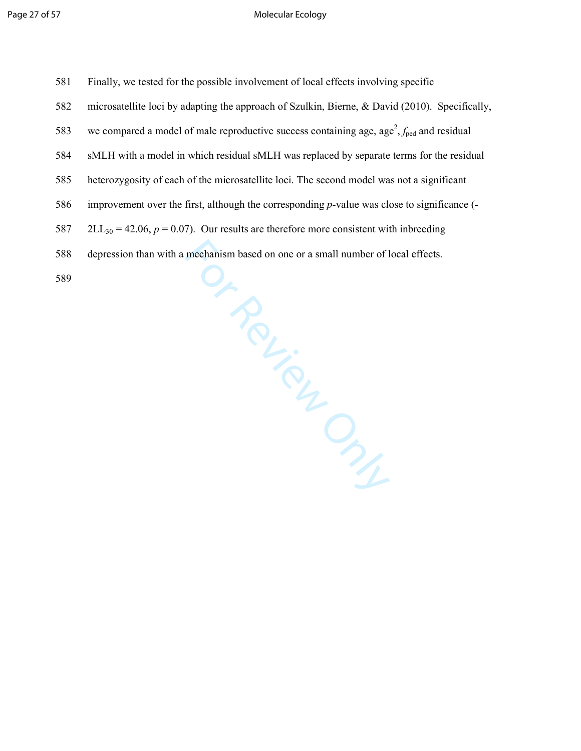| 581 | Finally, we tested for the possible involvement of local effects involving specific                               |
|-----|-------------------------------------------------------------------------------------------------------------------|
| 582 | microsatellite loci by adapting the approach of Szulkin, Bierne, & David (2010). Specifically,                    |
| 583 | we compared a model of male reproductive success containing age, age <sup>2</sup> , $f_{\text{ped}}$ and residual |
| 584 | sMLH with a model in which residual sMLH was replaced by separate terms for the residual                          |
| 585 | heterozygosity of each of the microsatellite loci. The second model was not a significant                         |
| 586 | improvement over the first, although the corresponding p-value was close to significance (-                       |
| 587 | $2LL_{30} = 42.06$ , $p = 0.07$ ). Our results are therefore more consistent with inbreeding                      |
| 588 | depression than with a mechanism based on one or a small number of local effects.                                 |
| 589 |                                                                                                                   |

Or Review Only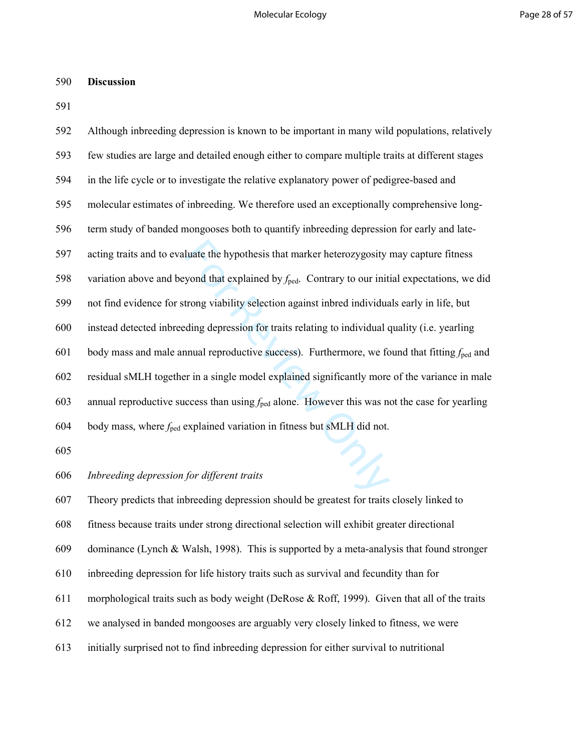### 590 **Discussion**

591

| 592 | Although inbreeding depression is known to be important in many wild populations, relatively                 |
|-----|--------------------------------------------------------------------------------------------------------------|
| 593 | few studies are large and detailed enough either to compare multiple traits at different stages              |
| 594 | in the life cycle or to investigate the relative explanatory power of pedigree-based and                     |
| 595 | molecular estimates of inbreeding. We therefore used an exceptionally comprehensive long-                    |
| 596 | term study of banded mongooses both to quantify inbreeding depression for early and late-                    |
| 597 | acting traits and to evaluate the hypothesis that marker heterozygosity may capture fitness                  |
| 598 | variation above and beyond that explained by $f_{\text{ped}}$ . Contrary to our initial expectations, we did |
| 599 | not find evidence for strong viability selection against inbred individuals early in life, but               |
| 600 | instead detected inbreeding depression for traits relating to individual quality (i.e. yearling              |
| 601 | body mass and male annual reproductive success). Furthermore, we found that fitting $f_{\text{ped}}$ and     |
| 602 | residual sMLH together in a single model explained significantly more of the variance in male                |
| 603 | annual reproductive success than using $f_{\text{ped}}$ alone. However this was not the case for yearling    |
| 604 | body mass, where $f_{\text{ped}}$ explained variation in fitness but sMLH did not.                           |
| 605 |                                                                                                              |
| 606 | Inbreeding depression for different traits                                                                   |
| 607 | Theory predicts that intreading depression should be greatest for traits closely linked to                   |

## 606 *Inbreeding depression for different traits*

607 Theory predicts that inbreeding depression should be greatest for traits closely linked to

608 fitness because traits under strong directional selection will exhibit greater directional

609 dominance (Lynch & Walsh, 1998). This is supported by a meta-analysis that found stronger

610 inbreeding depression for life history traits such as survival and fecundity than for

611 morphological traits such as body weight (DeRose & Roff, 1999). Given that all of the traits

612 we analysed in banded mongooses are arguably very closely linked to fitness, we were

613 initially surprised not to find inbreeding depression for either survival to nutritional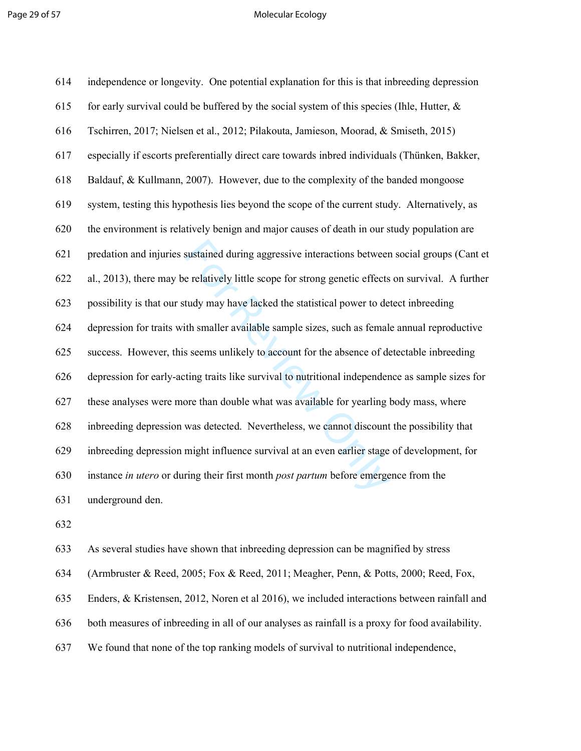#### Page 29 of 57 and 20 of 57 and 20 of 57 and 20 of 57 and 20 of 57 and 20 of 57 and 20 of 57 and 20 of 57 and 20 of 57 and 20 of 57 and 20 of 57 and 20 of 57 and 20 of 57 and 20 of 57 and 20 of 57 and 20 of 57 and 20 of 57

| 614 | independence or longevity. One potential explanation for this is that inbreeding depression        |
|-----|----------------------------------------------------------------------------------------------------|
| 615 | for early survival could be buffered by the social system of this species (Ihle, Hutter, $\&$      |
| 616 | Tschirren, 2017; Nielsen et al., 2012; Pilakouta, Jamieson, Moorad, & Smiseth, 2015)               |
| 617 | especially if escorts preferentially direct care towards inbred individuals (Thünken, Bakker,      |
| 618 | Baldauf, & Kullmann, 2007). However, due to the complexity of the banded mongoose                  |
| 619 | system, testing this hypothesis lies beyond the scope of the current study. Alternatively, as      |
| 620 | the environment is relatively benign and major causes of death in our study population are         |
| 621 | predation and injuries sustained during aggressive interactions between social groups (Cant et     |
| 622 | al., 2013), there may be relatively little scope for strong genetic effects on survival. A further |
| 623 | possibility is that our study may have lacked the statistical power to detect inbreeding           |
| 624 | depression for traits with smaller available sample sizes, such as female annual reproductive      |
| 625 | success. However, this seems unlikely to account for the absence of detectable inbreeding          |
| 626 | depression for early-acting traits like survival to nutritional independence as sample sizes for   |
| 627 | these analyses were more than double what was available for yearling body mass, where              |
| 628 | inbreeding depression was detected. Nevertheless, we cannot discount the possibility that          |
| 629 | inbreeding depression might influence survival at an even earlier stage of development, for        |
| 630 | instance in utero or during their first month post partum before emergence from the                |
| 631 | underground den.                                                                                   |

632

633 As several studies have shown that inbreeding depression can be magnified by stress

634 (Armbruster & Reed, 2005; Fox & Reed, 2011; Meagher, Penn, & Potts, 2000; Reed, Fox,

635 Enders, & Kristensen, 2012, Noren et al 2016), we included interactions between rainfall and

636 both measures of inbreeding in all of our analyses as rainfall is a proxy for food availability.

637 We found that none of the top ranking models of survival to nutritional independence,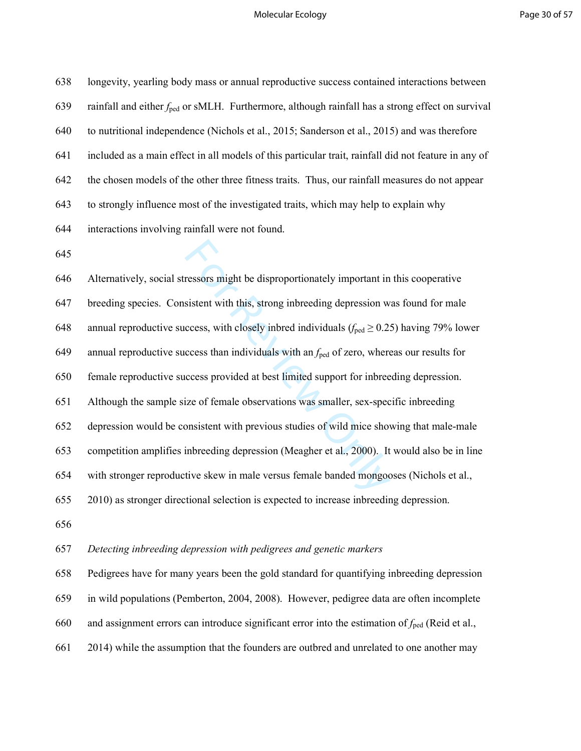#### Molecular Ecology **Page 30 of 57**

ressors might be disproportionately important in<br>sistent with this, strong inbreeding depression w<br>ccess, with closely inbred individuals ( $f_{\text{ped}} \ge 0.2$ ;<br>ccess than individuals with an  $f_{\text{ped}}$  of zero, where<br>ccess pro 638 longevity, yearling body mass or annual reproductive success contained interactions between 639 rainfall and either  $f_{\text{ped}}$  or sMLH. Furthermore, although rainfall has a strong effect on survival 640 to nutritional independence (Nichols et al., 2015; Sanderson et al., 2015) and was therefore 641 included as a main effect in all models of this particular trait, rainfall did not feature in any of 642 the chosen models of the other three fitness traits. Thus, our rainfall measures do not appear 643 to strongly influence most of the investigated traits, which may help to explain why 644 interactions involving rainfall were not found. 645 646 Alternatively, social stressors might be disproportionately important in this cooperative 647 breeding species. Consistent with this, strong inbreeding depression was found for male

648 annual reproductive success, with closely inbred individuals  $(f_{\text{ped}} \ge 0.25)$  having 79% lower

649 annual reproductive success than individuals with an  $f_{\text{ped}}$  of zero, whereas our results for

650 female reproductive success provided at best limited support for inbreeding depression.

651 Although the sample size of female observations was smaller, sex-specific inbreeding

652 depression would be consistent with previous studies of wild mice showing that male-male

653 competition amplifies inbreeding depression (Meagher et al., 2000). It would also be in line

654 with stronger reproductive skew in male versus female banded mongooses (Nichols et al.,

655 2010) as stronger directional selection is expected to increase inbreeding depression.

656

### 657 *Detecting inbreeding depression with pedigrees and genetic markers*

658 Pedigrees have for many years been the gold standard for quantifying inbreeding depression

659 in wild populations (Pemberton, 2004, 2008). However, pedigree data are often incomplete

660 and assignment errors can introduce significant error into the estimation of *f*ped (Reid et al.,

661 2014) while the assumption that the founders are outbred and unrelated to one another may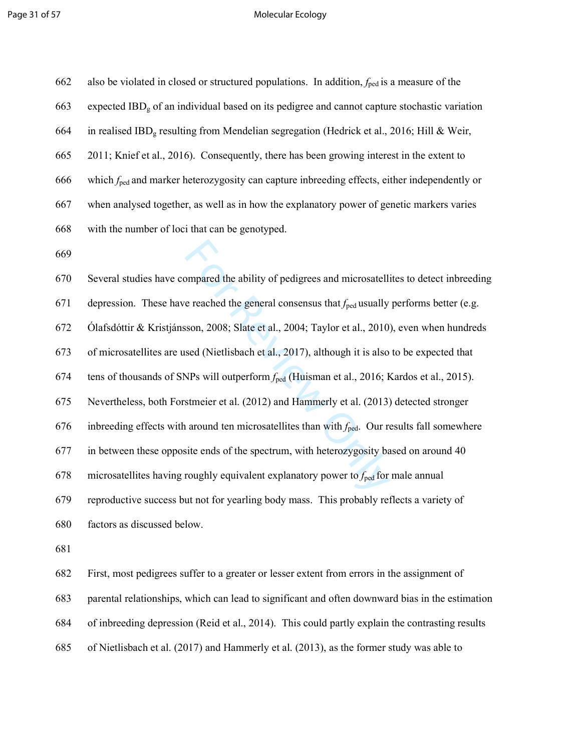#### Page 31 of 57 Molecular Ecology

| 662 | also be violated in closed or structured populations. In addition, $f_{\text{ped}}$ is a measure of the    |  |  |  |
|-----|------------------------------------------------------------------------------------------------------------|--|--|--|
| 663 | expected IBD <sub>g</sub> of an individual based on its pedigree and cannot capture stochastic variation   |  |  |  |
| 664 | in realised IBD <sub>g</sub> resulting from Mendelian segregation (Hedrick et al., 2016; Hill & Weir,      |  |  |  |
| 665 | 2011; Knief et al., 2016). Consequently, there has been growing interest in the extent to                  |  |  |  |
| 666 | which $f_{\text{ped}}$ and marker heterozygosity can capture inbreeding effects, either independently or   |  |  |  |
| 667 | when analysed together, as well as in how the explanatory power of genetic markers varies                  |  |  |  |
| 668 | with the number of loci that can be genotyped.                                                             |  |  |  |
| 669 |                                                                                                            |  |  |  |
| 670 | Several studies have compared the ability of pedigrees and microsatellites to detect inbreeding            |  |  |  |
| 671 | depression. These have reached the general consensus that $f_{\text{ped}}$ usually performs better (e.g.   |  |  |  |
| 672 | Ólafsdóttir & Kristjánsson, 2008; Slate et al., 2004; Taylor et al., 2010), even when hundreds             |  |  |  |
| 673 | of microsatellites are used (Nietlisbach et al., 2017), although it is also to be expected that            |  |  |  |
| 674 | tens of thousands of SNPs will outperform f <sub>ped</sub> (Huisman et al., 2016; Kardos et al., 2015).    |  |  |  |
| 675 | Nevertheless, both Forstmeier et al. (2012) and Hammerly et al. (2013) detected stronger                   |  |  |  |
| 676 | inbreeding effects with around ten microsatellites than with $f_{\text{ped}}$ . Our results fall somewhere |  |  |  |
| 677 | in between these opposite ends of the spectrum, with heterozygosity based on around 40                     |  |  |  |
| 678 | microsatellites having roughly equivalent explanatory power to $f_{\text{ped}}$ for male annual            |  |  |  |
| 670 | reproductive success but not for vearling body mass. This probably reflects a variety of                   |  |  |  |

679 reproductive success but not for yearling body mass. This probably reflects a variety of

680 factors as discussed below.

681

682 First, most pedigrees suffer to a greater or lesser extent from errors in the assignment of

683 parental relationships, which can lead to significant and often downward bias in the estimation

684 of inbreeding depression (Reid et al., 2014). This could partly explain the contrasting results

685 of Nietlisbach et al. (2017) and Hammerly et al. (2013), as the former study was able to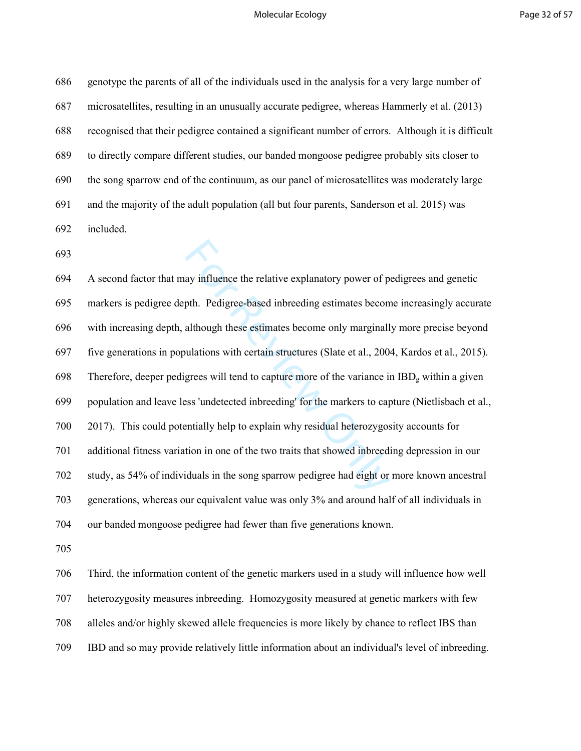#### Molecular Ecology **Page 32 of 57**

686 genotype the parents of all of the individuals used in the analysis for a very large number of 687 microsatellites, resulting in an unusually accurate pedigree, whereas Hammerly et al. (2013) 688 recognised that their pedigree contained a significant number of errors. Although it is difficult 689 to directly compare different studies, our banded mongoose pedigree probably sits closer to 690 the song sparrow end of the continuum, as our panel of microsatellites was moderately large 691 and the majority of the adult population (all but four parents, Sanderson et al. 2015) was 692 included.

693

ay influence the relative explanatory power of p<br>pth. Pedigree-based inbreeding estimates becom<br>although these estimates become only marginall<br>ulations with certain structures (Slate et al., 200-<br>grees will tend to capture 694 A second factor that may influence the relative explanatory power of pedigrees and genetic 695 markers is pedigree depth. Pedigree-based inbreeding estimates become increasingly accurate 696 with increasing depth, although these estimates become only marginally more precise beyond 697 five generations in populations with certain structures (Slate et al., 2004, Kardos et al., 2015). 698 Therefore, deeper pedigrees will tend to capture more of the variance in  $IBD<sub>g</sub>$  within a given 699 population and leave less 'undetected inbreeding' for the markers to capture (Nietlisbach et al., 700 2017). This could potentially help to explain why residual heterozygosity accounts for 701 additional fitness variation in one of the two traits that showed inbreeding depression in our 702 study, as 54% of individuals in the song sparrow pedigree had eight or more known ancestral 703 generations, whereas our equivalent value was only 3% and around half of all individuals in 704 our banded mongoose pedigree had fewer than five generations known.

705

706 Third, the information content of the genetic markers used in a study will influence how well 707 heterozygosity measures inbreeding. Homozygosity measured at genetic markers with few 708 alleles and/or highly skewed allele frequencies is more likely by chance to reflect IBS than 709 IBD and so may provide relatively little information about an individual's level of inbreeding.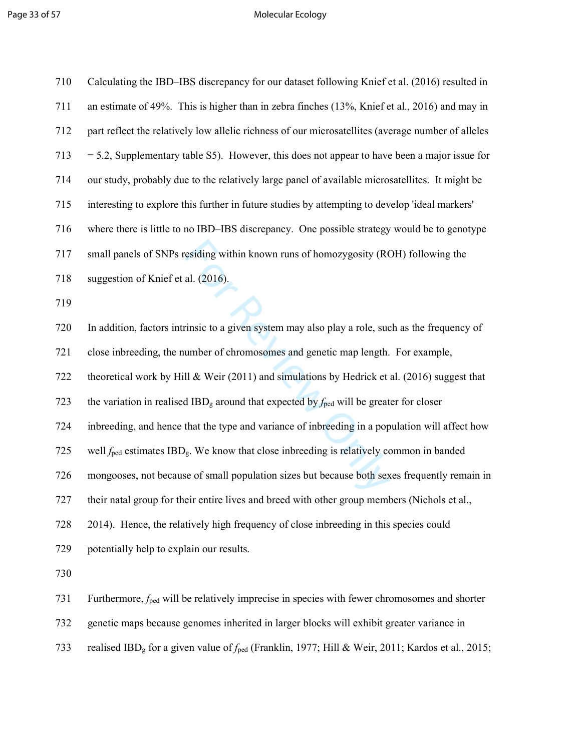# Page 33 of 57 and 2008 and 2009 and 2009 and 2009 and 2009 and 2009 and 2009 and 2009 and 2009 and 2009 and 20

| 710 | Calculating the IBD–IBS discrepancy for our dataset following Knief et al. (2016) resulted in                            |  |  |  |
|-----|--------------------------------------------------------------------------------------------------------------------------|--|--|--|
| 711 | an estimate of 49%. This is higher than in zebra finches (13%, Knief et al., 2016) and may in                            |  |  |  |
| 712 | part reflect the relatively low allelic richness of our microsatellites (average number of alleles                       |  |  |  |
| 713 | $=$ 5.2, Supplementary table S5). However, this does not appear to have been a major issue for                           |  |  |  |
| 714 | our study, probably due to the relatively large panel of available microsatellites. It might be                          |  |  |  |
| 715 | interesting to explore this further in future studies by attempting to develop 'ideal markers'                           |  |  |  |
| 716 | where there is little to no IBD-IBS discrepancy. One possible strategy would be to genotype                              |  |  |  |
| 717 | small panels of SNPs residing within known runs of homozygosity (ROH) following the                                      |  |  |  |
| 718 | suggestion of Knief et al. (2016).                                                                                       |  |  |  |
| 719 |                                                                                                                          |  |  |  |
| 720 | In addition, factors intrinsic to a given system may also play a role, such as the frequency of                          |  |  |  |
| 721 | close inbreeding, the number of chromosomes and genetic map length. For example,                                         |  |  |  |
| 722 | theoretical work by Hill & Weir (2011) and simulations by Hedrick et al. (2016) suggest that                             |  |  |  |
| 723 | the variation in realised IBD <sub>g</sub> around that expected by $f_{\text{ped}}$ will be greater for closer           |  |  |  |
| 724 | inbreeding, and hence that the type and variance of inbreeding in a population will affect how                           |  |  |  |
| 725 | well $f_{\text{ped}}$ estimates IBD <sub>g</sub> . We know that close inbreeding is relatively common in banded          |  |  |  |
| 726 | mongooses, not because of small population sizes but because both sexes frequently remain in                             |  |  |  |
| 727 | their natal group for their entire lives and breed with other group members (Nichols et al.,                             |  |  |  |
| 728 | 2014). Hence, the relatively high frequency of close inbreeding in this species could                                    |  |  |  |
| 729 | potentially help to explain our results.                                                                                 |  |  |  |
| 730 |                                                                                                                          |  |  |  |
| 731 | Furthermore, $f_{\text{ped}}$ will be relatively imprecise in species with fewer chromosomes and shorter                 |  |  |  |
| 732 | genetic maps because genomes inherited in larger blocks will exhibit greater variance in                                 |  |  |  |
| 733 | realised IBD <sub>g</sub> for a given value of $f_{\text{ped}}$ (Franklin, 1977; Hill & Weir, 2011; Kardos et al., 2015; |  |  |  |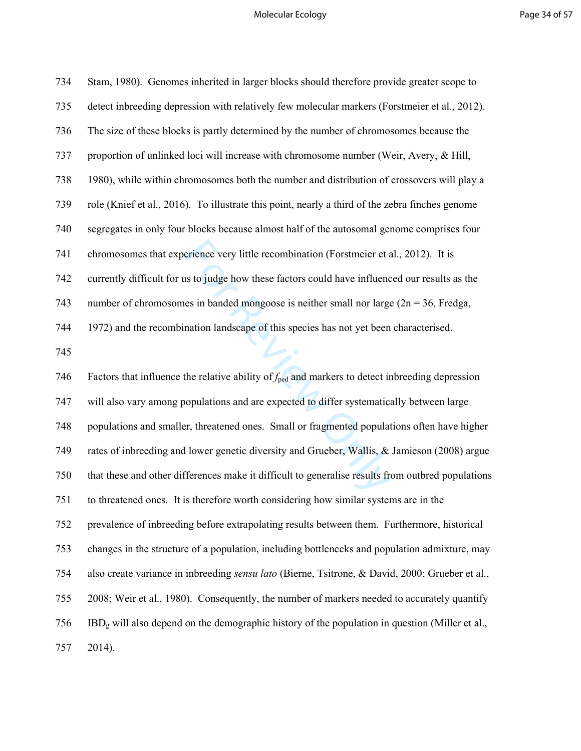# Molecular Ecology **Page 34 of 57**

| 734 | Stam, 1980). Genomes inherited in larger blocks should therefore provide greater scope to                   |
|-----|-------------------------------------------------------------------------------------------------------------|
| 735 | detect inbreeding depression with relatively few molecular markers (Forstmeier et al., 2012).               |
| 736 | The size of these blocks is partly determined by the number of chromosomes because the                      |
| 737 | proportion of unlinked loci will increase with chromosome number (Weir, Avery, & Hill,                      |
| 738 | 1980), while within chromosomes both the number and distribution of crossovers will play a                  |
| 739 | role (Knief et al., 2016). To illustrate this point, nearly a third of the zebra finches genome             |
| 740 | segregates in only four blocks because almost half of the autosomal genome comprises four                   |
| 741 | chromosomes that experience very little recombination (Forstmeier et al., 2012). It is                      |
| 742 | currently difficult for us to judge how these factors could have influenced our results as the              |
| 743 | number of chromosomes in banded mongoose is neither small nor large $(2n = 36$ , Fredga,                    |
| 744 | 1972) and the recombination landscape of this species has not yet been characterised.                       |
| 745 |                                                                                                             |
| 746 | Factors that influence the relative ability of $f_{\text{ped}}$ and markers to detect inbreeding depression |
| 747 | will also vary among populations and are expected to differ systematically between large                    |
| 748 | populations and smaller, threatened ones. Small or fragmented populations often have higher                 |
| 749 | rates of inbreeding and lower genetic diversity and Grueber, Wallis, & Jamieson (2008) argue                |
| 750 | that these and other differences make it difficult to generalise results from outbred populations           |
| 751 | to threatened ones. It is therefore worth considering how similar systems are in the                        |
| 752 | prevalence of inbreeding before extrapolating results between them. Furthermore, historical                 |
| 753 | changes in the structure of a population, including bottlenecks and population admixture, may               |
| 754 | also create variance in inbreeding <i>sensu lato</i> (Bierne, Tsitrone, & David, 2000; Grueber et al.,      |
| 755 | 2008; Weir et al., 1980). Consequently, the number of markers needed to accurately quantify                 |
| 756 | $IBDg$ will also depend on the demographic history of the population in question (Miller et al.,            |
| 757 | 2014).                                                                                                      |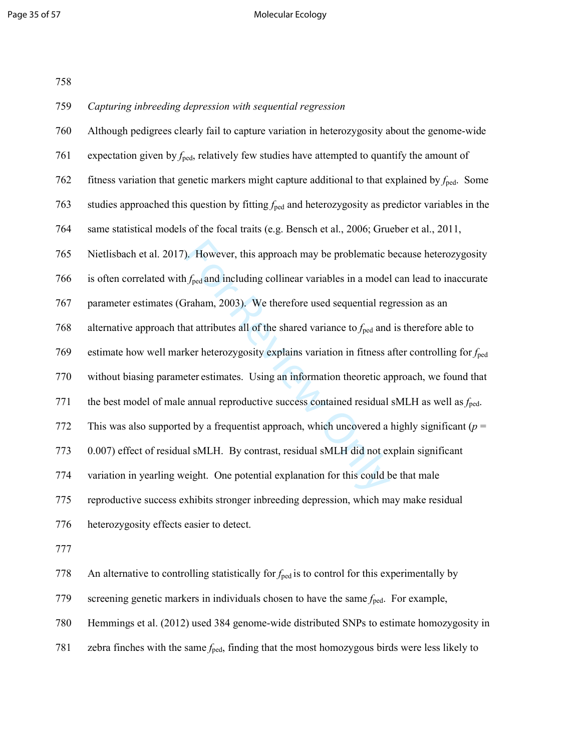#### Page 35 of 57 and 20 Molecular Ecology

| 758 |                                                                                                               |
|-----|---------------------------------------------------------------------------------------------------------------|
| 759 | Capturing inbreeding depression with sequential regression                                                    |
| 760 | Although pedigrees clearly fail to capture variation in heterozygosity about the genome-wide                  |
| 761 | expectation given by $f_{\text{ped}}$ , relatively few studies have attempted to quantify the amount of       |
| 762 | fitness variation that genetic markers might capture additional to that explained by $f_{\text{ped}}$ . Some  |
| 763 | studies approached this question by fitting $f_{\text{ped}}$ and heterozygosity as predictor variables in the |
| 764 | same statistical models of the focal traits (e.g. Bensch et al., 2006; Grueber et al., 2011,                  |
| 765 | Nietlisbach et al. 2017). However, this approach may be problematic because heterozygosity                    |
| 766 | is often correlated with $f_{\text{ped}}$ and including collinear variables in a model can lead to inaccurate |
| 767 | parameter estimates (Graham, 2003). We therefore used sequential regression as an                             |
| 768 | alternative approach that attributes all of the shared variance to $f_{\text{ped}}$ and is therefore able to  |
| 769 | estimate how well marker heterozygosity explains variation in fitness after controlling for f <sub>ped</sub>  |
| 770 | without biasing parameter estimates. Using an information theoretic approach, we found that                   |
| 771 | the best model of male annual reproductive success contained residual sMLH as well as $f_{\text{ped}}$ .      |
| 772 | This was also supported by a frequentist approach, which uncovered a highly significant ( $p =$               |
| 773 | 0.007) effect of residual sMLH. By contrast, residual sMLH did not explain significant                        |
| 774 | variation in yearling weight. One potential explanation for this could be that male                           |
| 775 | reproductive success exhibits stronger inbreeding depression, which may make residual                         |
| 776 | heterozygosity effects easier to detect.                                                                      |
| 777 |                                                                                                               |

778 An alternative to controlling statistically for  $f_{\text{ped}}$  is to control for this experimentally by

779 screening genetic markers in individuals chosen to have the same  $f_{\text{ped}}$ . For example,

780 Hemmings et al. (2012) used 384 genome-wide distributed SNPs to estimate homozygosity in

781 zebra finches with the same  $f_{\text{ped}}$ , finding that the most homozygous birds were less likely to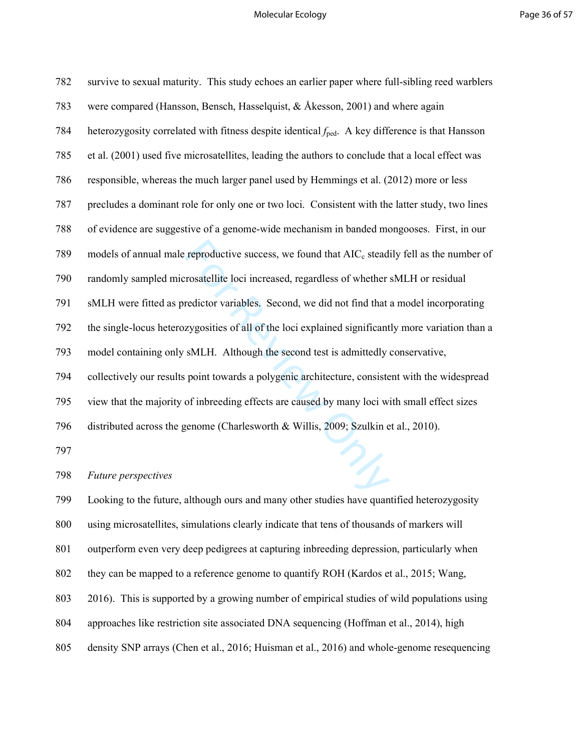#### Molecular Ecology **Page 36 of 57**

| 782 | survive to sexual maturity. This study echoes an earlier paper where full-sibling reed warblers              |
|-----|--------------------------------------------------------------------------------------------------------------|
| 783 | were compared (Hansson, Bensch, Hasselquist, & Åkesson, 2001) and where again                                |
| 784 | heterozygosity correlated with fitness despite identical $f_{\text{ped}}$ . A key difference is that Hansson |
| 785 | et al. (2001) used five microsatellites, leading the authors to conclude that a local effect was             |
| 786 | responsible, whereas the much larger panel used by Hemmings et al. (2012) more or less                       |
| 787 | precludes a dominant role for only one or two loci. Consistent with the latter study, two lines              |
| 788 | of evidence are suggestive of a genome-wide mechanism in banded mongooses. First, in our                     |
| 789 | models of annual male reproductive success, we found that AIC <sub>c</sub> steadily fell as the number of    |
| 790 | randomly sampled microsatellite loci increased, regardless of whether sMLH or residual                       |
| 791 | sMLH were fitted as predictor variables. Second, we did not find that a model incorporating                  |
| 792 | the single-locus heterozygosities of all of the loci explained significantly more variation than a           |
| 793 | model containing only sMLH. Although the second test is admittedly conservative,                             |
| 794 | collectively our results point towards a polygenic architecture, consistent with the widespread              |
| 795 | view that the majority of inbreeding effects are caused by many loci with small effect sizes                 |
| 796 | distributed across the genome (Charlesworth & Willis, 2009; Szulkin et al., 2010).                           |
| 797 |                                                                                                              |
| 798 | $\mathscr{U}_L$<br>Future perspectives                                                                       |
| 700 | Looking to the future, although ours and many other studies have quantified beterozygosity                   |

799 Looking to the future, although ours and many other studies have quantified heterozygosity 800 using microsatellites, simulations clearly indicate that tens of thousands of markers will 801 outperform even very deep pedigrees at capturing inbreeding depression, particularly when 802 they can be mapped to a reference genome to quantify ROH (Kardos et al., 2015; Wang, 803 2016). This is supported by a growing number of empirical studies of wild populations using 804 approaches like restriction site associated DNA sequencing (Hoffman et al., 2014), high 805 density SNP arrays (Chen et al., 2016; Huisman et al., 2016) and whole-genome resequencing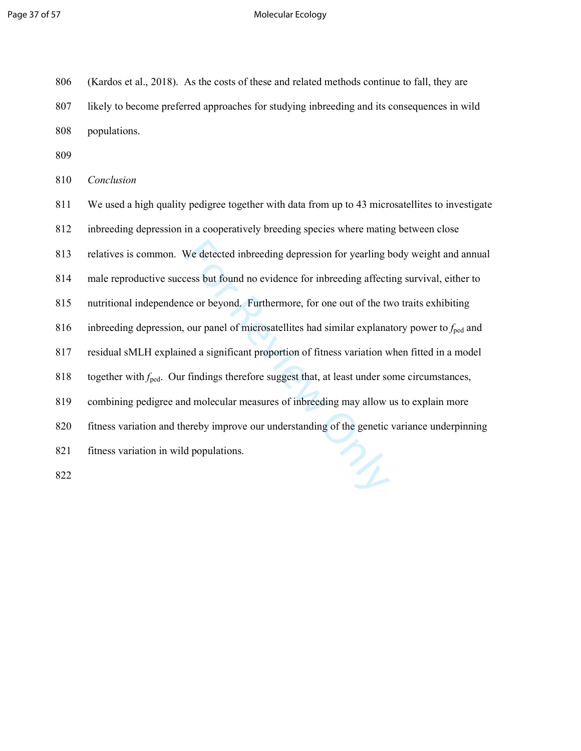#### Page 37 of 57 and 200 million to the Molecular Ecology

| 806 | (Kardos et al., 2018). As the costs of these and related methods continue to fall, they are |
|-----|---------------------------------------------------------------------------------------------|
| 807 | likely to become preferred approaches for studying inbreeding and its consequences in wild  |
| 808 | populations.                                                                                |

809

810 *Conclusion* 

We detected inbreeding depression for yearling t<br>ress but found no evidence for inbreeding affective<br>ce or beyond. Furthermore, for one out of the twour panel of microsatellites had similar explana<br>ned a significant propor 811 We used a high quality pedigree together with data from up to 43 microsatellites to investigate 812 inbreeding depression in a cooperatively breeding species where mating between close 813 relatives is common. We detected inbreeding depression for yearling body weight and annual 814 male reproductive success but found no evidence for inbreeding affecting survival, either to 815 nutritional independence or beyond. Furthermore, for one out of the two traits exhibiting 816 inbreeding depression, our panel of microsatellites had similar explanatory power to *f*ped and 817 residual sMLH explained a significant proportion of fitness variation when fitted in a model 818 together with  $f_{\text{ped}}$ . Our findings therefore suggest that, at least under some circumstances, 819 combining pedigree and molecular measures of inbreeding may allow us to explain more 820 fitness variation and thereby improve our understanding of the genetic variance underpinning 821 fitness variation in wild populations. 822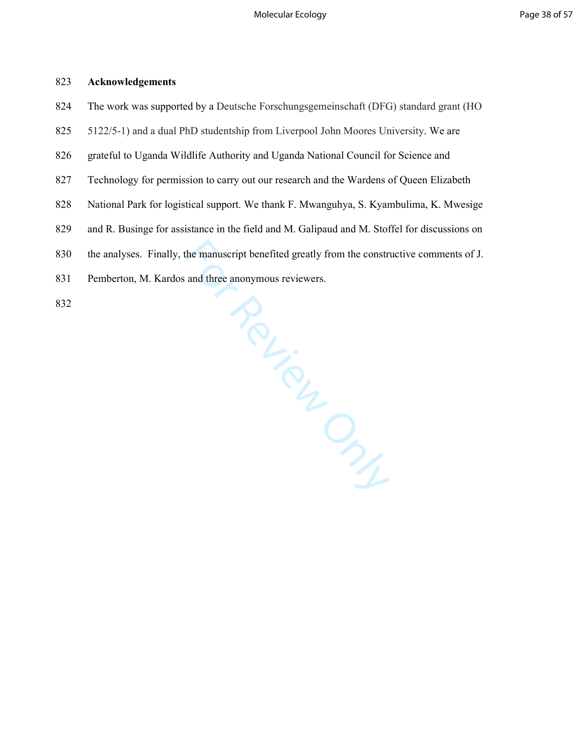### 823 **Acknowledgements**

- 824 The work was supported by a Deutsche Forschungsgemeinschaft (DFG) standard grant (HO
- 825 5122/5-1) and a dual PhD studentship from Liverpool John Moores University. We are
- 826 grateful to Uganda Wildlife Authority and Uganda National Council for Science and
- 827 Technology for permission to carry out our research and the Wardens of Queen Elizabeth
- 828 National Park for logistical support. We thank F. Mwanguhya, S. Kyambulima, K. Mwesige
- 829 and R. Businge for assistance in the field and M. Galipaud and M. Stoffel for discussions on
- enet.<br>Manymous rev.<br>Chicap 830 the analyses. Finally, the manuscript benefited greatly from the constructive comments of J.
- 831 Pemberton, M. Kardos and three anonymous reviewers.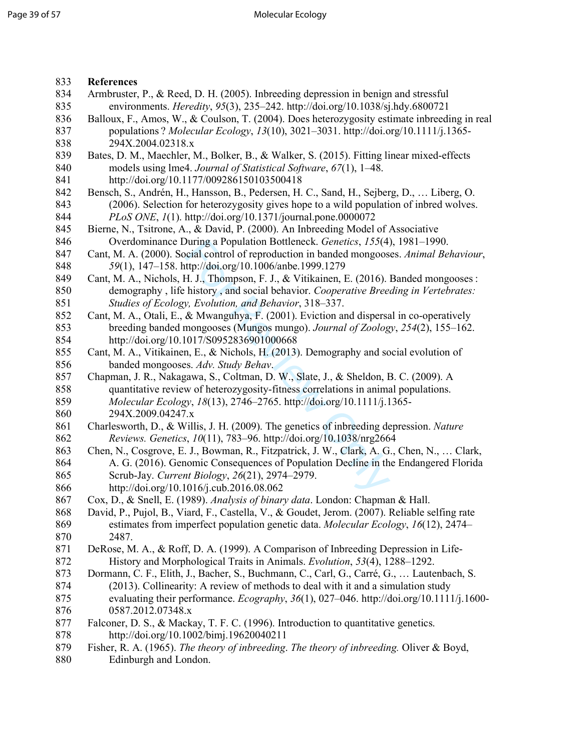| 833 | <b>References</b>                                                                             |  |  |  |  |
|-----|-----------------------------------------------------------------------------------------------|--|--|--|--|
| 834 | Armbruster, P., & Reed, D. H. (2005). Inbreeding depression in benign and stressful           |  |  |  |  |
| 835 | environments. <i>Heredity</i> , 95(3), 235-242. http://doi.org/10.1038/sj.hdy.6800721         |  |  |  |  |
| 836 | Balloux, F., Amos, W., & Coulson, T. (2004). Does heterozygosity estimate inbreeding in real  |  |  |  |  |
| 837 | populations? Molecular Ecology, 13(10), 3021-3031. http://doi.org/10.1111/j.1365-             |  |  |  |  |
| 838 | 294X.2004.02318.x                                                                             |  |  |  |  |
| 839 | Bates, D. M., Maechler, M., Bolker, B., & Walker, S. (2015). Fitting linear mixed-effects     |  |  |  |  |
| 840 | models using lme4. Journal of Statistical Software, 67(1), 1-48.                              |  |  |  |  |
| 841 | http://doi.org/10.1177/009286150103500418                                                     |  |  |  |  |
| 842 | Bensch, S., Andrén, H., Hansson, B., Pedersen, H. C., Sand, H., Sejberg, D.,  Liberg, O.      |  |  |  |  |
| 843 | (2006). Selection for heterozygosity gives hope to a wild population of inbred wolves.        |  |  |  |  |
| 844 | PLoS ONE, 1(1). http://doi.org/10.1371/journal.pone.0000072                                   |  |  |  |  |
| 845 | Bierne, N., Tsitrone, A., & David, P. (2000). An Inbreeding Model of Associative              |  |  |  |  |
| 846 | Overdominance During a Population Bottleneck. Genetics, 155(4), 1981-1990.                    |  |  |  |  |
| 847 |                                                                                               |  |  |  |  |
|     | Cant, M. A. (2000). Social control of reproduction in banded mongooses. Animal Behaviour,     |  |  |  |  |
| 848 | 59(1), 147-158. http://doi.org/10.1006/anbe.1999.1279                                         |  |  |  |  |
| 849 | Cant, M. A., Nichols, H. J., Thompson, F. J., & Vitikainen, E. (2016). Banded mongooses :     |  |  |  |  |
| 850 | demography, life history, and social behavior. Cooperative Breeding in Vertebrates:           |  |  |  |  |
| 851 | Studies of Ecology, Evolution, and Behavior, 318-337.                                         |  |  |  |  |
| 852 | Cant, M. A., Otali, E., & Mwanguhya, F. (2001). Eviction and dispersal in co-operatively      |  |  |  |  |
| 853 | breeding banded mongooses (Mungos mungo). Journal of Zoology, 254(2), 155–162.                |  |  |  |  |
| 854 | http://doi.org/10.1017/S0952836901000668                                                      |  |  |  |  |
| 855 | Cant, M. A., Vitikainen, E., & Nichols, H. (2013). Demography and social evolution of         |  |  |  |  |
| 856 | banded mongooses. Adv. Study Behav.                                                           |  |  |  |  |
| 857 | Chapman, J. R., Nakagawa, S., Coltman, D. W., Slate, J., & Sheldon, B. C. (2009). A           |  |  |  |  |
| 858 | quantitative review of heterozygosity-fitness correlations in animal populations.             |  |  |  |  |
| 859 | Molecular Ecology, 18(13), 2746–2765. http://doi.org/10.1111/j.1365-                          |  |  |  |  |
| 860 | 294X.2009.04247.x                                                                             |  |  |  |  |
| 861 | Charlesworth, D., & Willis, J. H. (2009). The genetics of inbreeding depression. Nature       |  |  |  |  |
| 862 | Reviews. Genetics, 10(11), 783-96. http://doi.org/10.1038/nrg2664                             |  |  |  |  |
| 863 | Chen, N., Cosgrove, E. J., Bowman, R., Fitzpatrick, J. W., Clark, A. G., Chen, N.,  Clark,    |  |  |  |  |
| 864 | A. G. (2016). Genomic Consequences of Population Decline in the Endangered Florida            |  |  |  |  |
| 865 | Scrub-Jay. Current Biology, 26(21), 2974-2979.                                                |  |  |  |  |
| 866 | http://doi.org/10.1016/j.cub.2016.08.062                                                      |  |  |  |  |
| 867 | Cox, D., & Snell, E. (1989). Analysis of binary data. London: Chapman & Hall.                 |  |  |  |  |
| 868 | David, P., Pujol, B., Viard, F., Castella, V., & Goudet, Jerom. (2007). Reliable selfing rate |  |  |  |  |
| 869 | estimates from imperfect population genetic data. Molecular Ecology, 16(12), 2474–            |  |  |  |  |
| 870 | 2487.                                                                                         |  |  |  |  |
| 871 | DeRose, M. A., & Roff, D. A. (1999). A Comparison of Inbreeding Depression in Life-           |  |  |  |  |
| 872 | History and Morphological Traits in Animals. Evolution, 53(4), 1288-1292.                     |  |  |  |  |
| 873 | Dormann, C. F., Elith, J., Bacher, S., Buchmann, C., Carl, G., Carré, G.,  Lautenbach, S.     |  |  |  |  |
| 874 | (2013). Collinearity: A review of methods to deal with it and a simulation study              |  |  |  |  |
| 875 | evaluating their performance. Ecography, $36(1)$ , 027–046. http://doi.org/10.1111/j.1600-    |  |  |  |  |
| 876 | 0587.2012.07348.x                                                                             |  |  |  |  |
| 877 | Falconer, D. S., & Mackay, T. F. C. (1996). Introduction to quantitative genetics.            |  |  |  |  |
| 878 | http://doi.org/10.1002/bimj.19620040211                                                       |  |  |  |  |
| 879 | Fisher, R. A. (1965). The theory of inbreeding. The theory of inbreeding. Oliver & Boyd,      |  |  |  |  |
| 880 | Edinburgh and London.                                                                         |  |  |  |  |
|     |                                                                                               |  |  |  |  |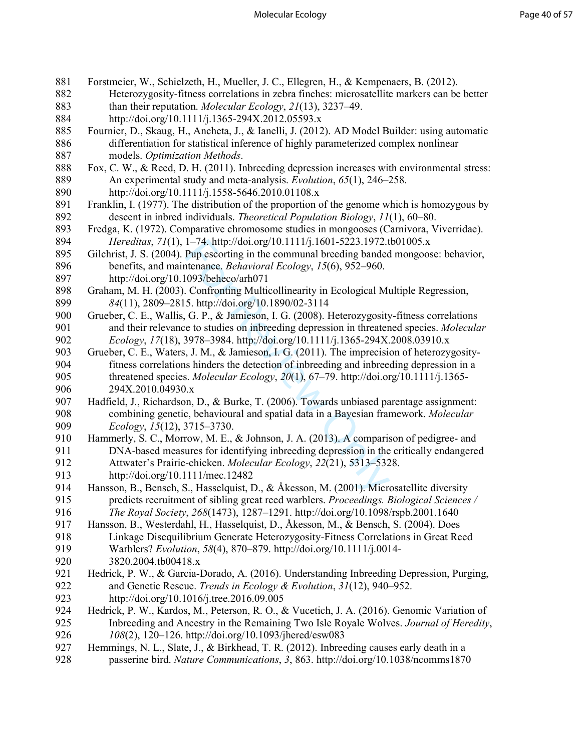| 881 | Forstmeier, W., Schielzeth, H., Mueller, J. C., Ellegren, H., & Kempenaers, B. (2012).        |  |  |  |  |
|-----|-----------------------------------------------------------------------------------------------|--|--|--|--|
| 882 | Heterozygosity-fitness correlations in zebra finches: microsatellite markers can be better    |  |  |  |  |
| 883 | than their reputation. Molecular Ecology, 21(13), 3237–49.                                    |  |  |  |  |
| 884 | http://doi.org/10.1111/j.1365-294X.2012.05593.x                                               |  |  |  |  |
| 885 | Fournier, D., Skaug, H., Ancheta, J., & Ianelli, J. (2012). AD Model Builder: using automatic |  |  |  |  |
| 886 | differentiation for statistical inference of highly parameterized complex nonlinear           |  |  |  |  |
| 887 | models. Optimization Methods.                                                                 |  |  |  |  |
| 888 | Fox, C. W., & Reed, D. H. (2011). Inbreeding depression increases with environmental stress:  |  |  |  |  |
| 889 | An experimental study and meta-analysis. Evolution, 65(1), 246–258.                           |  |  |  |  |
| 890 | http://doi.org/10.1111/j.1558-5646.2010.01108.x                                               |  |  |  |  |
| 891 | Franklin, I. (1977). The distribution of the proportion of the genome which is homozygous by  |  |  |  |  |
| 892 | descent in inbred individuals. Theoretical Population Biology, 11(1), 60–80.                  |  |  |  |  |
| 893 | Fredga, K. (1972). Comparative chromosome studies in mongooses (Carnivora, Viverridae).       |  |  |  |  |
| 894 | Hereditas, 71(1), 1-74. http://doi.org/10.1111/j.1601-5223.1972.tb01005.x                     |  |  |  |  |
| 895 | Gilchrist, J. S. (2004). Pup escorting in the communal breeding banded mongoose: behavior,    |  |  |  |  |
| 896 | benefits, and maintenance. Behavioral Ecology, 15(6), 952–960.                                |  |  |  |  |
| 897 | http://doi.org/10.1093/beheco/arh071                                                          |  |  |  |  |
| 898 | Graham, M. H. (2003). Confronting Multicollinearity in Ecological Multiple Regression,        |  |  |  |  |
| 899 | 84(11), 2809–2815. http://doi.org/10.1890/02-3114                                             |  |  |  |  |
| 900 | Grueber, C. E., Wallis, G. P., & Jamieson, I. G. (2008). Heterozygosity-fitness correlations  |  |  |  |  |
| 901 | and their relevance to studies on inbreeding depression in threatened species. Molecular      |  |  |  |  |
| 902 | Ecology, 17(18), 3978-3984. http://doi.org/10.1111/j.1365-294X.2008.03910.x                   |  |  |  |  |
| 903 | Grueber, C. E., Waters, J. M., & Jamieson, I. G. (2011). The imprecision of heterozygosity-   |  |  |  |  |
| 904 | fitness correlations hinders the detection of inbreeding and inbreeding depression in a       |  |  |  |  |
| 905 | threatened species. Molecular Ecology, $20(1)$ , $67-79$ . http://doi.org/10.1111/j.1365-     |  |  |  |  |
| 906 | 294X.2010.04930.x                                                                             |  |  |  |  |
| 907 | Hadfield, J., Richardson, D., & Burke, T. (2006). Towards unbiased parentage assignment:      |  |  |  |  |
| 908 | combining genetic, behavioural and spatial data in a Bayesian framework. Molecular            |  |  |  |  |
| 909 | Ecology, 15(12), 3715-3730.                                                                   |  |  |  |  |
| 910 | Hammerly, S. C., Morrow, M. E., & Johnson, J. A. (2013). A comparison of pedigree- and        |  |  |  |  |
| 911 | DNA-based measures for identifying inbreeding depression in the critically endangered         |  |  |  |  |
| 912 | Attwater's Prairie-chicken. Molecular Ecology, 22(21), 5313-5328.                             |  |  |  |  |
| 913 | http://doi.org/10.1111/mec.12482                                                              |  |  |  |  |
| 914 | Hansson, B., Bensch, S., Hasselquist, D., & Åkesson, M. (2001). Microsatellite diversity      |  |  |  |  |
| 915 | predicts recruitment of sibling great reed warblers. Proceedings. Biological Sciences /       |  |  |  |  |
| 916 | The Royal Society, 268(1473), 1287-1291. http://doi.org/10.1098/rspb.2001.1640                |  |  |  |  |
| 917 | Hansson, B., Westerdahl, H., Hasselquist, D., Åkesson, M., & Bensch, S. (2004). Does          |  |  |  |  |
| 918 | Linkage Disequilibrium Generate Heterozygosity-Fitness Correlations in Great Reed             |  |  |  |  |
| 919 | Warblers? Evolution, 58(4), 870-879. http://doi.org/10.1111/j.0014-                           |  |  |  |  |
| 920 | 3820.2004.tb00418.x                                                                           |  |  |  |  |
| 921 | Hedrick, P. W., & Garcia-Dorado, A. (2016). Understanding Inbreeding Depression, Purging,     |  |  |  |  |
| 922 | and Genetic Rescue. Trends in Ecology & Evolution, 31(12), 940–952.                           |  |  |  |  |
| 923 | http://doi.org/10.1016/j.tree.2016.09.005                                                     |  |  |  |  |
| 924 | Hedrick, P. W., Kardos, M., Peterson, R. O., & Vucetich, J. A. (2016). Genomic Variation of   |  |  |  |  |
| 925 | Inbreeding and Ancestry in the Remaining Two Isle Royale Wolves. Journal of Heredity,         |  |  |  |  |
| 926 | 108(2), 120-126. http://doi.org/10.1093/jhered/esw083                                         |  |  |  |  |
| 927 | Hemmings, N. L., Slate, J., & Birkhead, T. R. (2012). Inbreeding causes early death in a      |  |  |  |  |
| 928 | passerine bird. Nature Communications, 3, 863. http://doi.org/10.1038/ncomms1870              |  |  |  |  |
|     |                                                                                               |  |  |  |  |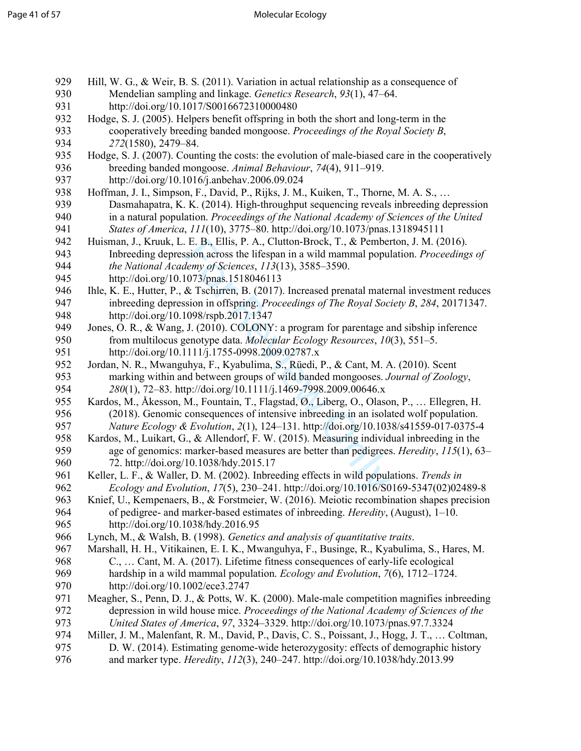| 929        | Hill, W. G., & Weir, B. S. (2011). Variation in actual relationship as a consequence of                                                                                           |  |  |  |  |
|------------|-----------------------------------------------------------------------------------------------------------------------------------------------------------------------------------|--|--|--|--|
| 930        | Mendelian sampling and linkage. Genetics Research, 93(1), 47-64.                                                                                                                  |  |  |  |  |
| 931        | http://doi.org/10.1017/S0016672310000480                                                                                                                                          |  |  |  |  |
| 932        | Hodge, S. J. (2005). Helpers benefit offspring in both the short and long-term in the                                                                                             |  |  |  |  |
| 933        | cooperatively breeding banded mongoose. Proceedings of the Royal Society B,                                                                                                       |  |  |  |  |
| 934        | 272(1580), 2479-84.                                                                                                                                                               |  |  |  |  |
| 935        | Hodge, S. J. (2007). Counting the costs: the evolution of male-biased care in the cooperatively                                                                                   |  |  |  |  |
| 936        | breeding banded mongoose. Animal Behaviour, 74(4), 911-919.                                                                                                                       |  |  |  |  |
| 937        | http://doi.org/10.1016/j.anbehav.2006.09.024                                                                                                                                      |  |  |  |  |
| 938        | Hoffman, J. I., Simpson, F., David, P., Rijks, J. M., Kuiken, T., Thorne, M. A. S.,                                                                                               |  |  |  |  |
| 939        | Dasmahapatra, K. K. (2014). High-throughput sequencing reveals inbreeding depression                                                                                              |  |  |  |  |
| 940        | in a natural population. Proceedings of the National Academy of Sciences of the United                                                                                            |  |  |  |  |
| 941        | States of America, 111(10), 3775-80. http://doi.org/10.1073/pnas.1318945111                                                                                                       |  |  |  |  |
| 942        | Huisman, J., Kruuk, L. E. B., Ellis, P. A., Clutton-Brock, T., & Pemberton, J. M. (2016).                                                                                         |  |  |  |  |
| 943        | Inbreeding depression across the lifespan in a wild mammal population. Proceedings of                                                                                             |  |  |  |  |
| 944        | the National Academy of Sciences, 113(13), 3585-3590.                                                                                                                             |  |  |  |  |
| 945        | http://doi.org/10.1073/pnas.1518046113                                                                                                                                            |  |  |  |  |
| 946        | Ihle, K. E., Hutter, P., & Tschirren, B. (2017). Increased prenatal maternal investment reduces                                                                                   |  |  |  |  |
| 947        | inbreeding depression in offspring. Proceedings of The Royal Society B, 284, 20171347.                                                                                            |  |  |  |  |
| 948        | http://doi.org/10.1098/rspb.2017.1347                                                                                                                                             |  |  |  |  |
| 949        | Jones, O. R., & Wang, J. (2010). COLONY: a program for parentage and sibship inference                                                                                            |  |  |  |  |
| 950        | from multilocus genotype data. Molecular Ecology Resources, 10(3), 551–5.                                                                                                         |  |  |  |  |
| 951        | http://doi.org/10.1111/j.1755-0998.2009.02787.x                                                                                                                                   |  |  |  |  |
| 952        | Jordan, N. R., Mwanguhya, F., Kyabulima, S., Rüedi, P., & Cant, M. A. (2010). Scent                                                                                               |  |  |  |  |
| 953        | marking within and between groups of wild banded mongooses. Journal of Zoology,                                                                                                   |  |  |  |  |
| 954        | 280(1), 72-83. http://doi.org/10.1111/j.1469-7998.2009.00646.x                                                                                                                    |  |  |  |  |
| 955        | Kardos, M., Åkesson, M., Fountain, T., Flagstad, Ø., Liberg, O., Olason, P.,  Ellegren, H.                                                                                        |  |  |  |  |
| 956        | (2018). Genomic consequences of intensive inbreeding in an isolated wolf population.                                                                                              |  |  |  |  |
| 957<br>958 | Nature Ecology & Evolution, 2(1), 124-131. http://doi.org/10.1038/s41559-017-0375-4<br>Kardos, M., Luikart, G., & Allendorf, F. W. (2015). Measuring individual inbreeding in the |  |  |  |  |
| 959        | age of genomics: marker-based measures are better than pedigrees. <i>Heredity</i> , 115(1), 63–                                                                                   |  |  |  |  |
| 960        | 72. http://doi.org/10.1038/hdy.2015.17                                                                                                                                            |  |  |  |  |
| 961        | Keller, L. F., & Waller, D. M. (2002). Inbreeding effects in wild populations. Trends in                                                                                          |  |  |  |  |
| 962        | Ecology and Evolution, 17(5), 230-241. http://doi.org/10.1016/S0169-5347(02)02489-8                                                                                               |  |  |  |  |
| 963        | Knief, U., Kempenaers, B., & Forstmeier, W. (2016). Meiotic recombination shapes precision                                                                                        |  |  |  |  |
| 964        | of pedigree- and marker-based estimates of inbreeding. <i>Heredity</i> , (August), 1–10.                                                                                          |  |  |  |  |
| 965        | http://doi.org/10.1038/hdy.2016.95                                                                                                                                                |  |  |  |  |
| 966        | Lynch, M., & Walsh, B. (1998). Genetics and analysis of quantitative traits.                                                                                                      |  |  |  |  |
| 967        | Marshall, H. H., Vitikainen, E. I. K., Mwanguhya, F., Businge, R., Kyabulima, S., Hares, M.                                                                                       |  |  |  |  |
| 968        | C.,  Cant, M. A. (2017). Lifetime fitness consequences of early-life ecological                                                                                                   |  |  |  |  |
| 969        | hardship in a wild mammal population. <i>Ecology and Evolution</i> , 7(6), 1712–1724.                                                                                             |  |  |  |  |
| 970        | http://doi.org/10.1002/ece3.2747                                                                                                                                                  |  |  |  |  |
| 971        | Meagher, S., Penn, D. J., & Potts, W. K. (2000). Male-male competition magnifies inbreeding                                                                                       |  |  |  |  |
| 972        | depression in wild house mice. Proceedings of the National Academy of Sciences of the                                                                                             |  |  |  |  |
| 973        | United States of America, 97, 3324-3329. http://doi.org/10.1073/pnas.97.7.3324                                                                                                    |  |  |  |  |
| 974        | Miller, J. M., Malenfant, R. M., David, P., Davis, C. S., Poissant, J., Hogg, J. T.,  Coltman,                                                                                    |  |  |  |  |
| 975        | D. W. (2014). Estimating genome-wide heterozygosity: effects of demographic history                                                                                               |  |  |  |  |
| 976        | and marker type. <i>Heredity</i> , 112(3), 240-247. http://doi.org/10.1038/hdy.2013.99                                                                                            |  |  |  |  |
|            |                                                                                                                                                                                   |  |  |  |  |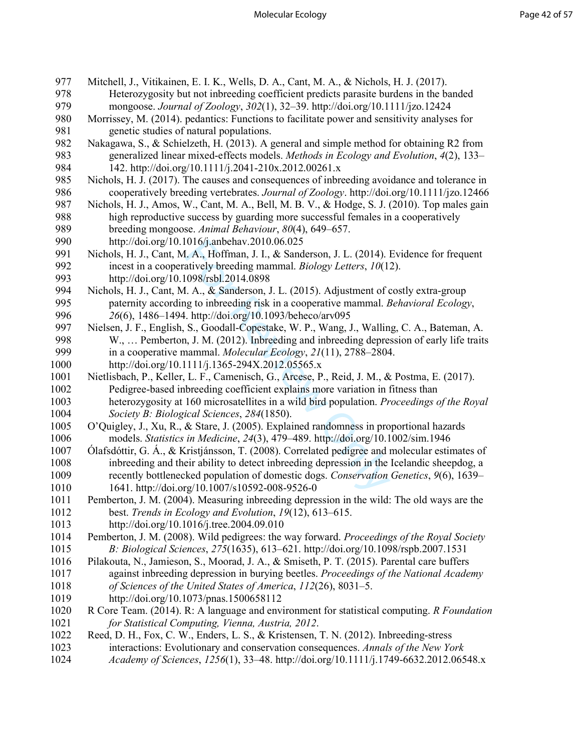1016/J.anbehav.2010.06.025<br>
L. A., Hoffman, J. I., & Sanderson, J. L. (2014). latively breeding mammal. *Biology Letters*, 10(1:<br>
1098/rsbl.2014.0898<br>
L. A., & Sanderson, J. L. (2015). Adjustment of compositions of the ma 977 Mitchell, J., Vitikainen, E. I. K., Wells, D. A., Cant, M. A., & Nichols, H. J. (2017).<br>978 Heterozygosity but not inbreeding coefficient predicts parasite burdens in the ba Heterozygosity but not inbreeding coefficient predicts parasite burdens in the banded 979 mongoose. *Journal of Zoology*, *302*(1), 32–39. http://doi.org/10.1111/jzo.12424 980 Morrissey, M. (2014). pedantics: Functions to facilitate power and sensitivity analyses for 981 genetic studies of natural populations. 982 Nakagawa, S., & Schielzeth, H. (2013). A general and simple method for obtaining R2 from 983 generalized linear mixed-effects models. *Methods in Ecology and Evolution*, *4*(2), 133– 984 142. http://doi.org/10.1111/j.2041-210x.2012.00261.x<br>985 Nichols. H. J. (2017). The causes and consequences of inbre Nichols, H. J. (2017). The causes and consequences of inbreeding avoidance and tolerance in 986 cooperatively breeding vertebrates. *Journal of Zoology*. http://doi.org/10.1111/jzo.12466 987 Nichols, H. J., Amos, W., Cant, M. A., Bell, M. B. V., & Hodge, S. J. (2010). Top males gain 988 high reproductive success by guarding more successful females in a cooperatively 989 breeding mongoose. *Animal Behaviour*, *80*(4), 649–657. 990 http://doi.org/10.1016/j.anbehav.2010.06.025 991 Nichols, H. J., Cant, M. A., Hoffman, J. I., & Sanderson, J. L. (2014). Evidence for frequent incest in a cooperatively breeding mammal. *Biology Letters*, 10(12). 992 incest in a cooperatively breeding mammal. *Biology Letters*, *10*(12). 993 http://doi.org/10.1098/rsbl.2014.0898 994 Nichols, H. J., Cant, M. A., & Sanderson, J. L. (2015). Adjustment of costly extra-group paternity according to inbreeding risk in a cooperative mammal. Behavioral Ecology 995 paternity according to inbreeding risk in a cooperative mammal. *Behavioral Ecology*,<br>996 26(6), 1486–1494, http://doi.org/10.1093/beheco/arv095 996 *26*(6), 1486–1494. http://doi.org/10.1093/beheco/arv095<br>997 Nielsen, J. F., English, S., Goodall-Copestake, W. P., Wang, J 997 Nielsen, J. F., English, S., Goodall-Copestake, W. P., Wang, J., Walling, C. A., Bateman, A. 998 W., ... Pemberton, J. M. (2012). Inbreeding and inbreeding depression of early life traits 998 W., ... Pemberton, J. M. (2012). Inbreeding and inbreeding depression of early life traits<br>999 in a cooperative mammal. Molecular Ecology. 21(11). 2788–2804. 999 in a cooperative mammal. *Molecular Ecology*, *21*(11), 2788–2804. 1000 http://doi.org/10.1111/j.1365-294X.2012.05565.x 1001 Nietlisbach, P., Keller, L. F., Camenisch, G., Arcese, P., Reid, J. M., & Postma, E. (2017). 1002 Pedigree-based inbreeding coefficient explains more variation in fitness than 1003 heterozygosity at 160 microsatellites in a wild bird population. *Proceedings of the Royal*  1004 *Society B: Biological Sciences*, *284*(1850). 1005 O'Quigley, J., Xu, R., & Stare, J. (2005). Explained randomness in proportional hazards 1006 models. *Statistics in Medicine*, *24*(3), 479–489. http://doi.org/10.1002/sim.1946 1007 Ólafsdóttir, G. Á., & Kristjánsson, T. (2008). Correlated pedigree and molecular estimates of 1008 inbreeding and their ability to detect inbreeding depression in the Icelandic sheepdog, a<br>1009 recently bottlenecked population of domestic dogs. Conservation Genetics, 9(6), 1639– 1009 recently bottlenecked population of domestic dogs. *Conservation Genetics*, *9*(6), 1639– 1010 1641. http://doi.org/10.1007/s10592-008-9526-0 1011 Pemberton, J. M. (2004). Measuring inbreeding depression in the wild: The old ways are the 1012 best. *Trends in Ecology and Evolution*, *19*(12), 613–615. 1013 http://doi.org/10.1016/j.tree.2004.09.010 1014 Pemberton, J. M. (2008). Wild pedigrees: the way forward. *Proceedings of the Royal Society*  1015 *B: Biological Sciences*, *275*(1635), 613–621. http://doi.org/10.1098/rspb.2007.1531 1016 Pilakouta, N., Jamieson, S., Moorad, J. A., & Smiseth, P. T. (2015). Parental care buffers 1017 against inbreeding depression in burying beetles. *Proceedings of the National Academy*  1018 *of Sciences of the United States of America*, *112*(26), 8031–5. 1019 http://doi.org/10.1073/pnas.1500658112 1020 R Core Team. (2014). R: A language and environment for statistical computing. *R Foundation*  1021 *for Statistical Computing, Vienna, Austria, 2012*. 1022 Reed, D. H., Fox, C. W., Enders, L. S., & Kristensen, T. N. (2012). Inbreeding-stress 1023 interactions: Evolutionary and conservation consequences. *Annals of the New York*  1024 *Academy of Sciences*, *1256*(1), 33–48. http://doi.org/10.1111/j.1749-6632.2012.06548.x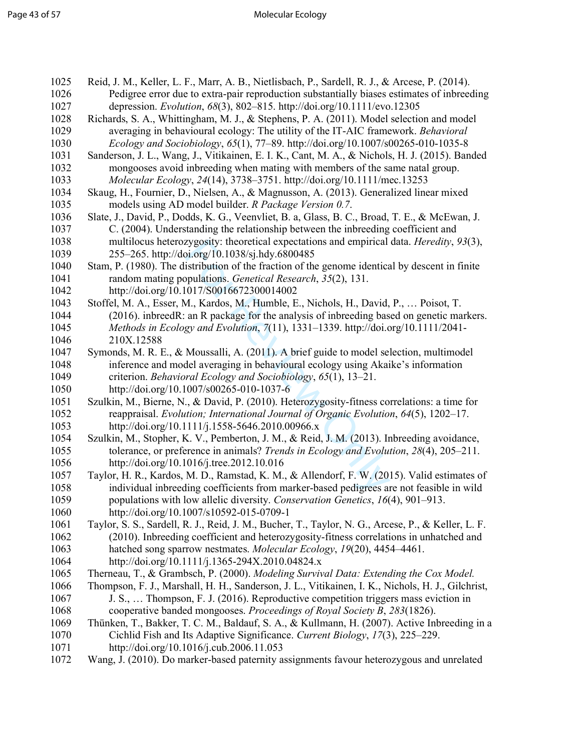| 1025 | Reid, J. M., Keller, L. F., Marr, A. B., Nietlisbach, P., Sardell, R. J., & Arcese, P. (2014).     |  |  |  |  |
|------|----------------------------------------------------------------------------------------------------|--|--|--|--|
| 1026 | Pedigree error due to extra-pair reproduction substantially biases estimates of inbreeding         |  |  |  |  |
| 1027 | depression. Evolution, 68(3), 802-815. http://doi.org/10.1111/evo.12305                            |  |  |  |  |
| 1028 | Richards, S. A., Whittingham, M. J., & Stephens, P. A. (2011). Model selection and model           |  |  |  |  |
| 1029 | averaging in behavioural ecology: The utility of the IT-AIC framework. Behavioral                  |  |  |  |  |
| 1030 | Ecology and Sociobiology, $65(1)$ , 77–89. http://doi.org/10.1007/s00265-010-1035-8                |  |  |  |  |
| 1031 | Sanderson, J. L., Wang, J., Vitikainen, E. I. K., Cant, M. A., & Nichols, H. J. (2015). Banded     |  |  |  |  |
| 1032 | mongooses avoid inbreeding when mating with members of the same natal group.                       |  |  |  |  |
| 1033 | Molecular Ecology, 24(14), 3738-3751. http://doi.org/10.1111/mec.13253                             |  |  |  |  |
| 1034 | Skaug, H., Fournier, D., Nielsen, A., & Magnusson, A. (2013). Generalized linear mixed             |  |  |  |  |
| 1035 | models using AD model builder. R Package Version 0.7.                                              |  |  |  |  |
| 1036 | Slate, J., David, P., Dodds, K. G., Veenvliet, B. a, Glass, B. C., Broad, T. E., & McEwan, J.      |  |  |  |  |
| 1037 | C. (2004). Understanding the relationship between the inbreeding coefficient and                   |  |  |  |  |
| 1038 | multilocus heterozygosity: theoretical expectations and empirical data. Heredity, 93(3),           |  |  |  |  |
| 1039 | 255–265. http://doi.org/10.1038/sj.hdy.6800485                                                     |  |  |  |  |
| 1040 | Stam, P. (1980). The distribution of the fraction of the genome identical by descent in finite     |  |  |  |  |
| 1041 | random mating populations. Genetical Research, 35(2), 131.                                         |  |  |  |  |
| 1042 | http://doi.org/10.1017/S0016672300014002                                                           |  |  |  |  |
| 1043 | Stoffel, M. A., Esser, M., Kardos, M., Humble, E., Nichols, H., David, P.,  Poisot, T.             |  |  |  |  |
| 1044 | (2016). inbreedR: an R package for the analysis of inbreeding based on genetic markers.            |  |  |  |  |
| 1045 | Methods in Ecology and Evolution, 7(11), 1331–1339. http://doi.org/10.1111/2041-                   |  |  |  |  |
| 1046 | 210X.12588                                                                                         |  |  |  |  |
| 1047 | Symonds, M. R. E., & Moussalli, A. (2011). A brief guide to model selection, multimodel            |  |  |  |  |
| 1048 | inference and model averaging in behavioural ecology using Akaike's information                    |  |  |  |  |
| 1049 | criterion. Behavioral Ecology and Sociobiology, 65(1), 13–21.                                      |  |  |  |  |
| 1050 | http://doi.org/10.1007/s00265-010-1037-6                                                           |  |  |  |  |
| 1051 | Szulkin, M., Bierne, N., & David, P. (2010). Heterozygosity-fitness correlations: a time for       |  |  |  |  |
| 1052 | reappraisal. Evolution; International Journal of Organic Evolution, 64(5), 1202-17.                |  |  |  |  |
| 1053 | http://doi.org/10.1111/j.1558-5646.2010.00966.x                                                    |  |  |  |  |
| 1054 | Szulkin, M., Stopher, K. V., Pemberton, J. M., & Reid, J. M. (2013). Inbreeding avoidance,         |  |  |  |  |
| 1055 | tolerance, or preference in animals? Trends in Ecology and Evolution, 28(4), 205–211.              |  |  |  |  |
| 1056 | http://doi.org/10.1016/j.tree.2012.10.016                                                          |  |  |  |  |
| 1057 | Taylor, H. R., Kardos, M. D., Ramstad, K. M., & Allendorf, F. W. (2015). Valid estimates of        |  |  |  |  |
| 1058 | individual inbreeding coefficients from marker-based pedigrees are not feasible in wild            |  |  |  |  |
| 1059 | populations with low allelic diversity. Conservation Genetics, 16(4), 901-913.                     |  |  |  |  |
| 1060 | http://doi.org/10.1007/s10592-015-0709-1                                                           |  |  |  |  |
| 1061 | Taylor, S. S., Sardell, R. J., Reid, J. M., Bucher, T., Taylor, N. G., Arcese, P., & Keller, L. F. |  |  |  |  |
| 1062 | (2010). Inbreeding coefficient and heterozygosity-fitness correlations in unhatched and            |  |  |  |  |
| 1063 | hatched song sparrow nestmates. Molecular Ecology, 19(20), 4454-4461.                              |  |  |  |  |
| 1064 | http://doi.org/10.1111/j.1365-294X.2010.04824.x                                                    |  |  |  |  |
| 1065 | Therneau, T., & Grambsch, P. (2000). Modeling Survival Data: Extending the Cox Model.              |  |  |  |  |
| 1066 | Thompson, F. J., Marshall, H. H., Sanderson, J. L., Vitikainen, I. K., Nichols, H. J., Gilchrist,  |  |  |  |  |
| 1067 | J. S.,  Thompson, F. J. (2016). Reproductive competition triggers mass eviction in                 |  |  |  |  |
| 1068 | cooperative banded mongooses. Proceedings of Royal Society B, 283(1826).                           |  |  |  |  |
| 1069 | Thünken, T., Bakker, T. C. M., Baldauf, S. A., & Kullmann, H. (2007). Active Inbreeding in a       |  |  |  |  |
| 1070 | Cichlid Fish and Its Adaptive Significance. Current Biology, 17(3), 225–229.                       |  |  |  |  |
| 1071 | http://doi.org/10.1016/j.cub.2006.11.053                                                           |  |  |  |  |
| 1072 | Wang, J. (2010). Do marker-based paternity assignments favour heterozygous and unrelated           |  |  |  |  |
|      |                                                                                                    |  |  |  |  |
|      |                                                                                                    |  |  |  |  |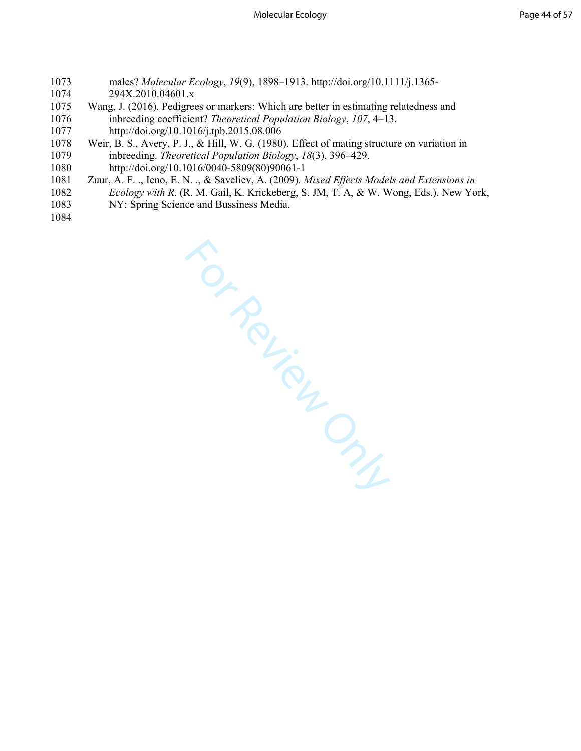- 1073 males? *Molecular Ecology*, *19*(9), 1898–1913. http://doi.org/10.1111/j.1365- 294X.2010.04601.x
- 1075 Wang, J. (2016). Pedigrees or markers: Which are better in estimating relatedness and 1076 inbreeding coefficient? *Theoretical Population Biology*, *107*, 4–13. 1077 http://doi.org/10.1016/j.tpb.2015.08.006
- 1078 Weir, B. S., Avery, P. J., & Hill, W. G. (1980). Effect of mating structure on variation in 1079 inbreeding. *Theoretical Population Biology*, *18*(3), 396–429. 1080 http://doi.org/10.1016/0040-5809(80)90061-1
- 1081 Zuur, A. F. ., Ieno, E. N. ., & Saveliev, A. (2009). *Mixed Effects Models and Extensions in*  1082 *Ecology with R*. (R. M. Gail, K. Krickeberg, S. JM, T. A, & W. Wong, Eds.). New York, 1083 NY: Spring Science and Bussiness Media.
- 1084

A Bussine.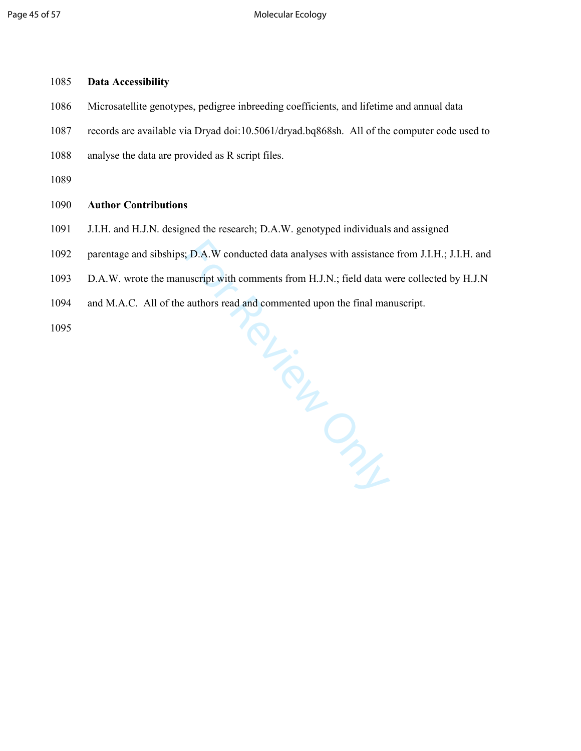## 1085 **Data Accessibility**

- 1086 Microsatellite genotypes, pedigree inbreeding coefficients, and lifetime and annual data
- 1087 records are available via Dryad doi:10.5061/dryad.bq868sh. All of the computer code used to
- 1088 analyse the data are provided as R script files.

1089

### 1090 **Author Contributions**

- 1091 J.I.H. and H.J.N. designed the research; D.A.W. genotyped individuals and assigned
- 1092 parentage and sibships; D.A.W conducted data analyses with assistance from J.I.H.; J.I.H. and
- 1093 D.A.W. wrote the manuscript with comments from H.J.N.; field data were collected by H.J.N
- For Crypton 1094 and M.A.C. All of the authors read and commented upon the final manuscript.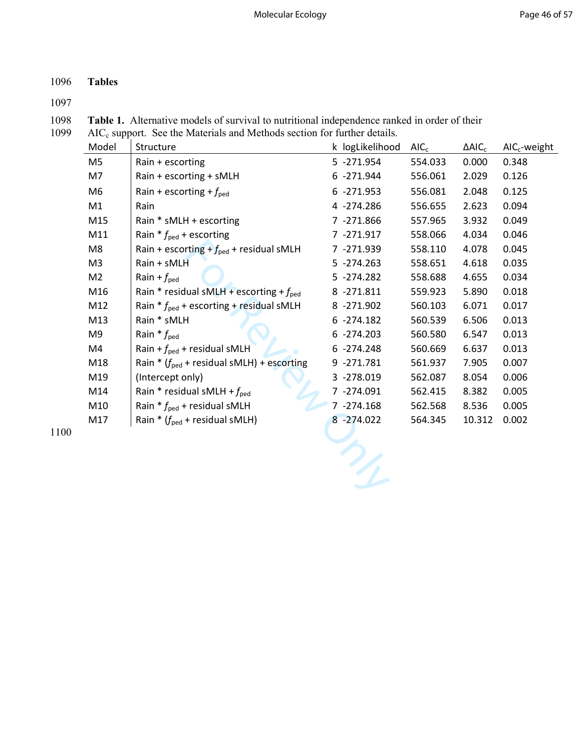# 1096 **Tables**

1097

1098 **Table 1.** Alternative models of survival to nutritional independence ranked in order of their 1099 AIC<sub>c</sub> support. See the Materials and Methods section for further details.

| 1099 |  | $AIC_c$ support. See the Materials and Methods section for further details. |  |
|------|--|-----------------------------------------------------------------------------|--|
|------|--|-----------------------------------------------------------------------------|--|

| Model          | Structure                                             | k logLikelihood | AIC <sub>c</sub> | $\triangle$ AIC <sub>c</sub> | $AICc$ -weight |
|----------------|-------------------------------------------------------|-----------------|------------------|------------------------------|----------------|
| M <sub>5</sub> | Rain + escorting                                      | 5 -271.954      | 554.033          | 0.000                        | 0.348          |
| M7             | Rain + escorting + sMLH                               | 6 -271.944      | 556.061          | 2.029                        | 0.126          |
| M6             | Rain + escorting + $f_{\text{ped}}$                   | $6 - 271.953$   | 556.081          | 2.048                        | 0.125          |
| M1             | Rain                                                  | 4 -274.286      | 556.655          | 2.623                        | 0.094          |
| M15            | Rain * sMLH + escorting                               | 7 -271.866      | 557.965          | 3.932                        | 0.049          |
| M11            | Rain $* f_{\text{ped}}$ + escorting                   | 7 -271.917      | 558.066          | 4.034                        | 0.046          |
| M8             | Rain + escorting + $f_{\text{ped}}$ + residual sMLH   | 7 -271.939      | 558.110          | 4.078                        | 0.045          |
| M <sub>3</sub> | Rain + sMLH                                           | $5 - 274.263$   | 558.651          | 4.618                        | 0.035          |
| M <sub>2</sub> | Rain + $f_{\text{ped}}$                               | $5 - 274.282$   | 558.688          | 4.655                        | 0.034          |
| M16            | Rain * residual sMLH + escorting + $f_{\text{ped}}$   | 8 -271.811      | 559.923          | 5.890                        | 0.018          |
| M12            | Rain $* f_{\text{ped}}$ + escorting + residual sMLH   | 8 -271.902      | 560.103          | 6.071                        | 0.017          |
| M13            | Rain * sMLH                                           | $6 - 274.182$   | 560.539          | 6.506                        | 0.013          |
| M9             | Rain $* f_{\text{ped}}$                               | $6 - 274.203$   | 560.580          | 6.547                        | 0.013          |
| M4             | Rain + $f_{\text{ped}}$ + residual sMLH               | $6 - 274.248$   | 560.669          | 6.637                        | 0.013          |
| M18            | Rain * $(f_{\text{ped}}$ + residual sMLH) + escorting | 9 -271.781      | 561.937          | 7.905                        | 0.007          |
| M19            | (Intercept only)                                      | 3 -278.019      | 562.087          | 8.054                        | 0.006          |
| M14            | Rain * residual sMLH + $f_{\text{ped}}$               | 7 -274.091      | 562.415          | 8.382                        | 0.005          |
| M10            | Rain $* f_{\text{ped}}$ + residual sMLH               | 7 -274.168      | 562.568          | 8.536                        | 0.005          |
| M17            | Rain * $(f_{\text{ped}}$ + residual sMLH)             | $8 - 274.022$   | 564.345          | 10.312                       | 0.002          |
|                |                                                       |                 |                  |                              |                |
|                |                                                       |                 |                  |                              |                |
|                |                                                       |                 |                  |                              |                |
|                |                                                       |                 |                  |                              |                |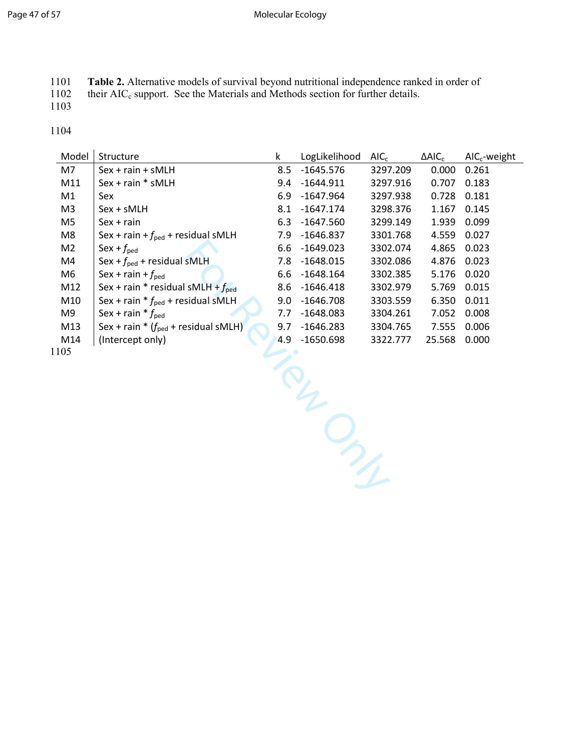#### Page 47 of 57 and 2008 and 2009 and 2009 and 2009 and 2009 and 2009 and 2009 and 2009 and 2009 and 2009 and 20

1101 **Table 2.** Alternative models of survival beyond nutritional independence ranked in order of 1102 their AIC<sub>c</sub> support. See the Materials and Methods section for further details.

their AIC<sub>c</sub> support. See the Materials and Methods section for further details. 1103

1104

| Model          | Structure                                       | k   | LogLikelihood | AIC <sub>c</sub> | $\Delta AIC_c$ | $AICc$ -weight |  |
|----------------|-------------------------------------------------|-----|---------------|------------------|----------------|----------------|--|
| M7             | Sex + rain + sMLH                               | 8.5 | $-1645.576$   | 3297.209         | 0.000          | 0.261          |  |
| M11            | Sex + rain * sMLH                               | 9.4 | $-1644.911$   | 3297.916         | 0.707          | 0.183          |  |
| M1             | Sex                                             | 6.9 | $-1647.964$   | 3297.938         | 0.728          | 0.181          |  |
| M <sub>3</sub> | $Sex + sMLH$                                    | 8.1 | $-1647.174$   | 3298.376         | 1.167          | 0.145          |  |
| M5             | $Sex + rain$                                    | 6.3 | $-1647.560$   | 3299.149         | 1.939          | 0.099          |  |
| M8             | Sex + rain + $f_{\text{ped}}$ + residual sMLH   | 7.9 | $-1646.837$   | 3301.768         | 4.559          | 0.027          |  |
| M <sub>2</sub> | Sex + $f_{\text{ped}}$                          | 6.6 | $-1649.023$   | 3302.074         | 4.865          | 0.023          |  |
| M4             | Sex + $f_{\text{ped}}$ + residual sMLH          | 7.8 | $-1648.015$   | 3302.086         | 4.876          | 0.023          |  |
| M6             | Sex + rain + $f_{\text{ped}}$                   | 6.6 | $-1648.164$   | 3302.385         | 5.176          | 0.020          |  |
| M12            | Sex + rain * residual sMLH + $f_{\text{ped}}$   | 8.6 | $-1646.418$   | 3302.979         | 5.769          | 0.015          |  |
| M10            | Sex + rain $* f_{\text{ped}}$ + residual sMLH   | 9.0 | $-1646.708$   | 3303.559         | 6.350          | 0.011          |  |
| M9             | Sex + rain $* f_{\text{ped}}$                   | 7.7 | $-1648.083$   | 3304.261         | 7.052          | 0.008          |  |
| M13            | Sex + rain * $(f_{\text{ped}}$ + residual sMLH) | 9.7 | $-1646.283$   | 3304.765         | 7.555          | 0.006          |  |
| M14            | (Intercept only)                                | 4.9 | $-1650.698$   | 3322.777         | 25.568         | 0.000          |  |
| 105            |                                                 |     |               |                  |                |                |  |
|                |                                                 |     |               |                  |                |                |  |
|                |                                                 |     |               |                  |                |                |  |
|                |                                                 |     |               |                  |                |                |  |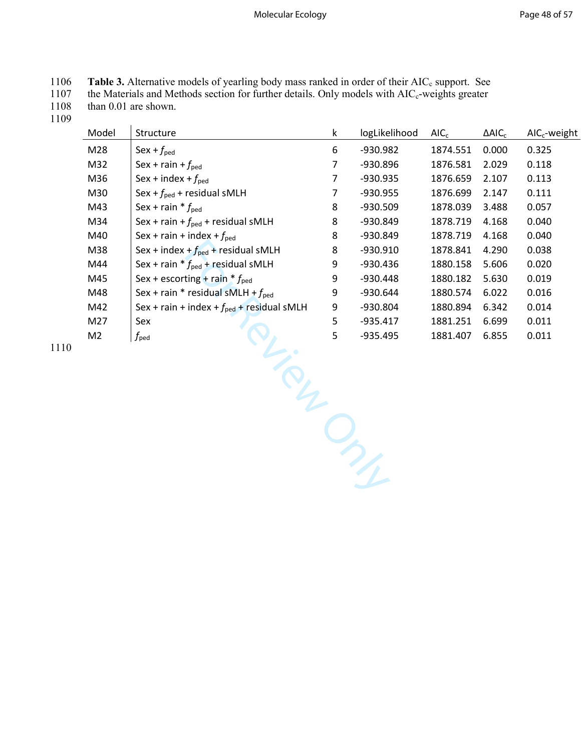| 1106 | <b>Table 3.</b> Alternative models of yearling body mass ranked in order of their AIC <sub>c</sub> support. See |
|------|-----------------------------------------------------------------------------------------------------------------|
| 1107 | the Materials and Methods section for further details. Only models with AIC <sub>c</sub> -weights greater       |
| 1108 | than $0.01$ are shown.                                                                                          |

1109

| Model          | Structure                                             | k | logLikelihood | AIC <sub>c</sub> | $\Delta AIC_c$ | $AICc$ -weight |
|----------------|-------------------------------------------------------|---|---------------|------------------|----------------|----------------|
| M28            | $Sex + f_{ped}$                                       | 6 | -930.982      | 1874.551         | 0.000          | 0.325          |
| M32            | Sex + rain + $f_{\text{ped}}$                         | 7 | -930.896      | 1876.581         | 2.029          | 0.118          |
| M36            | Sex + index + $f_{\text{ped}}$                        | 7 | -930.935      | 1876.659         | 2.107          | 0.113          |
| M30            | Sex + $f_{\text{ped}}$ + residual sMLH                | 7 | -930.955      | 1876.699         | 2.147          | 0.111          |
| M43            | Sex + rain $* f_{\text{ped}}$                         | 8 | $-930.509$    | 1878.039         | 3.488          | 0.057          |
| M34            | Sex + rain + $f_{\text{ped}}$ + residual sMLH         | 8 | -930.849      | 1878.719         | 4.168          | 0.040          |
| M40            | Sex + rain + index + $f_{\text{ped}}$                 | 8 | -930.849      | 1878.719         | 4.168          | 0.040          |
| M38            | Sex + index + $f_{\text{ped}}$ + residual sMLH        | 8 | $-930.910$    | 1878.841         | 4.290          | 0.038          |
| M44            | Sex + rain $* f_{\text{ped}}$ + residual sMLH         | 9 | -930.436      | 1880.158         | 5.606          | 0.020          |
| M45            | Sex + escorting + rain $* f_{\text{ped}}$             | 9 | $-930.448$    | 1880.182         | 5.630          | 0.019          |
| M48            | Sex + rain * residual sMLH + $f_{\text{ped}}$         | 9 | -930.644      | 1880.574         | 6.022          | 0.016          |
| M42            | Sex + rain + index + $f_{\text{ped}}$ + residual sMLH | 9 | -930.804      | 1880.894         | 6.342          | 0.014          |
| M27            | Sex                                                   | 5 | $-935.417$    | 1881.251         | 6.699          | 0.011          |
| M <sub>2</sub> | $f_{\rm{ped}}$                                        | 5 | $-935.495$    | 1881.407         | 6.855          | 0.011          |
|                |                                                       |   |               |                  |                |                |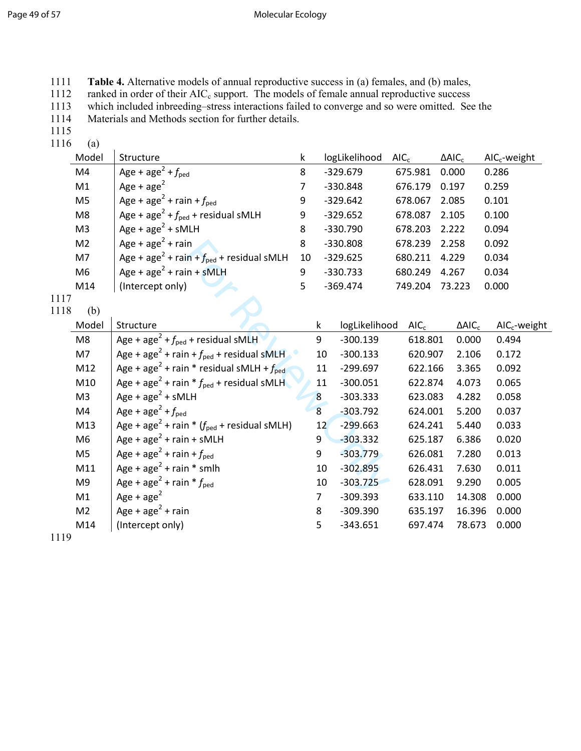|  |  |  |  | 1111 Table 4. Alternative models of annual reproductive success in (a) females, and (b) males, |  |  |  |
|--|--|--|--|------------------------------------------------------------------------------------------------|--|--|--|
|--|--|--|--|------------------------------------------------------------------------------------------------|--|--|--|

1112 ranked in order of their  $AIC_c$  support. The models of female annual reproductive success

1113 which included inbreeding–stress interactions failed to converge and so were omitted. See the

1114 Materials and Methods section for further details.

1115

 $1116$  (a)

|              | Model          | Structure                                                          | k              |                 | logLikelihood | AIC <sub>c</sub> |                  | $\triangle AIC_c$ |                   | $AICc$ -weight |
|--------------|----------------|--------------------------------------------------------------------|----------------|-----------------|---------------|------------------|------------------|-------------------|-------------------|----------------|
|              | M4             | Age + age <sup>2</sup> + $f_{\text{ped}}$                          | 8              |                 | $-329.679$    |                  | 675.981          | 0.000             |                   | 0.286          |
|              | M1             | Age + $age^2$                                                      | $\overline{7}$ |                 | $-330.848$    |                  | 676.179          | 0.197             |                   | 0.259          |
|              | M <sub>5</sub> | Age + age <sup>2</sup> + rain + $f_{\text{ped}}$                   | 9              |                 | $-329.642$    |                  | 678.067          | 2.085             |                   | 0.101          |
|              | M <sub>8</sub> | Age + age <sup>2</sup> + $f_{\text{ped}}$ + residual sMLH          | 9              |                 | $-329.652$    |                  | 678.087          | 2.105             |                   | 0.100          |
|              | M <sub>3</sub> | Age + $age2$ + $sMLH$                                              | 8              |                 | $-330.790$    |                  | 678.203          | 2.222             |                   | 0.094          |
|              | M <sub>2</sub> | Age + $age2$ + rain                                                | 8              |                 | $-330.808$    |                  | 678.239          | 2.258             |                   | 0.092          |
|              | M7             | Age + age <sup>2</sup> + rain + $f_{\text{ped}}$ + residual sMLH   | 10             |                 | $-329.625$    |                  | 680.211          | 4.229             |                   | 0.034          |
|              | M <sub>6</sub> | Age + $age^2$ + rain + sMLH                                        | 9              |                 | $-330.733$    |                  | 680.249          | 4.267             |                   | 0.034          |
|              | M14            | (Intercept only)                                                   | 5              |                 | $-369.474$    |                  | 749.204          |                   | 73.223            | 0.000          |
| 1117<br>1118 | (b)            |                                                                    |                |                 |               |                  |                  |                   |                   |                |
|              | Model          | Structure                                                          |                | k               | logLikelihood |                  | AIC <sub>c</sub> |                   | $\triangle AIC_c$ | $AICc$ -weight |
|              | M <sub>8</sub> | Age + age <sup>2</sup> + $f_{\text{ped}}$ + residual sMLH          |                | 9               | $-300.139$    |                  | 618.801          |                   | 0.000             | 0.494          |
|              | M7             | Age + age <sup>2</sup> + rain + $f_{\text{ped}}$ + residual sMLH   |                | 10              | $-300.133$    |                  | 620.907          |                   | 2.106             | 0.172          |
|              | M12            | Age + age <sup>2</sup> + rain * residual sMLH + $f_{\text{ped}}$   |                | 11              | $-299.697$    |                  | 622.166          |                   | 3.365             | 0.092          |
|              | M10            | Age + age <sup>2</sup> + rain * $f_{\text{ped}}$ + residual sMLH   |                | 11              | $-300.051$    |                  | 622.874          |                   | 4.073             | 0.065          |
|              | M <sub>3</sub> | Age + $age^2$ + sMLH                                               |                | $\overline{8}$  | $-303.333$    |                  | 623.083          |                   | 4.282             | 0.058          |
|              | M4             | Age + age <sup>2</sup> + $f_{\text{ped}}$                          |                | $\overline{8}$  | $-303.792$    |                  | 624.001          |                   | 5.200             | 0.037          |
|              | M13            | Age + age <sup>2</sup> + rain * $(f_{\text{ped}}$ + residual sMLH) |                | 12 <sup>7</sup> | $-299.663$    |                  | 624.241          |                   | 5.440             | 0.033          |
|              | M <sub>6</sub> | Age + $age^2$ + rain + sMLH                                        |                | 9               | $-303.332$    |                  | 625.187          |                   | 6.386             | 0.020          |
|              | M <sub>5</sub> | Age + age <sup>2</sup> + rain + $f_{\text{ped}}$                   |                | 9               | $-303.779$    |                  | 626.081          |                   | 7.280             | 0.013          |
|              | M11            | Age + $age^2$ + rain * smlh                                        |                | 10              | $-302.895$    |                  | 626.431          |                   | 7.630             | 0.011          |
|              | M <sub>9</sub> | Age + age <sup>2</sup> + rain * $f_{\text{ped}}$                   |                | 10              | $-303.725$    |                  | 628.091          |                   | 9.290             | 0.005          |
|              | M1             | Age + $age^2$                                                      |                | $\overline{7}$  | $-309.393$    |                  | 633.110          |                   | 14.308            | 0.000          |
|              | M <sub>2</sub> | Age + $age^2$ + rain                                               |                | 8               | $-309.390$    |                  | 635.197          |                   | 16.396            | 0.000          |
|              | M14            | (Intercept only)                                                   |                | 5               | $-343.651$    |                  | 697.474          |                   | 78.673            | 0.000          |
| 1119         |                |                                                                    |                |                 |               |                  |                  |                   |                   |                |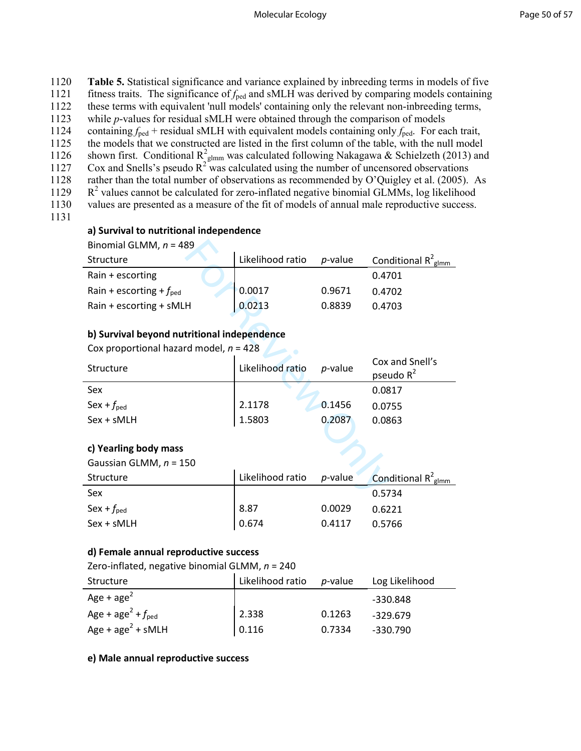| 1120 | <b>Table 5.</b> Statistical significance and variance explained by inbreeding terms in models of five                 |
|------|-----------------------------------------------------------------------------------------------------------------------|
| 1121 | fitness traits. The significance of $f_{\text{ped}}$ and sMLH was derived by comparing models containing              |
| 1122 | these terms with equivalent 'null models' containing only the relevant non-inbreeding terms,                          |
| 1123 | while <i>p</i> -values for residual sMLH were obtained through the comparison of models                               |
| 1124 | containing $f_{\text{ped}}$ + residual sMLH with equivalent models containing only $f_{\text{ped}}$ . For each trait, |
| 1125 | the models that we constructed are listed in the first column of the table, with the null model                       |
| 1126 | shown first. Conditional $R^2_{\text{plmm}}$ was calculated following Nakagawa & Schielzeth (2013) and                |
| 1127 | Cox and Snells's pseudo $R^2$ was calculated using the number of uncensored observations                              |
| 1128 | rather than the total number of observations as recommended by O'Quigley et al. (2005). As                            |
| 1129 | $R2$ values cannot be calculated for zero-inflated negative binomial GLMMs, log likelihood                            |
| 1130 | values are presented as a measure of the fit of models of annual male reproductive success.                           |

1131

### **a) Survival to nutritional independence**

| Structure                           | Likelihood ratio | <i>p</i> -value | Conditional $R^2_{\text{glmm}}$ |
|-------------------------------------|------------------|-----------------|---------------------------------|
| Rain $+$ escorting                  |                  |                 | 0.4701                          |
| Rain + escorting + $f_{\text{ped}}$ | 0.0017           | 0.9671          | 0.4702                          |
| Rain + escorting + sMLH             | 0.0213           | 0.8839          | 0.4703                          |

# **b) Survival beyond nutritional independence**

| Binomial GLMM, $n = 489$                    |                  |            |                                 |  |  |  |  |
|---------------------------------------------|------------------|------------|---------------------------------|--|--|--|--|
| Structure                                   | Likelihood ratio | $p$ -value | Conditional $R^2_{\text{glmm}}$ |  |  |  |  |
| Rain + escorting                            |                  |            | 0.4701                          |  |  |  |  |
| Rain + escorting + $f_{\text{ped}}$         | 0.0017           | 0.9671     | 0.4702                          |  |  |  |  |
| Rain + escorting + sMLH                     | 0.0213           | 0.8839     | 0.4703                          |  |  |  |  |
|                                             |                  |            |                                 |  |  |  |  |
| b) Survival beyond nutritional independence |                  |            |                                 |  |  |  |  |
| Cox proportional hazard model, $n = 428$    |                  |            |                                 |  |  |  |  |
| Structure                                   | Likelihood ratio | p-value    | Cox and Snell's                 |  |  |  |  |
|                                             |                  |            | pseudo $R^2$                    |  |  |  |  |
| Sex                                         |                  |            | 0.0817                          |  |  |  |  |
| Sex + $f_{\text{ped}}$                      | 2.1178           | 0.1456     | 0.0755                          |  |  |  |  |
| Sex + sMLH                                  | 1.5803           | 0.2087     | 0.0863                          |  |  |  |  |
|                                             |                  |            |                                 |  |  |  |  |
| c) Yearling body mass                       |                  |            |                                 |  |  |  |  |
| Gaussian GLMM, $n = 150$                    |                  |            |                                 |  |  |  |  |
| <b>Structure</b>                            | Likelihood ratio | $p$ -value | Conditional $R^2_{\text{glmm}}$ |  |  |  |  |
| Sex                                         |                  |            | 0.5734                          |  |  |  |  |

## **c) Yearling body mass**

| Gaussian GLMM, $n = 150$ |                  |            |                                                   |
|--------------------------|------------------|------------|---------------------------------------------------|
| Structure                | Likelihood ratio | $p$ -value | <b>Conditional R</b> <sup>2</sup> <sub>glmm</sub> |
| Sex                      |                  |            | 0.5734                                            |
| Sex + $f_{\text{ped}}$   | 8.87             | 0.0029     | 0.6221                                            |
| $Sex + sMLH$             | 0.674            | 0.4117     | 0.5766                                            |

### **d) Female annual reproductive success**

Zero-inflated, negative binomial GLMM, *n* = 240

| Structure                                 | Likelihood ratio  p-value |        | Log Likelihood |
|-------------------------------------------|---------------------------|--------|----------------|
| Age + $age^2$                             |                           |        | -330.848       |
| Age + age <sup>2</sup> + $f_{\text{ped}}$ | 2.338                     | 0.1263 | $-329.679$     |
| Age + $age^2$ + sMLH                      | 0.116                     | 0.7334 | $-330.790$     |

# **e) Male annual reproductive success**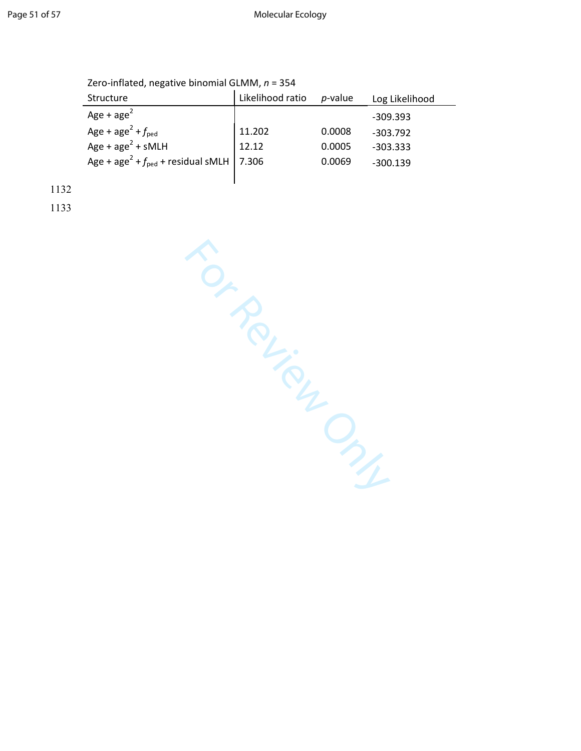| Structure                                                         | Likelihood ratio | $p$ -value | Log Likelihood |
|-------------------------------------------------------------------|------------------|------------|----------------|
| Age + $age2$                                                      |                  |            | $-309.393$     |
| Age + age <sup>2</sup> + $f_{\text{ped}}$                         | 11.202           | 0.0008     | $-303.792$     |
| Age + $age^2$ + sMLH                                              | 12.12            | 0.0005     | $-303.333$     |
| Age + age <sup>2</sup> + $f_{\text{ped}}$ + residual sMLH   7.306 |                  | 0.0069     | $-300.139$     |
|                                                                   |                  |            |                |

1132

For Review Only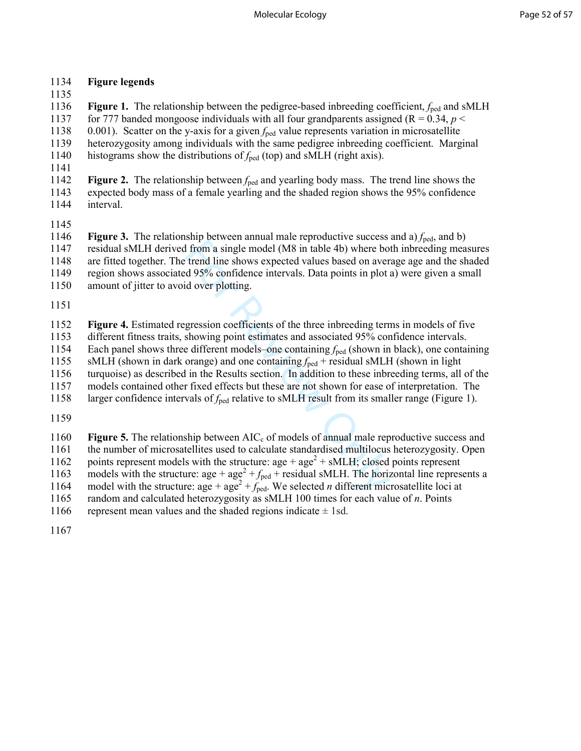### 1134 **Figure legends**

1135

1136 **Figure 1.** The relationship between the pedigree-based inbreeding coefficient, *f*ped and sMLH 1137 for 777 banded mongoose individuals with all four grandparents assigned ( $R = 0.34$ ,  $p <$ 1138 0.001). Scatter on the y-axis for a given *f*ped value represents variation in microsatellite 1139 heterozygosity among individuals with the same pedigree inbreeding coefficient. Marginal 1140 histograms show the distributions of  $f_{\text{ped}}$  (top) and sMLH (right axis).

1142 **Figure 2.** The relationship between  $f_{\text{ped}}$  and yearling body mass. The trend line shows the 1143 expected body mass of a female yearling and the shaded region shows the 95% confidence 1144 interval.

1141

1145<br>1146 **Figure 3.** The relationship between annual male reproductive success and a)  $f_{\text{ped}}$ , and b) 1147 residual sMLH derived from a single model (M8 in table 4b) where both inbreeding measures 1148 are fitted together. The trend line shows expected values based on average age and the shaded 1149 region shows associated 95% confidence intervals. Data points in plot a) were given a small 1150 amount of jitter to avoid over plotting.

1151

1152 **Figure 4.** Estimated regression coefficients of the three inbreeding terms in models of five 1153 different fitness traits, showing point estimates and associated 95% confidence intervals. 1154 Each panel shows three different models–one containing  $f_{\text{ped}}$  (shown in black), one containing  $f_{\text{Bdd}}$  = SMLH (shown in dark orange) and one containing  $f_{\text{ped}}$  + residual sMLH (shown in light

sMLH (shown in dark orange) and one containing  $f_{\text{ped}}$  + residual sMLH (shown in light

1156 turquoise) as described in the Results section. In addition to these inbreeding terms, all of the

1157 models contained other fixed effects but these are not shown for ease of interpretation. The

1158 larger confidence intervals of *f*ped relative to sMLH result from its smaller range (Figure 1).

1159

If from a single model (M8 in table 4b) where bo<br>then a single model (M8 in table 4b) where bo<br>trend line shows expected values based on aver<br>d 95% confidence intervals. Data points in plot is<br>id over plotting.<br>gression c 1160 **Figure 5.** The relationship between AIC<sub>c</sub> of models of annual male reproductive success and 1161 the number of microsatellites used to calculate standardised multilocus heterozygosity. Open 1162 points represent models with the structure:  $age + age^2 + sMLH$ ; closed points represent 1163 models with the structure: age +  $age^2 + f_{ped} +$  residual sMLH. The horizontal line represents a 1164 model with the structure:  $age + age^2 + f_{\text{ped}}$ . We selected *n* different microsatellite loci at

1165 random and calculated heterozygosity as sMLH 100 times for each value of *n*. Points

1166 represent mean values and the shaded regions indicate  $\pm$  1sd.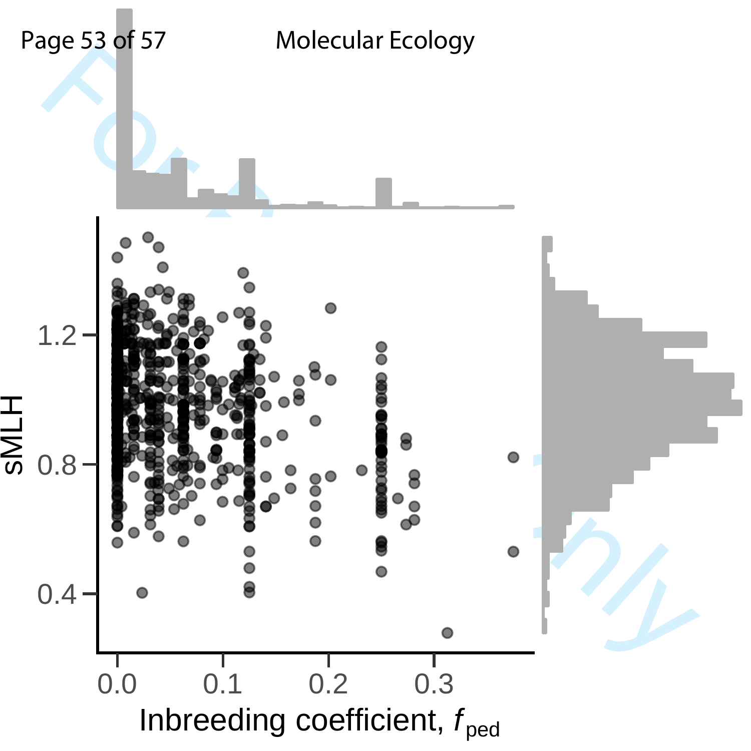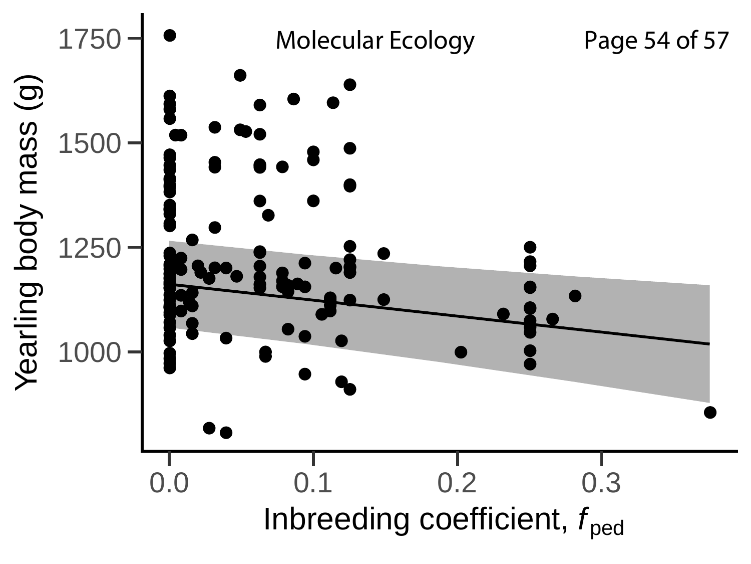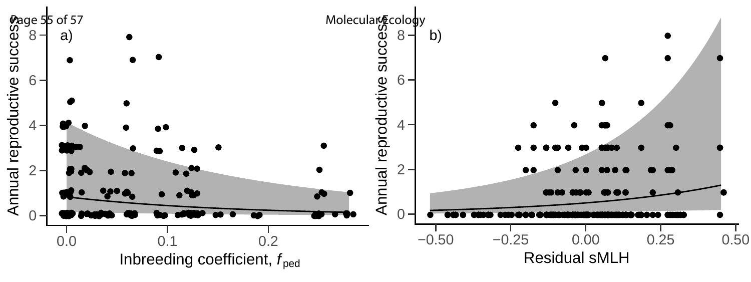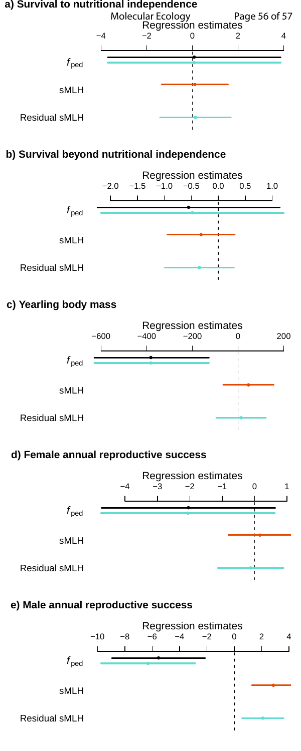

### **b) Survival beyond nutritional independence**



### **c) Yearling body mass**



### **d) Female annual reproductive success**



### **e) Male annual reproductive success**